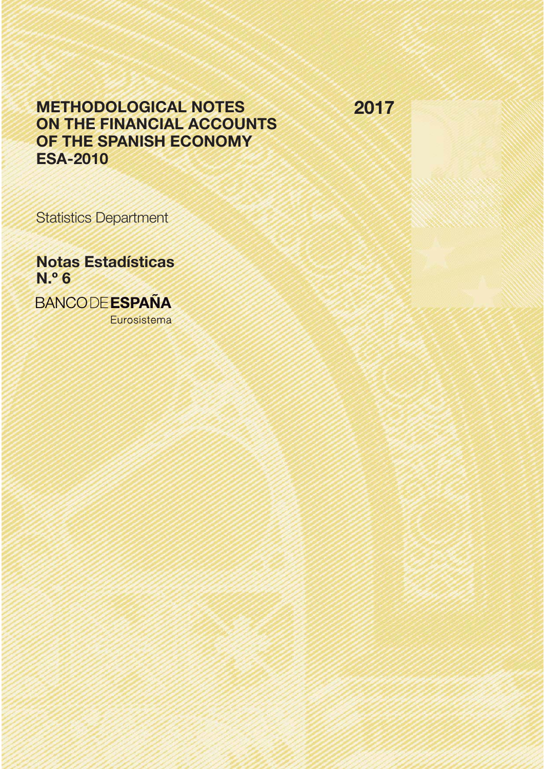# METHODOLOGICAL NOTES ON THE FINANCIAL ACCOUNTS OF THE SPANISH ECONOMY ESA-2010

2017

Statistics Department

Notas Estadísticas N.º 6

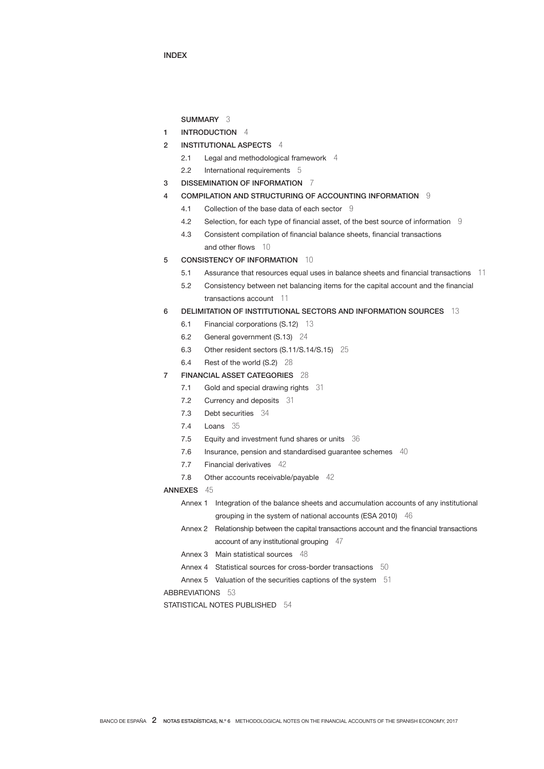INDEX

## SUMMARY 3

- 1 INTRODUCTION 4
- 2 INSTITUTIONAL ASPECTS 4
	- 2.1 Legal and methodological framework 4
	- 2.2 International requirements 5
- 3 DISSEMINATION OF INFORMATION 7
- 4 COMPILATION AND STRUCTURING OF ACCOUNTING INFORMATION 9
	- 4.1 Collection of the base data of each sector 9
	- 4.2 Selection, for each type of financial asset, of the best source of information 9
	- 4.3 Consistent compilation of financial balance sheets, financial transactions and other flows 10
- 5 CONSISTENCY OF INFORMATION 10
	- 5.1 Assurance that resources equal uses in balance sheets and financial transactions 11
	- 5.2 Consistency between net balancing items for the capital account and the financial transactions account 11
- 6 DELIMITATION OF INSTITUTIONAL SECTORS AND INFORMATION SOURCES 13
	- 6.1 Financial corporations (S.12) 13
	- 6.2 General government (S.13) 24
	- 6.3 Other resident sectors (S.11/S.14/S.15) 25
	- 6.4 Rest of the world (S.2) 28
- 7 FINANCIAL ASSET CATEGORIES 28
	- 7.1 Gold and special drawing rights 31
	- 7.2 Currency and deposits 31
	- 7.3 Debt securities 34
	- 7.4 Loans 35
	- 7.5 Equity and investment fund shares or units 36
	- 7.6 Insurance, pension and standardised guarantee schemes 40
	- 7.7 Financial derivatives 42
	- 7.8 Other accounts receivable/payable 42
- ANNEXES 45
	- Annex 1 Integration of the balance sheets and accumulation accounts of any institutional grouping in the system of national accounts (ESA 2010) 46
	- Annex 2 Relationship between the capital transactions account and the financial transactions account of any institutional grouping 47
	- Annex 3 Main statistical sources 48
	- Annex 4 Statistical sources for cross-border transactions 50
	- Annex 5 Valuation of the securities captions of the system 51

ABBREVIATIONS 53

STATISTICAL NOTES PUBLISHED 54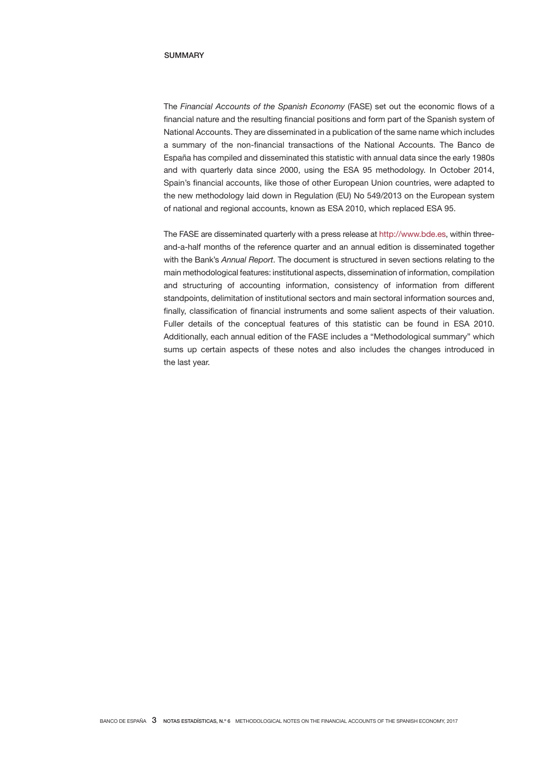### SUMMARY

The *Financial Accounts of the Spanish Economy* (FASE) set out the economic flows of a financial nature and the resulting financial positions and form part of the Spanish system of National Accounts. They are disseminated in a publication of the same name which includes a summary of the non-financial transactions of the National Accounts. The Banco de España has compiled and disseminated this statistic with annual data since the early 1980s and with quarterly data since 2000, using the ESA 95 methodology. In October 2014, Spain's financial accounts, like those of other European Union countries, were adapted to the new methodology laid down in Regulation (EU) No 549/2013 on the European system of national and regional accounts, known as ESA 2010, which replaced ESA 95.

The FASE are disseminated quarterly with a press release at http://www.bde.es, within threeand-a-half months of the reference quarter and an annual edition is disseminated together with the Bank's *Annual Report*. The document is structured in seven sections relating to the main methodological features: institutional aspects, dissemination of information, compilation and structuring of accounting information, consistency of information from different standpoints, delimitation of institutional sectors and main sectoral information sources and, finally, classification of financial instruments and some salient aspects of their valuation. Fuller details of the conceptual features of this statistic can be found in ESA 2010. Additionally, each annual edition of the FASE includes a "Methodological summary" which sums up certain aspects of these notes and also includes the changes introduced in the last year.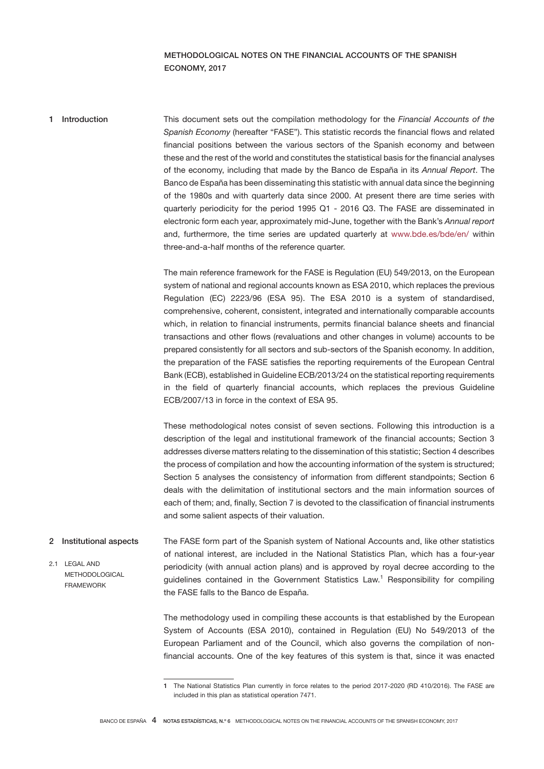# METHODOLOGICAL NOTES ON THE FINANCIAL ACCOUNTS OF THE SPANISH ECONOMY, 2017

# This document sets out the compilation methodology for the *Financial Accounts of the Spanish Economy* (hereafter "FASE"). This statistic records the financial flows and related financial positions between the various sectors of the Spanish economy and between these and the rest of the world and constitutes the statistical basis for the financial analyses of the economy, including that made by the Banco de España in its *Annual Report*. The Banco de España has been disseminating this statistic with annual data since the beginning of the 1980s and with quarterly data since 2000. At present there are time series with quarterly periodicity for the period 1995 Q1 - 2016 Q3. The FASE are disseminated in electronic form each year, approximately mid-June, together with the Bank's *Annual report* and, furthermore, the time series are updated quarterly at www.bde.es/bde/en/ within three-and-a-half months of the reference quarter. 1 Introduction

The main reference framework for the FASE is Regulation (EU) 549/2013, on the European system of national and regional accounts known as ESA 2010, which replaces the previous Regulation (EC) 2223/96 (ESA 95). The ESA 2010 is a system of standardised, comprehensive, coherent, consistent, integrated and internationally comparable accounts which, in relation to financial instruments, permits financial balance sheets and financial transactions and other flows (revaluations and other changes in volume) accounts to be prepared consistently for all sectors and sub-sectors of the Spanish economy. In addition, the preparation of the FASE satisfies the reporting requirements of the European Central Bank (ECB), established in Guideline ECB/2013/24 on the statistical reporting requirements in the field of quarterly financial accounts, which replaces the previous Guideline ECB/2007/13 in force in the context of ESA 95.

These methodological notes consist of seven sections. Following this introduction is a description of the legal and institutional framework of the financial accounts; Section 3 addresses diverse matters relating to the dissemination of this statistic; Section 4 describes the process of compilation and how the accounting information of the system is structured; Section 5 analyses the consistency of information from different standpoints; Section 6 deals with the delimitation of institutional sectors and the main information sources of each of them; and, finally, Section 7 is devoted to the classification of financial instruments and some salient aspects of their valuation.

The FASE form part of the Spanish system of National Accounts and, like other statistics of national interest, are included in the National Statistics Plan, which has a four-year periodicity (with annual action plans) and is approved by royal decree according to the guidelines contained in the Government Statistics Law.<sup>1</sup> Responsibility for compiling the FASE falls to the Banco de España. 2 Institutional aspects 2.1 LEGAL AND METHODOLOGICAL FRAMEWORK

> The methodology used in compiling these accounts is that established by the European System of Accounts (ESA 2010), contained in Regulation (EU) No 549/2013 of the European Parliament and of the Council, which also governs the compilation of nonfinancial accounts. One of the key features of this system is that, since it was enacted

<sup>1</sup> The National Statistics Plan currently in force relates to the period 2017-2020 (RD 410/2016). The FASE are included in this plan as statistical operation 7471.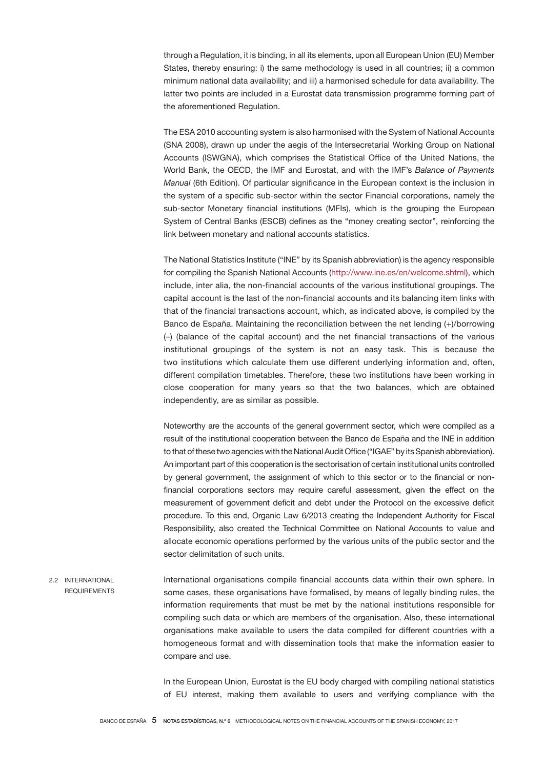through a Regulation, it is binding, in all its elements, upon all European Union (EU) Member States, thereby ensuring: i) the same methodology is used in all countries; ii) a common minimum national data availability; and iii) a harmonised schedule for data availability. The latter two points are included in a Eurostat data transmission programme forming part of the aforementioned Regulation.

The ESA 2010 accounting system is also harmonised with the System of National Accounts (SNA 2008), drawn up under the aegis of the Intersecretarial Working Group on National Accounts (ISWGNA), which comprises the Statistical Office of the United Nations, the World Bank, the OECD, the IMF and Eurostat, and with the IMF's *Balance of Payments Manual* (6th Edition). Of particular significance in the European context is the inclusion in the system of a specific sub-sector within the sector Financial corporations, namely the sub-sector Monetary financial institutions (MFIs), which is the grouping the European System of Central Banks (ESCB) defines as the "money creating sector", reinforcing the link between monetary and national accounts statistics.

The National Statistics Institute ("INE" by its Spanish abbreviation) is the agency responsible for compiling the Spanish National Accounts (http://www.ine.es/en/welcome.shtml), which include, inter alia, the non-financial accounts of the various institutional groupings. The capital account is the last of the non-financial accounts and its balancing item links with that of the financial transactions account, which, as indicated above, is compiled by the Banco de España. Maintaining the reconciliation between the net lending (+)/borrowing (–) (balance of the capital account) and the net financial transactions of the various institutional groupings of the system is not an easy task. This is because the two institutions which calculate them use different underlying information and, often, different compilation timetables. Therefore, these two institutions have been working in close cooperation for many years so that the two balances, which are obtained independently, are as similar as possible.

Noteworthy are the accounts of the general government sector, which were compiled as a result of the institutional cooperation between the Banco de España and the INE in addition to that of these two agencies with the National Audit Office ("IGAE" by its Spanish abbreviation). An important part of this cooperation is the sectorisation of certain institutional units controlled by general government, the assignment of which to this sector or to the financial or nonfinancial corporations sectors may require careful assessment, given the effect on the measurement of government deficit and debt under the Protocol on the excessive deficit procedure. To this end, Organic Law 6/2013 creating the Independent Authority for Fiscal Responsibility, also created the Technical Committee on National Accounts to value and allocate economic operations performed by the various units of the public sector and the sector delimitation of such units.

International organisations compile financial accounts data within their own sphere. In some cases, these organisations have formalised, by means of legally binding rules, the information requirements that must be met by the national institutions responsible for compiling such data or which are members of the organisation. Also, these international organisations make available to users the data compiled for different countries with a homogeneous format and with dissemination tools that make the information easier to compare and use. 2.2 INTERNATIONAL **REQUIREMENTS** 

> In the European Union, Eurostat is the EU body charged with compiling national statistics of EU interest, making them available to users and verifying compliance with the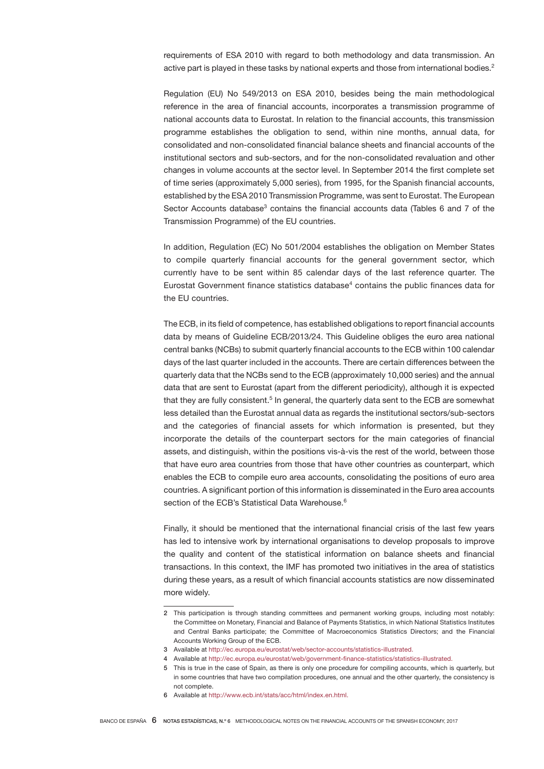requirements of ESA 2010 with regard to both methodology and data transmission. An active part is played in these tasks by national experts and those from international bodies.<sup>2</sup>

Regulation (EU) No 549/2013 on ESA 2010, besides being the main methodological reference in the area of financial accounts, incorporates a transmission programme of national accounts data to Eurostat. In relation to the financial accounts, this transmission programme establishes the obligation to send, within nine months, annual data, for consolidated and non-consolidated financial balance sheets and financial accounts of the institutional sectors and sub-sectors, and for the non-consolidated revaluation and other changes in volume accounts at the sector level. In September 2014 the first complete set of time series (approximately 5,000 series), from 1995, for the Spanish financial accounts, established by the ESA 2010 Transmission Programme, was sent to Eurostat. The European Sector Accounts database<sup>3</sup> contains the financial accounts data (Tables 6 and 7 of the Transmission Programme) of the EU countries.

In addition, Regulation (EC) No 501/2004 establishes the obligation on Member States to compile quarterly financial accounts for the general government sector, which currently have to be sent within 85 calendar days of the last reference quarter. The Eurostat Government finance statistics database $4$  contains the public finances data for the EU countries.

The ECB, in its field of competence, has established obligations to report financial accounts data by means of Guideline ECB/2013/24. This Guideline obliges the euro area national central banks (NCBs) to submit quarterly financial accounts to the ECB within 100 calendar days of the last quarter included in the accounts. There are certain differences between the quarterly data that the NCBs send to the ECB (approximately 10,000 series) and the annual data that are sent to Eurostat (apart from the different periodicity), although it is expected that they are fully consistent.<sup>5</sup> In general, the quarterly data sent to the ECB are somewhat less detailed than the Eurostat annual data as regards the institutional sectors/sub-sectors and the categories of financial assets for which information is presented, but they incorporate the details of the counterpart sectors for the main categories of financial assets, and distinguish, within the positions vis-à-vis the rest of the world, between those that have euro area countries from those that have other countries as counterpart, which enables the ECB to compile euro area accounts, consolidating the positions of euro area countries. A significant portion of this information is disseminated in the Euro area accounts section of the ECB's Statistical Data Warehouse.<sup>6</sup>

Finally, it should be mentioned that the international financial crisis of the last few years has led to intensive work by international organisations to develop proposals to improve the quality and content of the statistical information on balance sheets and financial transactions. In this context, the IMF has promoted two initiatives in the area of statistics during these years, as a result of which financial accounts statistics are now disseminated more widely.

<sup>2</sup> This participation is through standing committees and permanent working groups, including most notably: the Committee on Monetary, Financial and Balance of Payments Statistics, in which National Statistics Institutes and Central Banks participate; the Committee of Macroeconomics Statistics Directors; and the Financial Accounts Working Group of the ECB.

<sup>3</sup> Available at http://ec.europa.eu/eurostat/web/sector-accounts/statistics-illustrated.

<sup>4</sup> Available at http://ec.europa.eu/eurostat/web/government-finance-statistics/statistics-illustrated.

<sup>5</sup> This is true in the case of Spain, as there is only one procedure for compiling accounts, which is quarterly, but in some countries that have two compilation procedures, one annual and the other quarterly, the consistency is not complete.

<sup>6</sup> Available at http://www.ecb.int/stats/acc/html/index.en.html.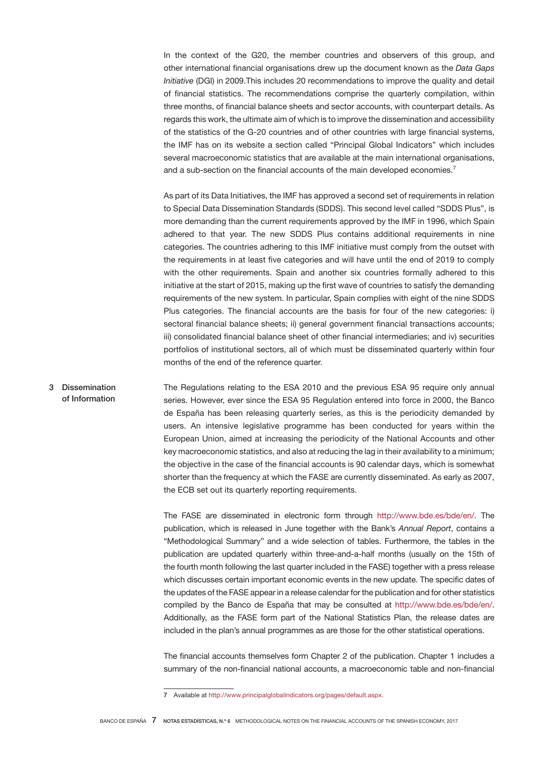In the context of the G20, the member countries and observers of this group, and other international financial organisations drew up the document known as the *Data Gaps Initiative* (DGI) in 2009.This includes 20 recommendations to improve the quality and detail of financial statistics. The recommendations comprise the quarterly compilation, within three months, of financial balance sheets and sector accounts, with counterpart details. As regards this work, the ultimate aim of which is to improve the dissemination and accessibility of the statistics of the G-20 countries and of other countries with large financial systems, the IMF has on its website a section called "Principal Global Indicators" which includes several macroeconomic statistics that are available at the main international organisations, and a sub-section on the financial accounts of the main developed economies.<sup>7</sup>

As part of its Data Initiatives, the IMF has approved a second set of requirements in relation to Special Data Dissemination Standards (SDDS). This second level called "SDDS Plus", is more demanding than the current requirements approved by the IMF in 1996, which Spain adhered to that year. The new SDDS Plus contains additional requirements in nine categories. The countries adhering to this IMF initiative must comply from the outset with the requirements in at least five categories and will have until the end of 2019 to comply with the other requirements. Spain and another six countries formally adhered to this initiative at the start of 2015, making up the first wave of countries to satisfy the demanding requirements of the new system. In particular, Spain complies with eight of the nine SDDS Plus categories. The financial accounts are the basis for four of the new categories: i) sectoral financial balance sheets; ii) general government financial transactions accounts; iii) consolidated financial balance sheet of other financial intermediaries; and iv) securities portfolios of institutional sectors, all of which must be disseminated quarterly within four months of the end of the reference quarter.

The Regulations relating to the ESA 2010 and the previous ESA 95 require only annual series. However, ever since the ESA 95 Regulation entered into force in 2000, the Banco de España has been releasing quarterly series, as this is the periodicity demanded by users. An intensive legislative programme has been conducted for years within the European Union, aimed at increasing the periodicity of the National Accounts and other key macroeconomic statistics, and also at reducing the lag in their availability to a minimum; the objective in the case of the financial accounts is 90 calendar days, which is somewhat shorter than the frequency at which the FASE are currently disseminated. As early as 2007, the ECB set out its quarterly reporting requirements. 3 Dissemination of Information

> The FASE are disseminated in electronic form through http://www.bde.es/bde/en/. The publication, which is released in June together with the Bank's *Annual Report*, contains a "Methodological Summary" and a wide selection of tables. Furthermore, the tables in the publication are updated quarterly within three-and-a-half months (usually on the 15th of the fourth month following the last quarter included in the FASE) together with a press release which discusses certain important economic events in the new update. The specific dates of the updates of the FASE appear in a release calendar for the publication and for other statistics compiled by the Banco de España that may be consulted at http://www.bde.es/bde/en/. Additionally, as the FASE form part of the National Statistics Plan, the release dates are included in the plan's annual programmes as are those for the other statistical operations.

> The financial accounts themselves form Chapter 2 of the publication. Chapter 1 includes a summary of the non-financial national accounts, a macroeconomic table and non-financial

<sup>7</sup> Available at http://www.principalglobalindicators.org/pages/default.aspx.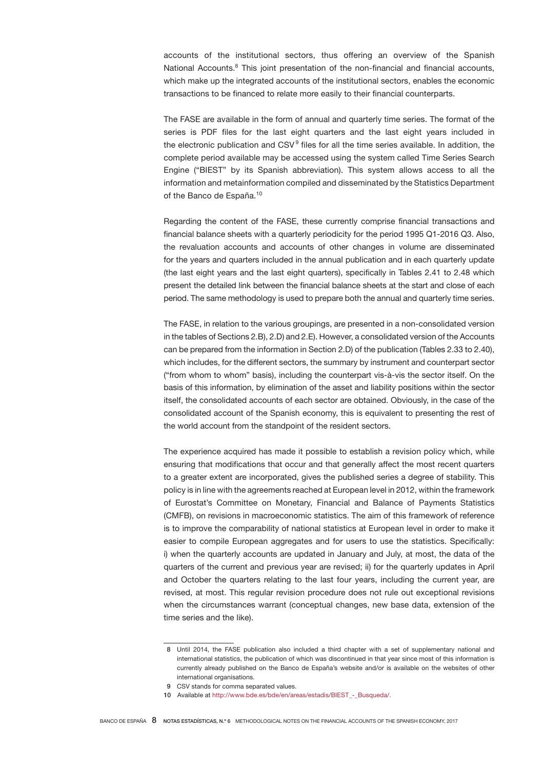accounts of the institutional sectors, thus offering an overview of the Spanish National Accounts.<sup>8</sup> This joint presentation of the non-financial and financial accounts, which make up the integrated accounts of the institutional sectors, enables the economic transactions to be financed to relate more easily to their financial counterparts.

The FASE are available in the form of annual and quarterly time series. The format of the series is PDF files for the last eight quarters and the last eight years included in the electronic publication and CSV<sup>9</sup> files for all the time series available. In addition, the complete period available may be accessed using the system called Time Series Search Engine ("BIEST" by its Spanish abbreviation). This system allows access to all the information and metainformation compiled and disseminated by the Statistics Department of the Banco de España.<sup>10</sup>

Regarding the content of the FASE, these currently comprise financial transactions and financial balance sheets with a quarterly periodicity for the period 1995 Q1-2016 Q3. Also, the revaluation accounts and accounts of other changes in volume are disseminated for the years and quarters included in the annual publication and in each quarterly update (the last eight years and the last eight quarters), specifically in Tables 2.41 to 2.48 which present the detailed link between the financial balance sheets at the start and close of each period. The same methodology is used to prepare both the annual and quarterly time series.

The FASE, in relation to the various groupings, are presented in a non-consolidated version in the tables of Sections 2.B), 2.D) and 2.E). However, a consolidated version of the Accounts can be prepared from the information in Section 2.D) of the publication (Tables 2.33 to 2.40), which includes, for the different sectors, the summary by instrument and counterpart sector ("from whom to whom" basis), including the counterpart vis-à-vis the sector itself. On the basis of this information, by elimination of the asset and liability positions within the sector itself, the consolidated accounts of each sector are obtained. Obviously, in the case of the consolidated account of the Spanish economy, this is equivalent to presenting the rest of the world account from the standpoint of the resident sectors.

The experience acquired has made it possible to establish a revision policy which, while ensuring that modifications that occur and that generally affect the most recent quarters to a greater extent are incorporated, gives the published series a degree of stability. This policy is in line with the agreements reached at European level in 2012, within the framework of Eurostat's Committee on Monetary, Financial and Balance of Payments Statistics (CMFB), on revisions in macroeconomic statistics. The aim of this framework of reference is to improve the comparability of national statistics at European level in order to make it easier to compile European aggregates and for users to use the statistics. Specifically: i) when the quarterly accounts are updated in January and July, at most, the data of the quarters of the current and previous year are revised; ii) for the quarterly updates in April and October the quarters relating to the last four years, including the current year, are revised, at most. This regular revision procedure does not rule out exceptional revisions when the circumstances warrant (conceptual changes, new base data, extension of the time series and the like).

 <sup>8</sup> Until 2014, the FASE publication also included a third chapter with a set of supplementary national and international statistics, the publication of which was discontinued in that year since most of this information is currently already published on the Banco de España's website and/or is available on the websites of other international organisations.

 <sup>9</sup> CSV stands for comma separated values.

<sup>10</sup> Available at http://www.bde.es/bde/en/areas/estadis/BIEST - Busqueda/.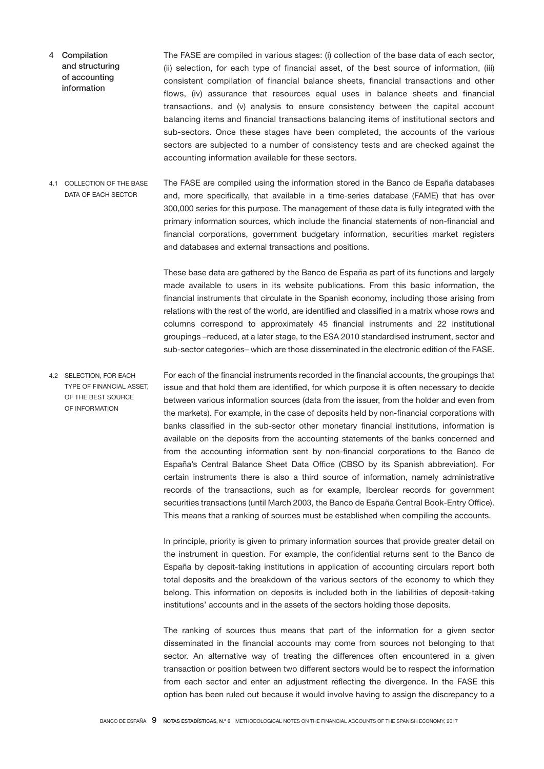- The FASE are compiled in various stages: (i) collection of the base data of each sector, (ii) selection, for each type of financial asset, of the best source of information, (iii) consistent compilation of financial balance sheets, financial transactions and other flows, (iv) assurance that resources equal uses in balance sheets and financial transactions, and (v) analysis to ensure consistency between the capital account balancing items and financial transactions balancing items of institutional sectors and sub-sectors. Once these stages have been completed, the accounts of the various sectors are subjected to a number of consistency tests and are checked against the accounting information available for these sectors. 4 Compilation and structuring of accounting information
- The FASE are compiled using the information stored in the Banco de España databases and, more specifically, that available in a time-series database (FAME) that has over 300,000 series for this purpose. The management of these data is fully integrated with the primary information sources, which include the financial statements of non-financial and financial corporations, government budgetary information, securities market registers and databases and external transactions and positions. 4.1 COLLECTION OF THE BASE DATA OF EACH SECTOR

These base data are gathered by the Banco de España as part of its functions and largely made available to users in its website publications. From this basic information, the financial instruments that circulate in the Spanish economy, including those arising from relations with the rest of the world, are identified and classified in a matrix whose rows and columns correspond to approximately 45 financial instruments and 22 institutional groupings –reduced, at a later stage, to the ESA 2010 standardised instrument, sector and sub-sector categories– which are those disseminated in the electronic edition of the FASE.

For each of the financial instruments recorded in the financial accounts, the groupings that issue and that hold them are identified, for which purpose it is often necessary to decide between various information sources (data from the issuer, from the holder and even from the markets). For example, in the case of deposits held by non-financial corporations with banks classified in the sub-sector other monetary financial institutions, information is available on the deposits from the accounting statements of the banks concerned and from the accounting information sent by non-financial corporations to the Banco de España's Central Balance Sheet Data Office (CBSO by its Spanish abbreviation). For certain instruments there is also a third source of information, namely administrative records of the transactions, such as for example, Iberclear records for government securities transactions (until March 2003, the Banco de España Central Book-Entry Office). This means that a ranking of sources must be established when compiling the accounts. 4.2 SELECTION, FOR EACH TYPE OF FINANCIAL ASSET, OF THE BEST SOURCE OF INFORMATION

> In principle, priority is given to primary information sources that provide greater detail on the instrument in question. For example, the confidential returns sent to the Banco de España by deposit-taking institutions in application of accounting circulars report both total deposits and the breakdown of the various sectors of the economy to which they belong. This information on deposits is included both in the liabilities of deposit-taking institutions' accounts and in the assets of the sectors holding those deposits.

> The ranking of sources thus means that part of the information for a given sector disseminated in the financial accounts may come from sources not belonging to that sector. An alternative way of treating the differences often encountered in a given transaction or position between two different sectors would be to respect the information from each sector and enter an adjustment reflecting the divergence. In the FASE this option has been ruled out because it would involve having to assign the discrepancy to a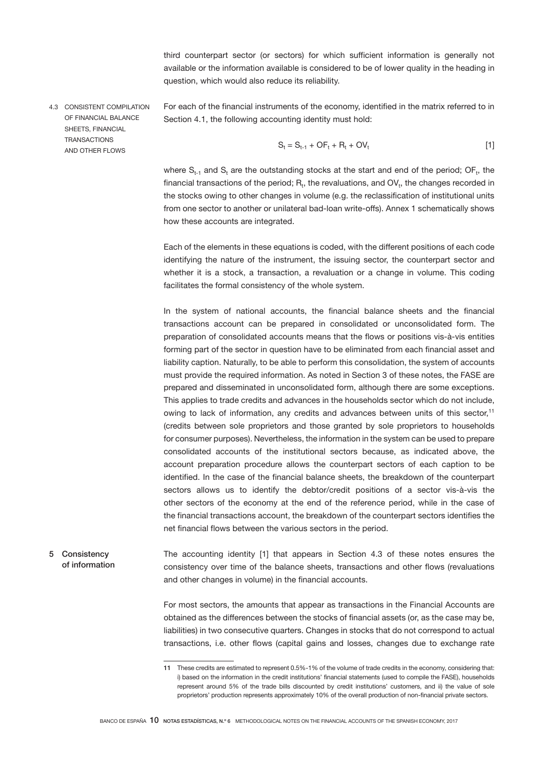third counterpart sector (or sectors) for which sufficient information is generally not available or the information available is considered to be of lower quality in the heading in question, which would also reduce its reliability.

4.3 CONSISTENT COMPILATION OF FINANCIAL BALANCE SHEETS, FINANCIAL **TRANSACTIONS** AND OTHER FLOWS

For each of the financial instruments of the economy, identified in the matrix referred to in Section 4.1, the following accounting identity must hold:

$$
S_t = S_{t-1} + OF_t + R_t + OV_t
$$
 [1]

where  $S_{t-1}$  and  $S_t$  are the outstanding stocks at the start and end of the period; OF<sub>t</sub>, the financial transactions of the period;  $R_t$ , the revaluations, and  $OV_t$ , the changes recorded in the stocks owing to other changes in volume (e.g. the reclassification of institutional units from one sector to another or unilateral bad-loan write-offs). Annex 1 schematically shows how these accounts are integrated.

Each of the elements in these equations is coded, with the different positions of each code identifying the nature of the instrument, the issuing sector, the counterpart sector and whether it is a stock, a transaction, a revaluation or a change in volume. This coding facilitates the formal consistency of the whole system.

In the system of national accounts, the financial balance sheets and the financial transactions account can be prepared in consolidated or unconsolidated form. The preparation of consolidated accounts means that the flows or positions vis-à-vis entities forming part of the sector in question have to be eliminated from each financial asset and liability caption. Naturally, to be able to perform this consolidation, the system of accounts must provide the required information. As noted in Section 3 of these notes, the FASE are prepared and disseminated in unconsolidated form, although there are some exceptions. This applies to trade credits and advances in the households sector which do not include, owing to lack of information, any credits and advances between units of this sector,<sup>11</sup> (credits between sole proprietors and those granted by sole proprietors to households for consumer purposes). Nevertheless, the information in the system can be used to prepare consolidated accounts of the institutional sectors because, as indicated above, the account preparation procedure allows the counterpart sectors of each caption to be identified. In the case of the financial balance sheets, the breakdown of the counterpart sectors allows us to identify the debtor/credit positions of a sector vis-à-vis the other sectors of the economy at the end of the reference period, while in the case of the financial transactions account, the breakdown of the counterpart sectors identifies the net financial flows between the various sectors in the period.

The accounting identity [1] that appears in Section 4.3 of these notes ensures the consistency over time of the balance sheets, transactions and other flows (revaluations and other changes in volume) in the financial accounts. 5 Consistency of information

> For most sectors, the amounts that appear as transactions in the Financial Accounts are obtained as the differences between the stocks of financial assets (or, as the case may be, liabilities) in two consecutive quarters. Changes in stocks that do not correspond to actual transactions, i.e. other flows (capital gains and losses, changes due to exchange rate

<sup>11</sup> These credits are estimated to represent 0.5%-1% of the volume of trade credits in the economy, considering that: i) based on the information in the credit institutions' financial statements (used to compile the FASE), households represent around 5% of the trade bills discounted by credit institutions' customers, and ii) the value of sole proprietors' production represents approximately 10% of the overall production of non-financial private sectors.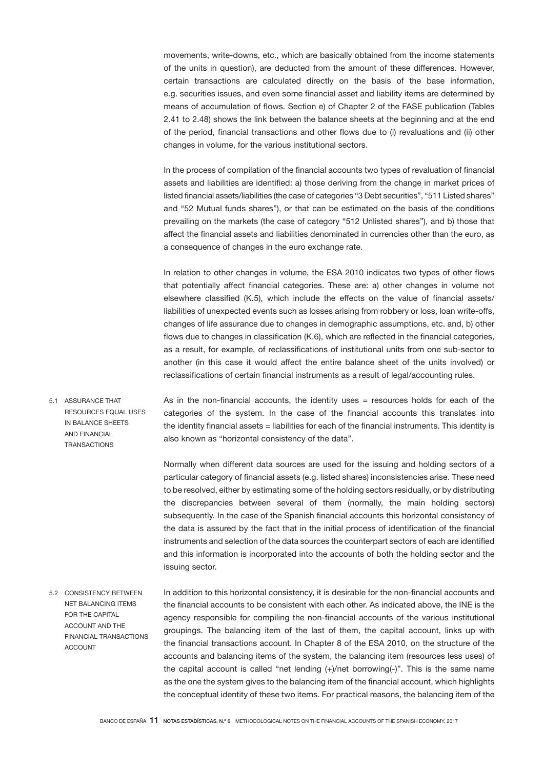movements, write-downs, etc., which are basically obtained from the income statements of the units in question), are deducted from the amount of these differences. However, certain transactions are calculated directly on the basis of the base information, e.g. securities issues, and even some financial asset and liability items are determined by means of accumulation of flows. Section e) of Chapter 2 of the FASE publication (Tables 2.41 to 2.48) shows the link between the balance sheets at the beginning and at the end of the period, financial transactions and other flows due to (i) revaluations and (ii) other changes in volume, for the various institutional sectors.

In the process of compilation of the financial accounts two types of revaluation of financial assets and liabilities are identified: a) those deriving from the change in market prices of listed financial assets/liabilities (the case of categories "3 Debt securities", "511 Listed shares" and "52 Mutual funds shares"), or that can be estimated on the basis of the conditions prevailing on the markets (the case of category "512 Unlisted shares"), and b) those that affect the financial assets and liabilities denominated in currencies other than the euro, as a consequence of changes in the euro exchange rate.

In relation to other changes in volume, the ESA 2010 indicates two types of other flows that potentially affect financial categories. These are: a) other changes in volume not elsewhere classified (K.5), which include the effects on the value of financial assets/ liabilities of unexpected events such as losses arising from robbery or loss, loan write-offs, changes of life assurance due to changes in demographic assumptions, etc. and, b) other flows due to changes in classification (K.6), which are reflected in the financial categories, as a result, for example, of reclassifications of institutional units from one sub-sector to another (in this case it would affect the entire balance sheet of the units involved) or reclassifications of certain financial instruments as a result of legal/accounting rules.

As in the non-financial accounts, the identity uses  $=$  resources holds for each of the categories of the system. In the case of the financial accounts this translates into the identity financial assets = liabilities for each of the financial instruments. This identity is also known as "horizontal consistency of the data". 5.1 ASSURANCE THAT RESOURCES EQUAL USES IN BALANCE SHEETS AND FINANCIAL **TRANSACTIONS** 

> Normally when different data sources are used for the issuing and holding sectors of a particular category of financial assets (e.g. listed shares) inconsistencies arise. These need to be resolved, either by estimating some of the holding sectors residually, or by distributing the discrepancies between several of them (normally, the main holding sectors) subsequently. In the case of the Spanish financial accounts this horizontal consistency of the data is assured by the fact that in the initial process of identification of the financial instruments and selection of the data sources the counterpart sectors of each are identified and this information is incorporated into the accounts of both the holding sector and the issuing sector.

In addition to this horizontal consistency, it is desirable for the non-financial accounts and the financial accounts to be consistent with each other. As indicated above, the INE is the agency responsible for compiling the non-financial accounts of the various institutional groupings. The balancing item of the last of them, the capital account, links up with the financial transactions account. In Chapter 8 of the ESA 2010, on the structure of the accounts and balancing items of the system, the balancing item (resources less uses) of the capital account is called "net lending  $(+)/$ net borrowing $(-)$ ". This is the same name as the one the system gives to the balancing item of the financial account, which highlights the conceptual identity of these two items. For practical reasons, the balancing item of the 5.2 CONSISTENCY BETWEEN NET BALANCING ITEMS FOR THE CAPITAL ACCOUNT AND THE FINANCIAL TRANSACTIONS ACCOUNT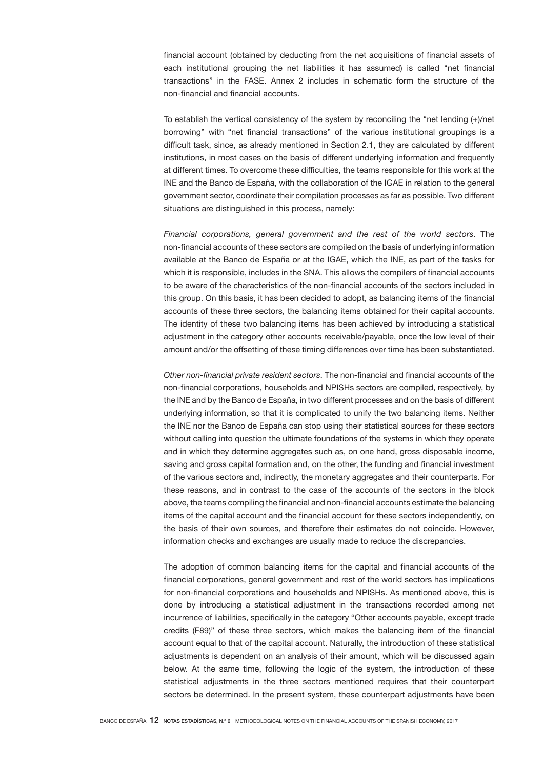financial account (obtained by deducting from the net acquisitions of financial assets of each institutional grouping the net liabilities it has assumed) is called "net financial transactions" in the FASE. Annex 2 includes in schematic form the structure of the non-financial and financial accounts.

To establish the vertical consistency of the system by reconciling the "net lending (+)/net borrowing" with "net financial transactions" of the various institutional groupings is a difficult task, since, as already mentioned in Section 2.1, they are calculated by different institutions, in most cases on the basis of different underlying information and frequently at different times. To overcome these difficulties, the teams responsible for this work at the INE and the Banco de España, with the collaboration of the IGAE in relation to the general government sector, coordinate their compilation processes as far as possible. Two different situations are distinguished in this process, namely:

*Financial corporations, general government and the rest of the world sectors*. The non-financial accounts of these sectors are compiled on the basis of underlying information available at the Banco de España or at the IGAE, which the INE, as part of the tasks for which it is responsible, includes in the SNA. This allows the compilers of financial accounts to be aware of the characteristics of the non-financial accounts of the sectors included in this group. On this basis, it has been decided to adopt, as balancing items of the financial accounts of these three sectors, the balancing items obtained for their capital accounts. The identity of these two balancing items has been achieved by introducing a statistical adjustment in the category other accounts receivable/payable, once the low level of their amount and/or the offsetting of these timing differences over time has been substantiated.

*Other non-financial private resident sectors*. The non-financial and financial accounts of the non-financial corporations, households and NPISHs sectors are compiled, respectively, by the INE and by the Banco de España, in two different processes and on the basis of different underlying information, so that it is complicated to unify the two balancing items. Neither the INE nor the Banco de España can stop using their statistical sources for these sectors without calling into question the ultimate foundations of the systems in which they operate and in which they determine aggregates such as, on one hand, gross disposable income, saving and gross capital formation and, on the other, the funding and financial investment of the various sectors and, indirectly, the monetary aggregates and their counterparts. For these reasons, and in contrast to the case of the accounts of the sectors in the block above, the teams compiling the financial and non-financial accounts estimate the balancing items of the capital account and the financial account for these sectors independently, on the basis of their own sources, and therefore their estimates do not coincide. However, information checks and exchanges are usually made to reduce the discrepancies.

The adoption of common balancing items for the capital and financial accounts of the financial corporations, general government and rest of the world sectors has implications for non-financial corporations and households and NPISHs. As mentioned above, this is done by introducing a statistical adjustment in the transactions recorded among net incurrence of liabilities, specifically in the category "Other accounts payable, except trade credits (F89)" of these three sectors, which makes the balancing item of the financial account equal to that of the capital account. Naturally, the introduction of these statistical adjustments is dependent on an analysis of their amount, which will be discussed again below. At the same time, following the logic of the system, the introduction of these statistical adjustments in the three sectors mentioned requires that their counterpart sectors be determined. In the present system, these counterpart adjustments have been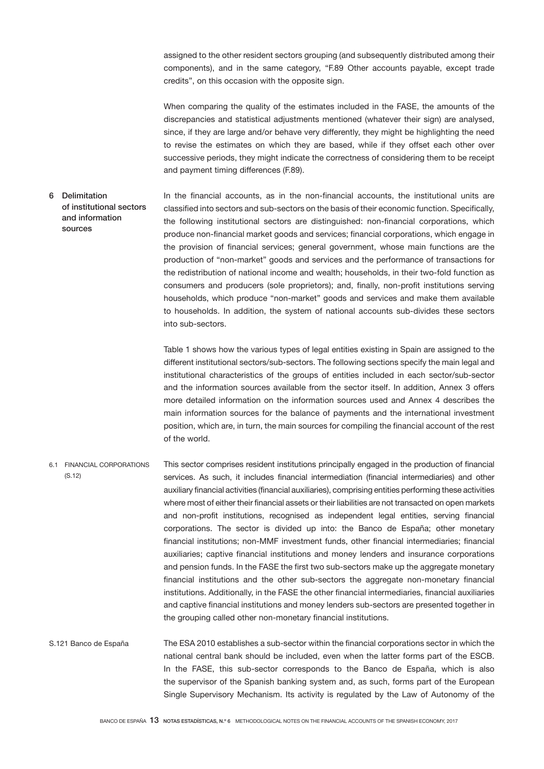assigned to the other resident sectors grouping (and subsequently distributed among their components), and in the same category, "F.89 Other accounts payable, except trade credits", on this occasion with the opposite sign.

When comparing the quality of the estimates included in the FASE, the amounts of the discrepancies and statistical adjustments mentioned (whatever their sign) are analysed, since, if they are large and/or behave very differently, they might be highlighting the need to revise the estimates on which they are based, while if they offset each other over successive periods, they might indicate the correctness of considering them to be receipt and payment timing differences (F.89).

In the financial accounts, as in the non-financial accounts, the institutional units are classified into sectors and sub-sectors on the basis of their economic function. Specifically, the following institutional sectors are distinguished: non-financial corporations, which produce non-financial market goods and services; financial corporations, which engage in the provision of financial services; general government, whose main functions are the production of "non-market" goods and services and the performance of transactions for the redistribution of national income and wealth; households, in their two-fold function as consumers and producers (sole proprietors); and, finally, non-profit institutions serving households, which produce "non-market" goods and services and make them available to households. In addition, the system of national accounts sub-divides these sectors into sub-sectors. 6 Delimitation of institutional sectors and information sources

> Table 1 shows how the various types of legal entities existing in Spain are assigned to the different institutional sectors/sub-sectors. The following sections specify the main legal and institutional characteristics of the groups of entities included in each sector/sub-sector and the information sources available from the sector itself. In addition, Annex 3 offers more detailed information on the information sources used and Annex 4 describes the main information sources for the balance of payments and the international investment position, which are, in turn, the main sources for compiling the financial account of the rest of the world.

This sector comprises resident institutions principally engaged in the production of financial services. As such, it includes financial intermediation (financial intermediaries) and other auxiliary financial activities (financial auxiliaries), comprising entities performing these activities where most of either their financial assets or their liabilities are not transacted on open markets and non-profit institutions, recognised as independent legal entities, serving financial corporations. The sector is divided up into: the Banco de España; other monetary financial institutions; non-MMF investment funds, other financial intermediaries; financial auxiliaries; captive financial institutions and money lenders and insurance corporations and pension funds. In the FASE the first two sub-sectors make up the aggregate monetary financial institutions and the other sub-sectors the aggregate non-monetary financial institutions. Additionally, in the FASE the other financial intermediaries, financial auxiliaries and captive financial institutions and money lenders sub-sectors are presented together in the grouping called other non-monetary financial institutions. 6.1 FINANCIAL CORPORATIONS (S.12)

The ESA 2010 establishes a sub-sector within the financial corporations sector in which the national central bank should be included, even when the latter forms part of the ESCB. In the FASE, this sub-sector corresponds to the Banco de España, which is also the supervisor of the Spanish banking system and, as such, forms part of the European Single Supervisory Mechanism. Its activity is regulated by the Law of Autonomy of the S.121 Banco de España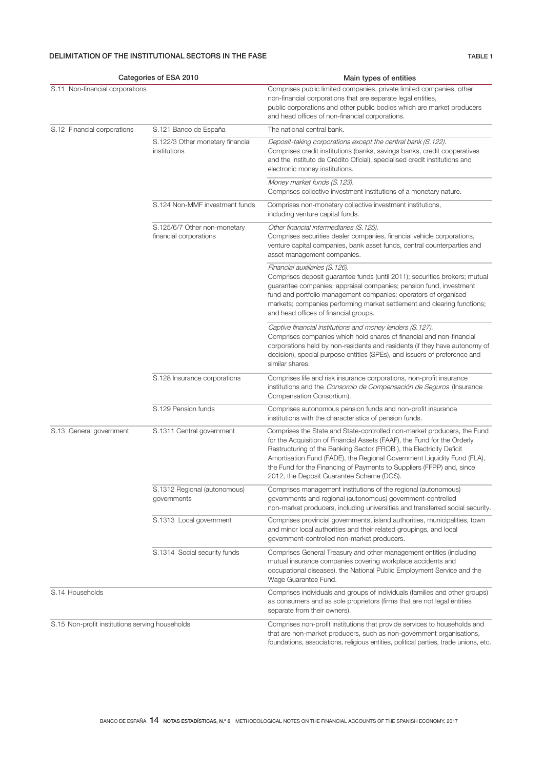# DELIMITATION OF THE INSTITUTIONAL SECTORS IN THE FASE TABLE 1

| Categories of ESA 2010                          |                                                        | Main types of entities                                                                                                                                                                                                                                                                                                                                                                                                      |  |  |
|-------------------------------------------------|--------------------------------------------------------|-----------------------------------------------------------------------------------------------------------------------------------------------------------------------------------------------------------------------------------------------------------------------------------------------------------------------------------------------------------------------------------------------------------------------------|--|--|
| S.11 Non-financial corporations                 |                                                        | Comprises public limited companies, private limited companies, other<br>non-financial corporations that are separate legal entities,<br>public corporations and other public bodies which are market producers<br>and head offices of non-financial corporations.                                                                                                                                                           |  |  |
| S.12 Financial corporations                     | S.121 Banco de España                                  | The national central bank.                                                                                                                                                                                                                                                                                                                                                                                                  |  |  |
|                                                 | S.122/3 Other monetary financial<br>institutions       | Deposit-taking corporations except the central bank (S.122).<br>Comprises credit institutions (banks, savings banks, credit cooperatives<br>and the Instituto de Crédito Oficial), specialised credit institutions and<br>electronic money institutions.                                                                                                                                                                    |  |  |
|                                                 |                                                        | Money market funds (S. 123).<br>Comprises collective investment institutions of a monetary nature.                                                                                                                                                                                                                                                                                                                          |  |  |
|                                                 | S.124 Non-MMF investment funds                         | Comprises non-monetary collective investment institutions,<br>including venture capital funds.                                                                                                                                                                                                                                                                                                                              |  |  |
|                                                 | S.125/6/7 Other non-monetary<br>financial corporations | Other financial intermediaries (S. 125).<br>Comprises securities dealer companies, financial vehicle corporations,<br>venture capital companies, bank asset funds, central counterparties and<br>asset management companies.                                                                                                                                                                                                |  |  |
|                                                 |                                                        | Financial auxiliaries (S. 126).<br>Comprises deposit guarantee funds (until 2011); securities brokers; mutual<br>guarantee companies; appraisal companies; pension fund, investment<br>fund and portfolio management companies; operators of organised<br>markets; companies performing market settlement and clearing functions;<br>and head offices of financial groups.                                                  |  |  |
|                                                 |                                                        | Captive financial institutions and money lenders (S.127).<br>Comprises companies which hold shares of financial and non-financial<br>corporations held by non-residents and residents (if they have autonomy of<br>decision), special purpose entities (SPEs), and issuers of preference and<br>similar shares.                                                                                                             |  |  |
|                                                 | S.128 Insurance corporations                           | Comprises life and risk insurance corporations, non-profit insurance<br>institutions and the Consorcio de Compensación de Seguros (Insurance<br>Compensation Consortium).                                                                                                                                                                                                                                                   |  |  |
|                                                 | S.129 Pension funds                                    | Comprises autonomous pension funds and non-profit insurance<br>institutions with the characteristics of pension funds.                                                                                                                                                                                                                                                                                                      |  |  |
| S.13 General government                         | S.1311 Central government                              | Comprises the State and State-controlled non-market producers, the Fund<br>for the Acquisition of Financial Assets (FAAF), the Fund for the Orderly<br>Restructuring of the Banking Sector (FROB), the Electricity Deficit<br>Amortisation Fund (FADE), the Regional Government Liquidity Fund (FLA),<br>the Fund for the Financing of Payments to Suppliers (FFPP) and, since<br>2012, the Deposit Guarantee Scheme (DGS). |  |  |
|                                                 | S.1312 Regional (autonomous)<br>governments            | Comprises management institutions of the regional (autonomous)<br>governments and regional (autonomous) government-controlled<br>non-market producers, including universities and transferred social security.                                                                                                                                                                                                              |  |  |
|                                                 | S.1313 Local government                                | Comprises provincial governments, island authorities, municipalities, town<br>and minor local authorities and their related groupings, and local<br>government-controlled non-market producers.                                                                                                                                                                                                                             |  |  |
|                                                 | S.1314 Social security funds                           | Comprises General Treasury and other management entities (including<br>mutual insurance companies covering workplace accidents and<br>occupational diseases), the National Public Employment Service and the<br>Wage Guarantee Fund.                                                                                                                                                                                        |  |  |
| S.14 Households                                 |                                                        | Comprises individuals and groups of individuals (families and other groups)<br>as consumers and as sole proprietors (firms that are not legal entities<br>separate from their owners).                                                                                                                                                                                                                                      |  |  |
| S.15 Non-profit institutions serving households |                                                        | Comprises non-profit institutions that provide services to households and<br>that are non-market producers, such as non-government organisations,<br>foundations, associations, religious entities, political parties, trade unions, etc.                                                                                                                                                                                   |  |  |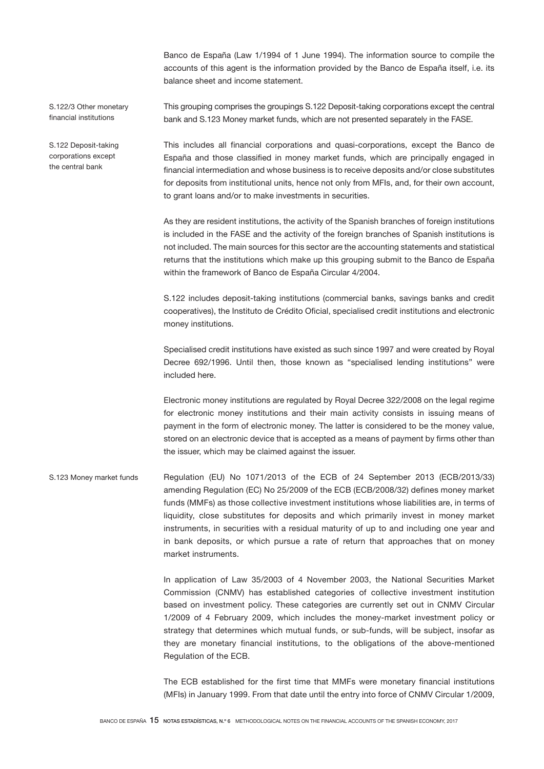Banco de España (Law 1/1994 of 1 June 1994). The information source to compile the accounts of this agent is the information provided by the Banco de España itself, i.e. its balance sheet and income statement.

S.122/3 Other monetary financial institutions

S.122 Deposit-taking corporations except the central bank

This grouping comprises the groupings S.122 Deposit-taking corporations except the central bank and S.123 Money market funds, which are not presented separately in the FASE.

This includes all financial corporations and quasi-corporations, except the Banco de España and those classified in money market funds, which are principally engaged in financial intermediation and whose business is to receive deposits and/or close substitutes for deposits from institutional units, hence not only from MFIs, and, for their own account, to grant loans and/or to make investments in securities.

As they are resident institutions, the activity of the Spanish branches of foreign institutions is included in the FASE and the activity of the foreign branches of Spanish institutions is not included. The main sources for this sector are the accounting statements and statistical returns that the institutions which make up this grouping submit to the Banco de España within the framework of Banco de España Circular 4/2004.

S.122 includes deposit-taking institutions (commercial banks, savings banks and credit cooperatives), the Instituto de Crédito Oficial, specialised credit institutions and electronic money institutions.

Specialised credit institutions have existed as such since 1997 and were created by Royal Decree 692/1996. Until then, those known as "specialised lending institutions" were included here.

Electronic money institutions are regulated by Royal Decree 322/2008 on the legal regime for electronic money institutions and their main activity consists in issuing means of payment in the form of electronic money. The latter is considered to be the money value, stored on an electronic device that is accepted as a means of payment by firms other than the issuer, which may be claimed against the issuer.

Regulation (EU) No 1071/2013 of the ECB of 24 September 2013 (ECB/2013/33) amending Regulation (EC) No 25/2009 of the ECB (ECB/2008/32) defines money market funds (MMFs) as those collective investment institutions whose liabilities are, in terms of liquidity, close substitutes for deposits and which primarily invest in money market instruments, in securities with a residual maturity of up to and including one year and in bank deposits, or which pursue a rate of return that approaches that on money market instruments. S.123 Money market funds

> In application of Law 35/2003 of 4 November 2003, the National Securities Market Commission (CNMV) has established categories of collective investment institution based on investment policy. These categories are currently set out in CNMV Circular 1/2009 of 4 February 2009, which includes the money-market investment policy or strategy that determines which mutual funds, or sub-funds, will be subject, insofar as they are monetary financial institutions, to the obligations of the above-mentioned Regulation of the ECB.

> The ECB established for the first time that MMFs were monetary financial institutions (MFIs) in January 1999. From that date until the entry into force of CNMV Circular 1/2009,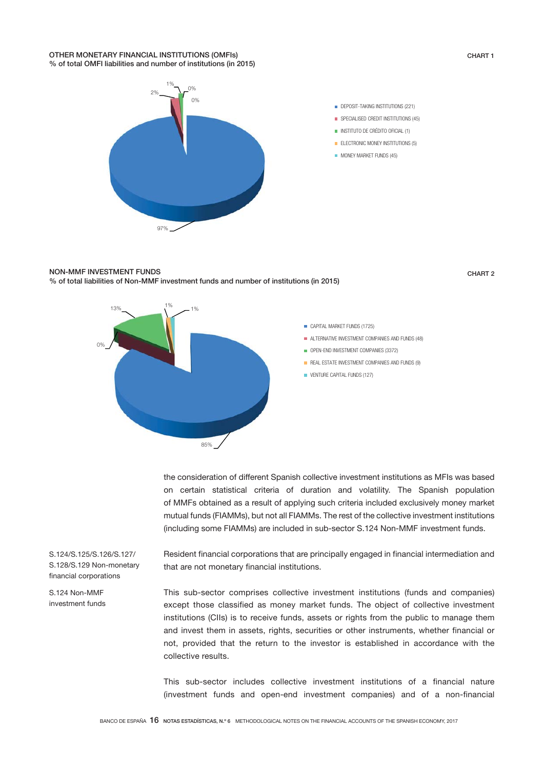### OTHER MONETARY FINANCIAL INSTITUTIONS (OMFIs) % of total OMFI liabilities and number of institutions (in 2015)



- **DEPOSIT-TAKING INSTITUTIONS (221)** SPECIALISED CREDIT INSTITUTIONS (45)
- **INSTITUTO DE CRÉDITO OFICIAL (1)**
- **ELECTRONIC MONEY INSTITUTIONS (5)**
- **MONEY MARKET FUNDS (45)**

### NON-MMF INVESTMENT FUNDS % of total liabilities of Non-MMF investment funds and number of institutions (in 2015)

CHART 2

CHART 1





the consideration of different Spanish collective investment institutions as MFIs was based on certain statistical criteria of duration and volatility. The Spanish population of MMFs obtained as a result of applying such criteria included exclusively money market mutual funds (FIAMMs), but not all FIAMMs. The rest of the collective investment institutions (including some FIAMMs) are included in sub-sector S.124 Non-MMF investment funds.

Resident financial corporations that are principally engaged in financial intermediation and that are not monetary financial institutions.

This sub-sector comprises collective investment institutions (funds and companies) except those classified as money market funds. The object of collective investment institutions (CIIs) is to receive funds, assets or rights from the public to manage them and invest them in assets, rights, securities or other instruments, whether financial or not, provided that the return to the investor is established in accordance with the collective results.

This sub-sector includes collective investment institutions of a financial nature (investment funds and open-end investment companies) and of a non-financial

S.124/S.125/S.126/S.127/ S.128/S.129 Non-monetary financial corporations

S.124 Non-MMF investment funds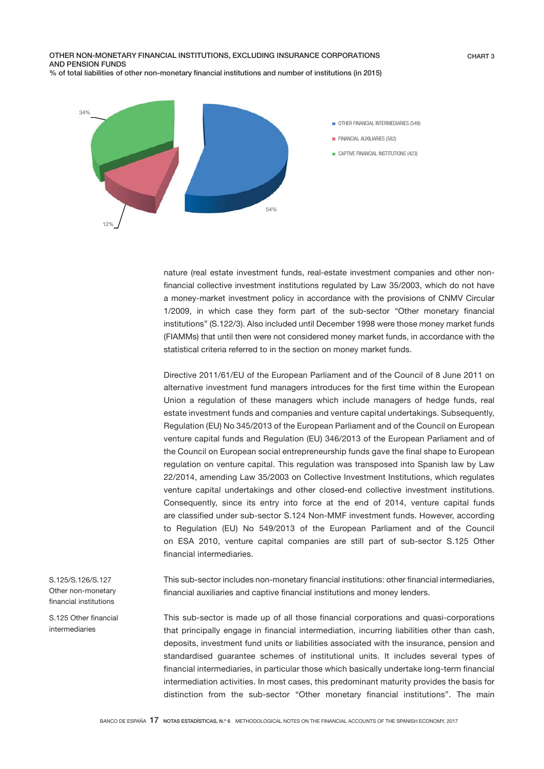OTHER NON-MONETARY FINANCIAL INSTITUTIONS, EXCLUDING INSURANCE CORPORATIONS AND PENSION FUNDS % of total liabilities of other non-monetary financial institutions and number of institutions (in 2015) CHART 3



nature (real estate investment funds, real-estate investment companies and other nonfinancial collective investment institutions regulated by Law 35/2003, which do not have a money-market investment policy in accordance with the provisions of CNMV Circular 1/2009, in which case they form part of the sub-sector "Other monetary financial institutions" (S.122/3). Also included until December 1998 were those money market funds (FIAMMs) that until then were not considered money market funds, in accordance with the statistical criteria referred to in the section on money market funds.

Directive 2011/61/EU of the European Parliament and of the Council of 8 June 2011 on alternative investment fund managers introduces for the first time within the European Union a regulation of these managers which include managers of hedge funds, real estate investment funds and companies and venture capital undertakings. Subsequently, Regulation (EU) No 345/2013 of the European Parliament and of the Council on European venture capital funds and Regulation (EU) 346/2013 of the European Parliament and of the Council on European social entrepreneurship funds gave the final shape to European regulation on venture capital. This regulation was transposed into Spanish law by Law 22/2014, amending Law 35/2003 on Collective Investment Institutions, which regulates venture capital undertakings and other closed-end collective investment institutions. Consequently, since its entry into force at the end of 2014, venture capital funds are classified under sub-sector S.124 Non-MMF investment funds. However, according to Regulation (EU) No 549/2013 of the European Parliament and of the Council on ESA 2010, venture capital companies are still part of sub-sector S.125 Other financial intermediaries.

This sub-sector includes non-monetary financial institutions: other financial intermediaries, financial auxiliaries and captive financial institutions and money lenders.

This sub-sector is made up of all those financial corporations and quasi-corporations that principally engage in financial intermediation, incurring liabilities other than cash, deposits, investment fund units or liabilities associated with the insurance, pension and standardised guarantee schemes of institutional units. It includes several types of financial intermediaries, in particular those which basically undertake long-term financial intermediation activities. In most cases, this predominant maturity provides the basis for distinction from the sub-sector "Other monetary financial institutions". The main

S.125/S.126/S.127 Other non-monetary financial institutions

S.125 Other financial intermediaries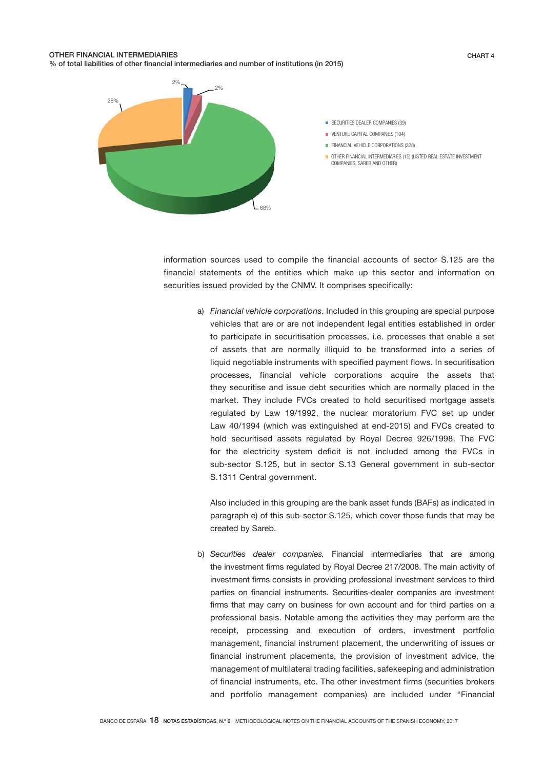### OTHER FINANCIAL INTERMEDIARIES % of total liabilities of other financial intermediaries and number of institutions (in 2015)

CHART 4



information sources used to compile the financial accounts of sector S.125 are the financial statements of the entities which make up this sector and information on securities issued provided by the CNMV. It comprises specifically:

> a) *Financial vehicle corporations*. Included in this grouping are special purpose vehicles that are or are not independent legal entities established in order to participate in securitisation processes, i.e. processes that enable a set of assets that are normally illiquid to be transformed into a series of liquid negotiable instruments with specified payment flows. In securitisation processes, financial vehicle corporations acquire the assets that they securitise and issue debt securities which are normally placed in the market. They include FVCs created to hold securitised mortgage assets regulated by Law 19/1992, the nuclear moratorium FVC set up under Law 40/1994 (which was extinguished at end-2015) and FVCs created to hold securitised assets regulated by Royal Decree 926/1998. The FVC for the electricity system deficit is not included among the FVCs in sub-sector S.125, but in sector S.13 General government in sub-sector S.1311 Central government.

Also included in this grouping are the bank asset funds (BAFs) as indicated in paragraph e) of this sub-sector S.125, which cover those funds that may be created by Sareb.

b) *Securities dealer companies.* Financial intermediaries that are among the investment firms regulated by Royal Decree 217/2008. The main activity of investment firms consists in providing professional investment services to third parties on financial instruments. Securities-dealer companies are investment firms that may carry on business for own account and for third parties on a professional basis. Notable among the activities they may perform are the receipt, processing and execution of orders, investment portfolio management, financial instrument placement, the underwriting of issues or financial instrument placements, the provision of investment advice, the management of multilateral trading facilities, safekeeping and administration of financial instruments, etc. The other investment firms (securities brokers and portfolio management companies) are included under "Financial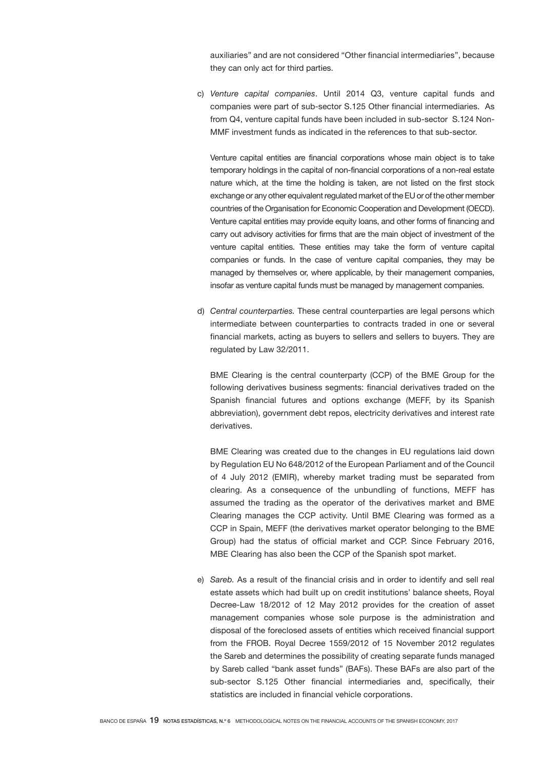auxiliaries" and are not considered "Other financial intermediaries", because they can only act for third parties.

c) *Venture capital companies*. Until 2014 Q3, venture capital funds and companies were part of sub-sector S.125 Other financial intermediaries. As from Q4, venture capital funds have been included in sub-sector S.124 Non-MMF investment funds as indicated in the references to that sub-sector.

Venture capital entities are financial corporations whose main object is to take temporary holdings in the capital of non-financial corporations of a non-real estate nature which, at the time the holding is taken, are not listed on the first stock exchange or any other equivalent regulated market of the EU or of the other member countries of the Organisation for Economic Cooperation and Development (OECD). Venture capital entities may provide equity loans, and other forms of financing and carry out advisory activities for firms that are the main object of investment of the venture capital entities. These entities may take the form of venture capital companies or funds. In the case of venture capital companies, they may be managed by themselves or, where applicable, by their management companies, insofar as venture capital funds must be managed by management companies.

d) *Central counterparties.* These central counterparties are legal persons which intermediate between counterparties to contracts traded in one or several financial markets, acting as buyers to sellers and sellers to buyers. They are regulated by Law 32/2011.

 BME Clearing is the central counterparty (CCP) of the BME Group for the following derivatives business segments: financial derivatives traded on the Spanish financial futures and options exchange (MEFF, by its Spanish abbreviation), government debt repos, electricity derivatives and interest rate derivatives.

BME Clearing was created due to the changes in EU regulations laid down by Regulation EU No 648/2012 of the European Parliament and of the Council of 4 July 2012 (EMIR), whereby market trading must be separated from clearing. As a consequence of the unbundling of functions, MEFF has assumed the trading as the operator of the derivatives market and BME Clearing manages the CCP activity. Until BME Clearing was formed as a CCP in Spain, MEFF (the derivatives market operator belonging to the BME Group) had the status of official market and CCP. Since February 2016, MBE Clearing has also been the CCP of the Spanish spot market.

e) *Sareb.* As a result of the financial crisis and in order to identify and sell real estate assets which had built up on credit institutions' balance sheets, Royal Decree-Law 18/2012 of 12 May 2012 provides for the creation of asset management companies whose sole purpose is the administration and disposal of the foreclosed assets of entities which received financial support from the FROB. Royal Decree 1559/2012 of 15 November 2012 regulates the Sareb and determines the possibility of creating separate funds managed by Sareb called "bank asset funds" (BAFs). These BAFs are also part of the sub-sector S.125 Other financial intermediaries and, specifically, their statistics are included in financial vehicle corporations.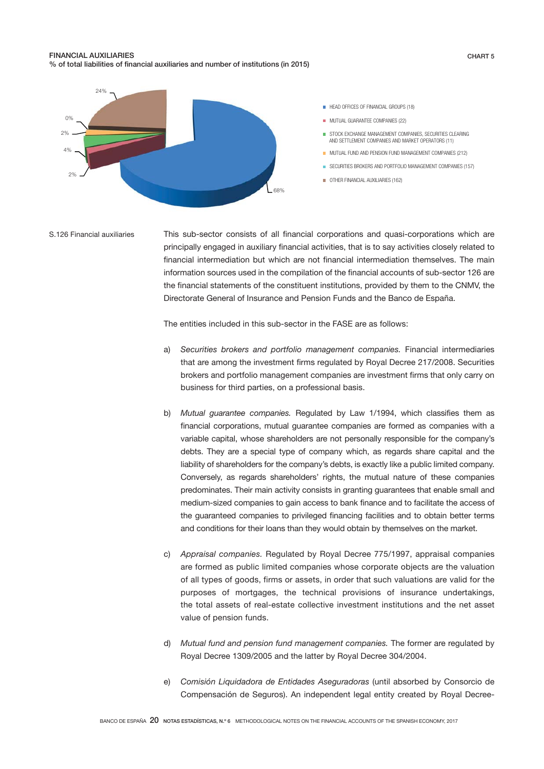### FINANCIAL AUXILIARIES % of total liabilities of financial auxiliaries and number of institutions (in 2015)



This sub-sector consists of all financial corporations and quasi-corporations which are principally engaged in auxiliary financial activities, that is to say activities closely related to financial intermediation but which are not financial intermediation themselves. The main information sources used in the compilation of the financial accounts of sub-sector 126 are the financial statements of the constituent institutions, provided by them to the CNMV, the Directorate General of Insurance and Pension Funds and the Banco de España. S.126 Financial auxiliaries

The entities included in this sub-sector in the FASE are as follows:

- a) *Securities brokers and portfolio management companies.* Financial intermediaries that are among the investment firms regulated by Royal Decree 217/2008. Securities brokers and portfolio management companies are investment firms that only carry on business for third parties, on a professional basis.
- b) *Mutual guarantee companies.* Regulated by Law 1/1994, which classifies them as financial corporations, mutual guarantee companies are formed as companies with a variable capital, whose shareholders are not personally responsible for the company's debts. They are a special type of company which, as regards share capital and the liability of shareholders for the company's debts, is exactly like a public limited company. Conversely, as regards shareholders' rights, the mutual nature of these companies predominates. Their main activity consists in granting guarantees that enable small and medium-sized companies to gain access to bank finance and to facilitate the access of the guaranteed companies to privileged financing facilities and to obtain better terms and conditions for their loans than they would obtain by themselves on the market.
- c) *Appraisal companies.* Regulated by Royal Decree 775/1997, appraisal companies are formed as public limited companies whose corporate objects are the valuation of all types of goods, firms or assets, in order that such valuations are valid for the purposes of mortgages, the technical provisions of insurance undertakings, the total assets of real-estate collective investment institutions and the net asset value of pension funds.
- d) *Mutual fund and pension fund management companies.* The former are regulated by Royal Decree 1309/2005 and the latter by Royal Decree 304/2004.
- e) *Comisión Liquidadora de Entidades Aseguradoras* (until absorbed by Consorcio de Compensación de Seguros). An independent legal entity created by Royal Decree-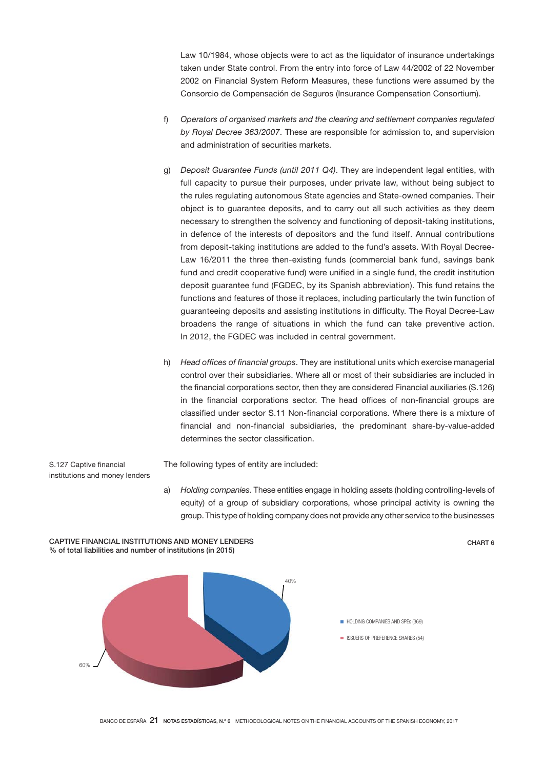Law 10/1984, whose objects were to act as the liquidator of insurance undertakings taken under State control. From the entry into force of Law 44/2002 of 22 November 2002 on Financial System Reform Measures, these functions were assumed by the Consorcio de Compensación de Seguros (Insurance Compensation Consortium).

- f) *Operators of organised markets and the clearing and settlement companies regulated by Royal Decree 363/2007*. These are responsible for admission to, and supervision and administration of securities markets.
- g) *Deposit Guarantee Funds (until 2011 Q4)*. They are independent legal entities, with full capacity to pursue their purposes, under private law, without being subject to the rules regulating autonomous State agencies and State-owned companies. Their object is to guarantee deposits, and to carry out all such activities as they deem necessary to strengthen the solvency and functioning of deposit-taking institutions, in defence of the interests of depositors and the fund itself. Annual contributions from deposit-taking institutions are added to the fund's assets. With Royal Decree-Law 16/2011 the three then-existing funds (commercial bank fund, savings bank fund and credit cooperative fund) were unified in a single fund, the credit institution deposit guarantee fund (FGDEC, by its Spanish abbreviation). This fund retains the functions and features of those it replaces, including particularly the twin function of guaranteeing deposits and assisting institutions in difficulty. The Royal Decree-Law broadens the range of situations in which the fund can take preventive action. In 2012, the FGDEC was included in central government.
- h) *Head offices of financial groups*. They are institutional units which exercise managerial control over their subsidiaries. Where all or most of their subsidiaries are included in the financial corporations sector, then they are considered Financial auxiliaries (S.126) in the financial corporations sector. The head offices of non-financial groups are classified under sector S.11 Non-financial corporations. Where there is a mixture of financial and non-financial subsidiaries, the predominant share-by-value-added determines the sector classification.

S.127 Captive financial institutions and money lenders The following types of entity are included:

a) *Holding companies*. These entities engage in holding assets (holding controlling-levels of equity) of a group of subsidiary corporations, whose principal activity is owning the group. This type of holding company does not provide any other service to the businesses

CHART 6



CAPTIVE FINANCIAL INSTITUTIONS AND MONEY LENDERS % of total liabilities and number of institutions (in 2015)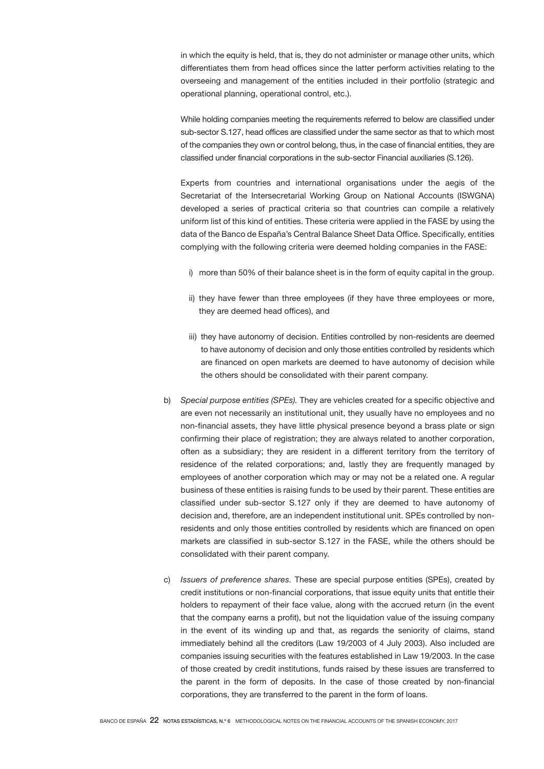in which the equity is held, that is, they do not administer or manage other units, which differentiates them from head offices since the latter perform activities relating to the overseeing and management of the entities included in their portfolio (strategic and operational planning, operational control, etc.).

 While holding companies meeting the requirements referred to below are classified under sub-sector S.127, head offices are classified under the same sector as that to which most of the companies they own or control belong, thus, in the case of financial entities, they are classified under financial corporations in the sub-sector Financial auxiliaries (S.126).

 Experts from countries and international organisations under the aegis of the Secretariat of the Intersecretarial Working Group on National Accounts (ISWGNA) developed a series of practical criteria so that countries can compile a relatively uniform list of this kind of entities. These criteria were applied in the FASE by using the data of the Banco de España's Central Balance Sheet Data Office. Specifically, entities complying with the following criteria were deemed holding companies in the FASE:

- i) more than 50% of their balance sheet is in the form of equity capital in the group.
- ii) they have fewer than three employees (if they have three employees or more, they are deemed head offices), and
- iii) they have autonomy of decision. Entities controlled by non-residents are deemed to have autonomy of decision and only those entities controlled by residents which are financed on open markets are deemed to have autonomy of decision while the others should be consolidated with their parent company.
- b) *Special purpose entities (SPEs).* They are vehicles created for a specific objective and are even not necessarily an institutional unit, they usually have no employees and no non-financial assets, they have little physical presence beyond a brass plate or sign confirming their place of registration; they are always related to another corporation, often as a subsidiary; they are resident in a different territory from the territory of residence of the related corporations; and, lastly they are frequently managed by employees of another corporation which may or may not be a related one. A regular business of these entities is raising funds to be used by their parent. These entities are classified under sub-sector S.127 only if they are deemed to have autonomy of decision and, therefore, are an independent institutional unit. SPEs controlled by nonresidents and only those entities controlled by residents which are financed on open markets are classified in sub-sector S.127 in the FASE, while the others should be consolidated with their parent company.
- c) *Issuers of preference shares.* These are special purpose entities (SPEs), created by credit institutions or non-financial corporations, that issue equity units that entitle their holders to repayment of their face value, along with the accrued return (in the event that the company earns a profit), but not the liquidation value of the issuing company in the event of its winding up and that, as regards the seniority of claims, stand immediately behind all the creditors (Law 19/2003 of 4 July 2003). Also included are companies issuing securities with the features established in Law 19/2003. In the case of those created by credit institutions, funds raised by these issues are transferred to the parent in the form of deposits. In the case of those created by non-financial corporations, they are transferred to the parent in the form of loans.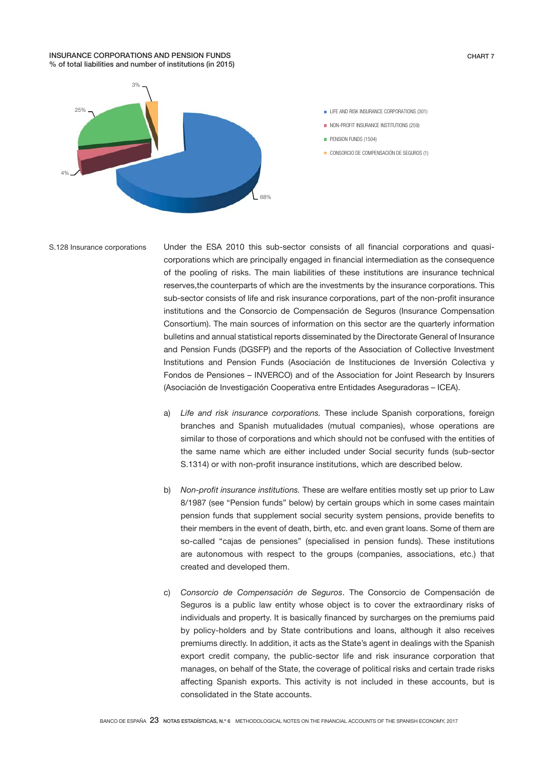### INSURANCE CORPORATIONS AND PENSION FUNDS % of total liabilities and number of institutions (in 2015)



- **LIFE AND RISK INSURANCE CORPORATIONS (301)**
- NON-PROFIT INSURANCE INSTITUTIONS (259)
- **PENSION FUNDS (1504)**
- CONSORCIO DE COMPENSACIÓN DE SEGUROS (1)

#### S.128 Insurance corporations

Under the ESA 2010 this sub-sector consists of all financial corporations and quasicorporations which are principally engaged in financial intermediation as the consequence of the pooling of risks. The main liabilities of these institutions are insurance technical reserves,the counterparts of which are the investments by the insurance corporations. This sub-sector consists of life and risk insurance corporations, part of the non-profit insurance institutions and the Consorcio de Compensación de Seguros (Insurance Compensation Consortium). The main sources of information on this sector are the quarterly information bulletins and annual statistical reports disseminated by the Directorate General of Insurance and Pension Funds (DGSFP) and the reports of the Association of Collective Investment Institutions and Pension Funds (Asociación de Instituciones de Inversión Colectiva y Fondos de Pensiones – INVERCO) and of the Association for Joint Research by Insurers (Asociación de Investigación Cooperativa entre Entidades Aseguradoras – ICEA).

- a) *Life and risk insurance corporations.* These include Spanish corporations, foreign branches and Spanish mutualidades (mutual companies), whose operations are similar to those of corporations and which should not be confused with the entities of the same name which are either included under Social security funds (sub-sector S.1314) or with non-profit insurance institutions, which are described below.
- b) *Non-profit insurance institutions.* These are welfare entities mostly set up prior to Law 8/1987 (see "Pension funds" below) by certain groups which in some cases maintain pension funds that supplement social security system pensions, provide benefits to their members in the event of death, birth, etc. and even grant loans. Some of them are so-called "cajas de pensiones" (specialised in pension funds). These institutions are autonomous with respect to the groups (companies, associations, etc.) that created and developed them.
- c) *Consorcio de Compensación de Seguros*. The Consorcio de Compensación de Seguros is a public law entity whose object is to cover the extraordinary risks of individuals and property. It is basically financed by surcharges on the premiums paid by policy-holders and by State contributions and loans, although it also receives premiums directly. In addition, it acts as the State's agent in dealings with the Spanish export credit company, the public-sector life and risk insurance corporation that manages, on behalf of the State, the coverage of political risks and certain trade risks affecting Spanish exports. This activity is not included in these accounts, but is consolidated in the State accounts.

CHART 7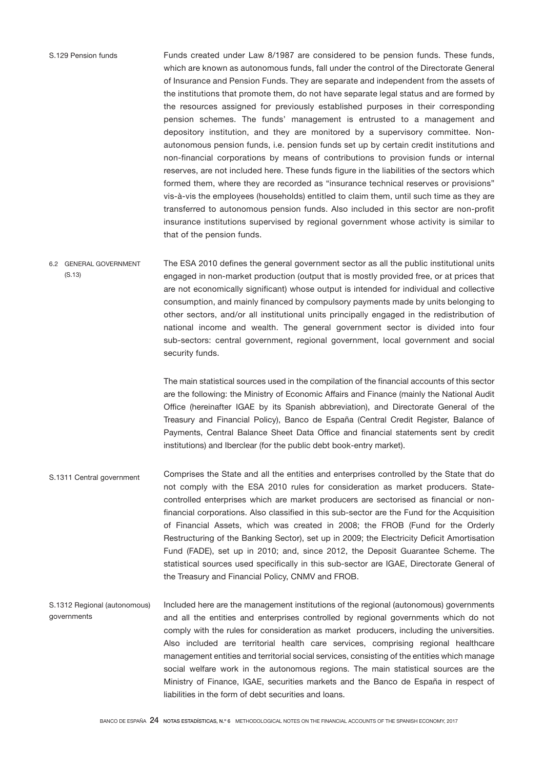Funds created under Law 8/1987 are considered to be pension funds. These funds, which are known as autonomous funds, fall under the control of the Directorate General of Insurance and Pension Funds. They are separate and independent from the assets of the institutions that promote them, do not have separate legal status and are formed by the resources assigned for previously established purposes in their corresponding pension schemes. The funds' management is entrusted to a management and depository institution, and they are monitored by a supervisory committee. Nonautonomous pension funds, i.e. pension funds set up by certain credit institutions and non-financial corporations by means of contributions to provision funds or internal reserves, are not included here. These funds figure in the liabilities of the sectors which formed them, where they are recorded as "insurance technical reserves or provisions" vis-à-vis the employees (households) entitled to claim them, until such time as they are transferred to autonomous pension funds. Also included in this sector are non-profit insurance institutions supervised by regional government whose activity is similar to that of the pension funds.

The ESA 2010 defines the general government sector as all the public institutional units engaged in non-market production (output that is mostly provided free, or at prices that are not economically significant) whose output is intended for individual and collective consumption, and mainly financed by compulsory payments made by units belonging to other sectors, and/or all institutional units principally engaged in the redistribution of national income and wealth. The general government sector is divided into four sub-sectors: central government, regional government, local government and social security funds. 6.2 GENERAL GOVERNMENT (S.13)

> The main statistical sources used in the compilation of the financial accounts of this sector are the following: the Ministry of Economic Affairs and Finance (mainly the National Audit Office (hereinafter IGAE by its Spanish abbreviation), and Directorate General of the Treasury and Financial Policy), Banco de España (Central Credit Register, Balance of Payments, Central Balance Sheet Data Office and financial statements sent by credit institutions) and Iberclear (for the public debt book-entry market).

- Comprises the State and all the entities and enterprises controlled by the State that do not comply with the ESA 2010 rules for consideration as market producers. Statecontrolled enterprises which are market producers are sectorised as financial or nonfinancial corporations. Also classified in this sub-sector are the Fund for the Acquisition of Financial Assets, which was created in 2008; the FROB (Fund for the Orderly Restructuring of the Banking Sector), set up in 2009; the Electricity Deficit Amortisation Fund (FADE), set up in 2010; and, since 2012, the Deposit Guarantee Scheme. The statistical sources used specifically in this sub-sector are IGAE, Directorate General of the Treasury and Financial Policy, CNMV and FROB. S.1311 Central government
- Included here are the management institutions of the regional (autonomous) governments and all the entities and enterprises controlled by regional governments which do not comply with the rules for consideration as market producers, including the universities. Also included are territorial health care services, comprising regional healthcare management entities and territorial social services, consisting of the entities which manage social welfare work in the autonomous regions. The main statistical sources are the Ministry of Finance, IGAE, securities markets and the Banco de España in respect of liabilities in the form of debt securities and loans. S.1312 Regional (autonomous) governments

### S.129 Pension funds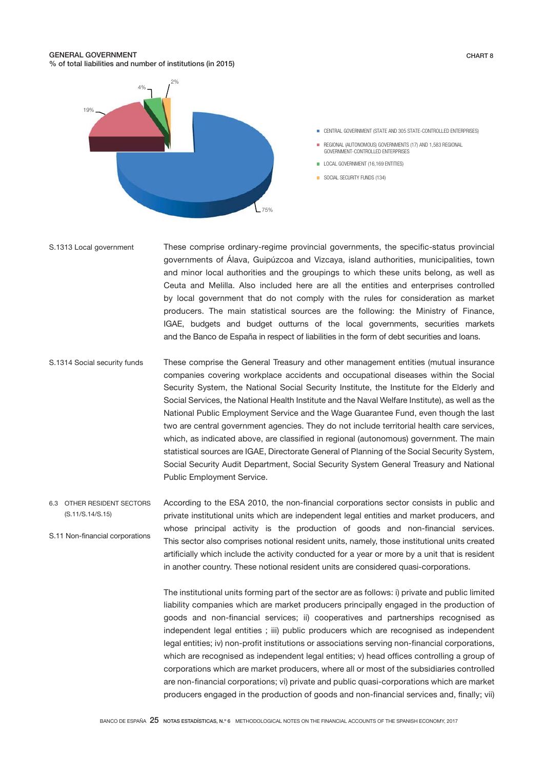### GENERAL GOVERNMENT % of total liabilities and number of institutions (in 2015)



CHART 8



- REGIONAL (AUTONOMOUS) GOVERNMENTS (17) AND 1,583 REGIONAL  $\mathbf{r}$ GOVERNMENT-CONTROLLED ENTERPRISES
- **LOCAL GOVERNMENT (16,169 ENTITIES)**
- SOCIAL SECURITY FUNDS (134)
- These comprise ordinary-regime provincial governments, the specific-status provincial governments of Álava, Guipúzcoa and Vizcaya, island authorities, municipalities, town and minor local authorities and the groupings to which these units belong, as well as Ceuta and Melilla. Also included here are all the entities and enterprises controlled by local government that do not comply with the rules for consideration as market producers. The main statistical sources are the following: the Ministry of Finance, IGAE, budgets and budget outturns of the local governments, securities markets and the Banco de España in respect of liabilities in the form of debt securities and loans. S.1313 Local government
- These comprise the General Treasury and other management entities (mutual insurance companies covering workplace accidents and occupational diseases within the Social Security System, the National Social Security Institute, the Institute for the Elderly and Social Services, the National Health Institute and the Naval Welfare Institute), as well as the National Public Employment Service and the Wage Guarantee Fund, even though the last two are central government agencies. They do not include territorial health care services, which, as indicated above, are classified in regional (autonomous) government. The main statistical sources are IGAE, Directorate General of Planning of the Social Security System, Social Security Audit Department, Social Security System General Treasury and National Public Employment Service. S.1314 Social security funds
- According to the ESA 2010, the non-financial corporations sector consists in public and private institutional units which are independent legal entities and market producers, and whose principal activity is the production of goods and non-financial services. This sector also comprises notional resident units, namely, those institutional units created artificially which include the activity conducted for a year or more by a unit that is resident in another country. These notional resident units are considered quasi-corporations. 6.3 OTHER RESIDENT SECTORS (S.11/S.14/S.15) S.11 Non-financial corporations

The institutional units forming part of the sector are as follows: i) private and public limited liability companies which are market producers principally engaged in the production of goods and non-financial services; ii) cooperatives and partnerships recognised as independent legal entities ; iii) public producers which are recognised as independent legal entities; iv) non-profit institutions or associations serving non-financial corporations, which are recognised as independent legal entities; y) head offices controlling a group of corporations which are market producers, where all or most of the subsidiaries controlled are non-financial corporations; vi) private and public quasi-corporations which are market producers engaged in the production of goods and non-financial services and, finally; vii)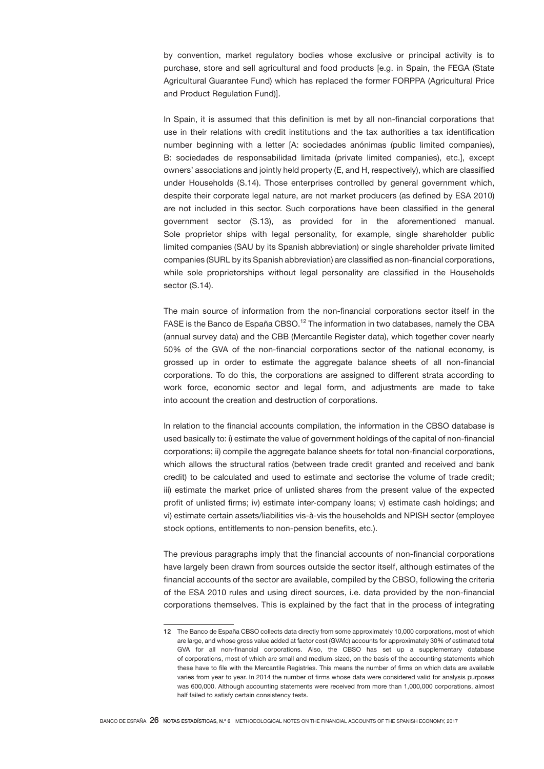by convention, market regulatory bodies whose exclusive or principal activity is to purchase, store and sell agricultural and food products [e.g. in Spain, the FEGA (State Agricultural Guarantee Fund) which has replaced the former FORPPA (Agricultural Price and Product Regulation Fund)].

In Spain, it is assumed that this definition is met by all non-financial corporations that use in their relations with credit institutions and the tax authorities a tax identification number beginning with a letter [A: sociedades anónimas (public limited companies), B: sociedades de responsabilidad limitada (private limited companies), etc.], except owners' associations and jointly held property (E, and H, respectively), which are classified under Households (S.14). Those enterprises controlled by general government which, despite their corporate legal nature, are not market producers (as defined by ESA 2010) are not included in this sector. Such corporations have been classified in the general government sector (S.13), as provided for in the aforementioned manual. Sole proprietor ships with legal personality, for example, single shareholder public limited companies (SAU by its Spanish abbreviation) or single shareholder private limited companies (SURL by its Spanish abbreviation) are classified as non-financial corporations, while sole proprietorships without legal personality are classified in the Households sector (S.14).

The main source of information from the non-financial corporations sector itself in the FASE is the Banco de España CBSO.<sup>12</sup> The information in two databases, namely the CBA (annual survey data) and the CBB (Mercantile Register data), which together cover nearly 50% of the GVA of the non-financial corporations sector of the national economy, is grossed up in order to estimate the aggregate balance sheets of all non-financial corporations. To do this, the corporations are assigned to different strata according to work force, economic sector and legal form, and adjustments are made to take into account the creation and destruction of corporations.

In relation to the financial accounts compilation, the information in the CBSO database is used basically to: i) estimate the value of government holdings of the capital of non-financial corporations; ii) compile the aggregate balance sheets for total non-financial corporations, which allows the structural ratios (between trade credit granted and received and bank credit) to be calculated and used to estimate and sectorise the volume of trade credit; iii) estimate the market price of unlisted shares from the present value of the expected profit of unlisted firms; iv) estimate inter-company loans; v) estimate cash holdings; and vi) estimate certain assets/liabilities vis-à-vis the households and NPISH sector (employee stock options, entitlements to non-pension benefits, etc.).

The previous paragraphs imply that the financial accounts of non-financial corporations have largely been drawn from sources outside the sector itself, although estimates of the financial accounts of the sector are available, compiled by the CBSO, following the criteria of the ESA 2010 rules and using direct sources, i.e. data provided by the non-financial corporations themselves. This is explained by the fact that in the process of integrating

<sup>12</sup> The Banco de España CBSO collects data directly from some approximately 10,000 corporations, most of which are large, and whose gross value added at factor cost (GVAfc) accounts for approximately 30% of estimated total GVA for all non-financial corporations. Also, the CBSO has set up a supplementary database of corporations, most of which are small and medium-sized, on the basis of the accounting statements which these have to file with the Mercantile Registries. This means the number of firms on which data are available varies from year to year. In 2014 the number of firms whose data were considered valid for analysis purposes was 600,000. Although accounting statements were received from more than 1,000,000 corporations, almost half failed to satisfy certain consistency tests.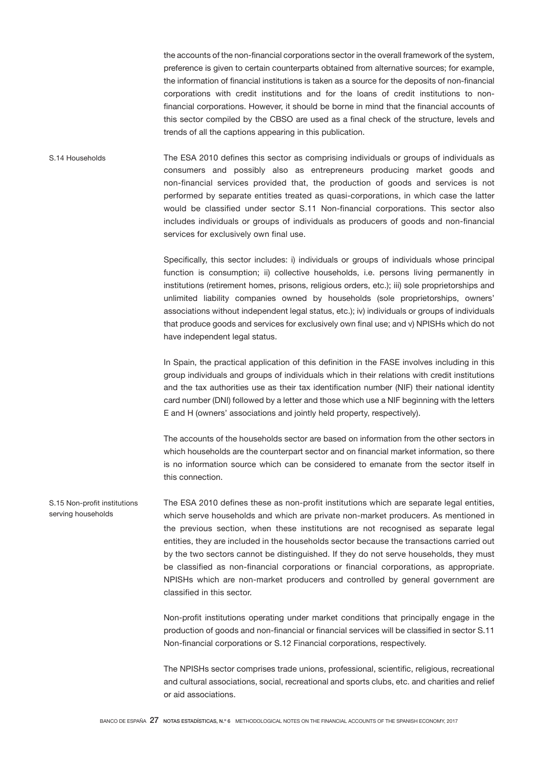the accounts of the non-financial corporations sector in the overall framework of the system, preference is given to certain counterparts obtained from alternative sources; for example, the information of financial institutions is taken as a source for the deposits of non-financial corporations with credit institutions and for the loans of credit institutions to nonfinancial corporations. However, it should be borne in mind that the financial accounts of this sector compiled by the CBSO are used as a final check of the structure, levels and trends of all the captions appearing in this publication.

The ESA 2010 defines this sector as comprising individuals or groups of individuals as consumers and possibly also as entrepreneurs producing market goods and non-financial services provided that, the production of goods and services is not performed by separate entities treated as quasi-corporations, in which case the latter would be classified under sector S.11 Non-financial corporations. This sector also includes individuals or groups of individuals as producers of goods and non-financial services for exclusively own final use. S.14 Households

> Specifically, this sector includes: i) individuals or groups of individuals whose principal function is consumption; ii) collective households, i.e. persons living permanently in institutions (retirement homes, prisons, religious orders, etc.); iii) sole proprietorships and unlimited liability companies owned by households (sole proprietorships, owners' associations without independent legal status, etc.); iv) individuals or groups of individuals that produce goods and services for exclusively own final use; and v) NPISHs which do not have independent legal status.

> In Spain, the practical application of this definition in the FASE involves including in this group individuals and groups of individuals which in their relations with credit institutions and the tax authorities use as their tax identification number (NIF) their national identity card number (DNI) followed by a letter and those which use a NIF beginning with the letters E and H (owners' associations and jointly held property, respectively).

> The accounts of the households sector are based on information from the other sectors in which households are the counterpart sector and on financial market information, so there is no information source which can be considered to emanate from the sector itself in this connection.

The ESA 2010 defines these as non-profit institutions which are separate legal entities, which serve households and which are private non-market producers. As mentioned in the previous section, when these institutions are not recognised as separate legal entities, they are included in the households sector because the transactions carried out by the two sectors cannot be distinguished. If they do not serve households, they must be classified as non-financial corporations or financial corporations, as appropriate. NPISHs which are non-market producers and controlled by general government are classified in this sector. S.15 Non-profit institutions serving households

> Non-profit institutions operating under market conditions that principally engage in the production of goods and non-financial or financial services will be classified in sector S.11 Non-financial corporations or S.12 Financial corporations, respectively.

> The NPISHs sector comprises trade unions, professional, scientific, religious, recreational and cultural associations, social, recreational and sports clubs, etc. and charities and relief or aid associations.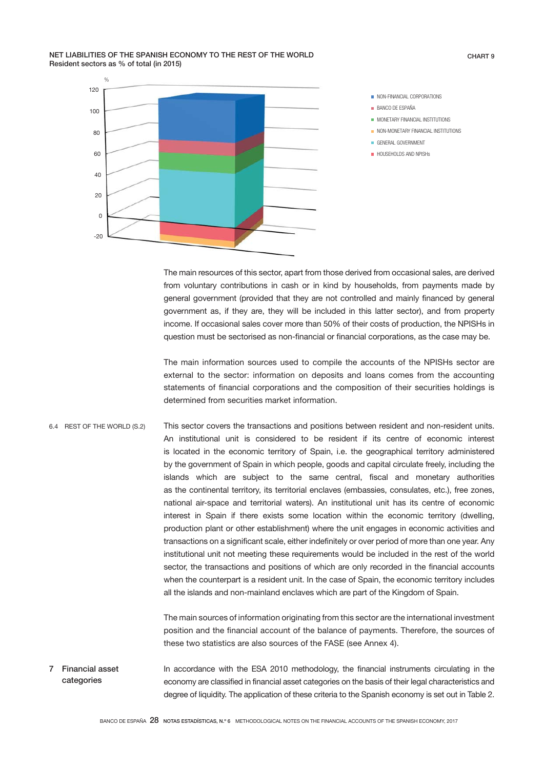NET LIABILITIES OF THE SPANISH ECONOMY TO THE REST OF THE WORLD Resident sectors as % of total (in 2015)



The main resources of this sector, apart from those derived from occasional sales, are derived from voluntary contributions in cash or in kind by households, from payments made by general government (provided that they are not controlled and mainly financed by general government as, if they are, they will be included in this latter sector), and from property income. If occasional sales cover more than 50% of their costs of production, the NPISHs in question must be sectorised as non-financial or financial corporations, as the case may be.

The main information sources used to compile the accounts of the NPISHs sector are external to the sector: information on deposits and loans comes from the accounting statements of financial corporations and the composition of their securities holdings is determined from securities market information.

This sector covers the transactions and positions between resident and non-resident units. An institutional unit is considered to be resident if its centre of economic interest is located in the economic territory of Spain, i.e. the geographical territory administered by the government of Spain in which people, goods and capital circulate freely, including the islands which are subject to the same central, fiscal and monetary authorities as the continental territory, its territorial enclaves (embassies, consulates, etc.), free zones, national air-space and territorial waters). An institutional unit has its centre of economic interest in Spain if there exists some location within the economic territory (dwelling, production plant or other establishment) where the unit engages in economic activities and transactions on a significant scale, either indefinitely or over period of more than one year. Any institutional unit not meeting these requirements would be included in the rest of the world sector, the transactions and positions of which are only recorded in the financial accounts when the counterpart is a resident unit. In the case of Spain, the economic territory includes all the islands and non-mainland enclaves which are part of the Kingdom of Spain. 6.4 REST OF THE WORLD (S.2)

> The main sources of information originating from this sector are the international investment position and the financial account of the balance of payments. Therefore, the sources of these two statistics are also sources of the FASE (see Annex 4).

In accordance with the ESA 2010 methodology, the financial instruments circulating in the economy are classified in financial asset categories on the basis of their legal characteristics and degree of liquidity. The application of these criteria to the Spanish economy is set out in Table 2. 7 Financial asset categories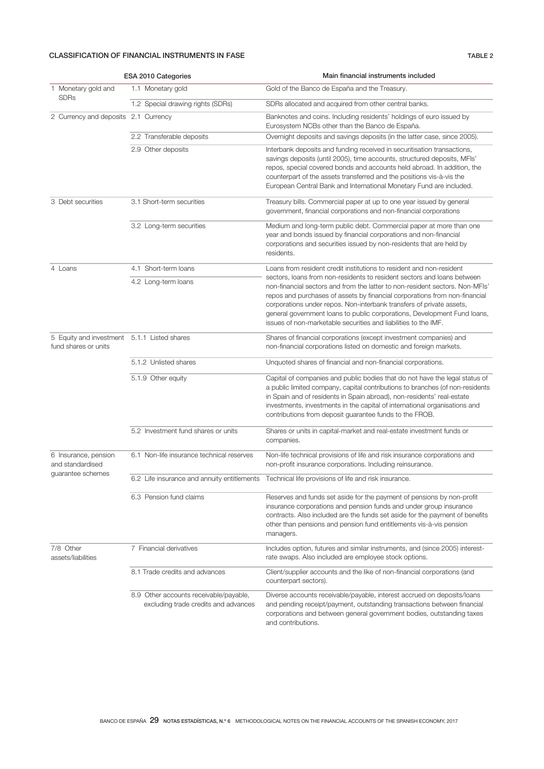# CLASSIFICATION OF FINANCIAL INSTRUMENTS IN FASE TABLE 2

|                                                                     |                       | ESA 2010 Categories                                                            | Main financial instruments included                                                                                                                                                                                                                                                                                                                                                                                                                          |
|---------------------------------------------------------------------|-----------------------|--------------------------------------------------------------------------------|--------------------------------------------------------------------------------------------------------------------------------------------------------------------------------------------------------------------------------------------------------------------------------------------------------------------------------------------------------------------------------------------------------------------------------------------------------------|
| 1 Monetary gold and                                                 |                       | 1.1 Monetary gold                                                              | Gold of the Banco de España and the Treasury.                                                                                                                                                                                                                                                                                                                                                                                                                |
| <b>SDRs</b>                                                         |                       | 1.2 Special drawing rights (SDRs)                                              | SDRs allocated and acquired from other central banks.                                                                                                                                                                                                                                                                                                                                                                                                        |
| 2 Currency and deposits 2.1 Currency                                |                       |                                                                                | Banknotes and coins. Including residents' holdings of euro issued by<br>Eurosystem NCBs other than the Banco de España.                                                                                                                                                                                                                                                                                                                                      |
|                                                                     |                       | 2.2 Transferable deposits                                                      | Overnight deposits and savings deposits (in the latter case, since 2005).                                                                                                                                                                                                                                                                                                                                                                                    |
|                                                                     |                       | 2.9 Other deposits                                                             | Interbank deposits and funding received in securitisation transactions,<br>savings deposits (until 2005), time accounts, structured deposits, MFIs'<br>repos, special covered bonds and accounts held abroad. In addition, the<br>counterpart of the assets transferred and the positions vis-à-vis the<br>European Central Bank and International Monetary Fund are included.                                                                               |
| 3 Debt securities                                                   |                       | 3.1 Short-term securities                                                      | Treasury bills. Commercial paper at up to one year issued by general<br>government, financial corporations and non-financial corporations                                                                                                                                                                                                                                                                                                                    |
|                                                                     |                       | 3.2 Long-term securities                                                       | Medium and long-term public debt. Commercial paper at more than one<br>year and bonds issued by financial corporations and non-financial<br>corporations and securities issued by non-residents that are held by<br>residents.                                                                                                                                                                                                                               |
| 4 Loans                                                             |                       | 4.1 Short-term loans                                                           | Loans from resident credit institutions to resident and non-resident                                                                                                                                                                                                                                                                                                                                                                                         |
|                                                                     |                       | 4.2 Long-term loans                                                            | sectors, loans from non-residents to resident sectors and loans between<br>non-financial sectors and from the latter to non-resident sectors. Non-MFIs'<br>repos and purchases of assets by financial corporations from non-financial<br>corporations under repos. Non-interbank transfers of private assets,<br>general government loans to public corporations, Development Fund loans,<br>issues of non-marketable securities and liabilities to the IMF. |
| 5 Equity and investment 5.1.1 Listed shares<br>fund shares or units |                       |                                                                                | Shares of financial corporations (except investment companies) and<br>non-financial corporations listed on domestic and foreign markets.                                                                                                                                                                                                                                                                                                                     |
|                                                                     | 5.1.2 Unlisted shares |                                                                                | Unquoted shares of financial and non-financial corporations.                                                                                                                                                                                                                                                                                                                                                                                                 |
|                                                                     |                       | 5.1.9 Other equity                                                             | Capital of companies and public bodies that do not have the legal status of<br>a public limited company, capital contributions to branches (of non-residents<br>in Spain and of residents in Spain abroad), non-residents' real-estate<br>investments, investments in the capital of international organisations and<br>contributions from deposit guarantee funds to the FROB.                                                                              |
|                                                                     |                       | 5.2 Investment fund shares or units                                            | Shares or units in capital-market and real-estate investment funds or<br>companies.                                                                                                                                                                                                                                                                                                                                                                          |
| 6 Insurance, pension<br>and standardised<br>quarantee schemes       |                       | 6.1 Non-life insurance technical reserves                                      | Non-life technical provisions of life and risk insurance corporations and<br>non-profit insurance corporations. Including reinsurance.                                                                                                                                                                                                                                                                                                                       |
|                                                                     |                       |                                                                                | 6.2 Life insurance and annuity entitlements Technical life provisions of life and risk insurance.                                                                                                                                                                                                                                                                                                                                                            |
|                                                                     |                       | 6.3 Pension fund claims                                                        | Reserves and funds set aside for the payment of pensions by non-profit<br>insurance corporations and pension funds and under group insurance<br>contracts. Also included are the funds set aside for the payment of benefits<br>other than pensions and pension fund entitlements vis-à-vis pension<br>managers.                                                                                                                                             |
| 7/8 Other<br>assets/liabilities                                     |                       | 7 Financial derivatives                                                        | Includes option, futures and similar instruments, and (since 2005) interest-<br>rate swaps. Also included are employee stock options.                                                                                                                                                                                                                                                                                                                        |
|                                                                     |                       | 8.1 Trade credits and advances                                                 | Client/supplier accounts and the like of non-financial corporations (and<br>counterpart sectors).                                                                                                                                                                                                                                                                                                                                                            |
|                                                                     |                       | 8.9 Other accounts receivable/payable,<br>excluding trade credits and advances | Diverse accounts receivable/payable, interest accrued on deposits/loans<br>and pending receipt/payment, outstanding transactions between financial<br>corporations and between general government bodies, outstanding taxes<br>and contributions.                                                                                                                                                                                                            |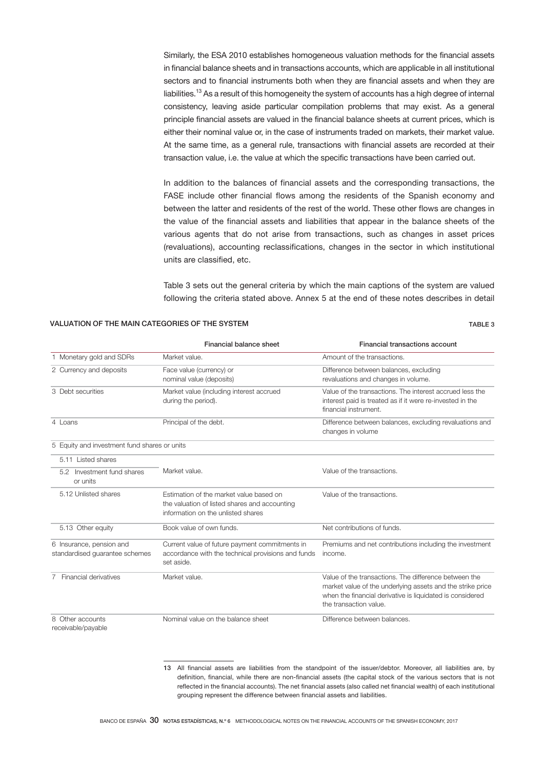Similarly, the ESA 2010 establishes homogeneous valuation methods for the financial assets in financial balance sheets and in transactions accounts, which are applicable in all institutional sectors and to financial instruments both when they are financial assets and when they are liabilities.<sup>13</sup> As a result of this homogeneity the system of accounts has a high degree of internal consistency, leaving aside particular compilation problems that may exist. As a general principle financial assets are valued in the financial balance sheets at current prices, which is either their nominal value or, in the case of instruments traded on markets, their market value. At the same time, as a general rule, transactions with financial assets are recorded at their transaction value, i.e. the value at which the specific transactions have been carried out.

In addition to the balances of financial assets and the corresponding transactions, the FASE include other financial flows among the residents of the Spanish economy and between the latter and residents of the rest of the world. These other flows are changes in the value of the financial assets and liabilities that appear in the balance sheets of the various agents that do not arise from transactions, such as changes in asset prices (revaluations), accounting reclassifications, changes in the sector in which institutional units are classified, etc.

Table 3 sets out the general criteria by which the main captions of the system are valued following the criteria stated above. Annex 5 at the end of these notes describes in detail

## VALUATION OF THE MAIN CATEGORIES OF THE SYSTEM TABLE 3

|                                                            | Financial balance sheet                                                                                                        | Financial transactions account                                                                                                                                                                             |
|------------------------------------------------------------|--------------------------------------------------------------------------------------------------------------------------------|------------------------------------------------------------------------------------------------------------------------------------------------------------------------------------------------------------|
| 1 Monetary gold and SDRs                                   | Market value.                                                                                                                  | Amount of the transactions.                                                                                                                                                                                |
| 2 Currency and deposits                                    | Face value (currency) or<br>nominal value (deposits)                                                                           | Difference between balances, excluding<br>revaluations and changes in volume.                                                                                                                              |
| 3 Debt securities                                          | Market value (including interest accrued<br>during the period).                                                                | Value of the transactions. The interest accrued less the<br>interest paid is treated as if it were re-invested in the<br>financial instrument.                                                             |
| 4 Loans                                                    | Principal of the debt.                                                                                                         | Difference between balances, excluding revaluations and<br>changes in volume                                                                                                                               |
| 5 Equity and investment fund shares or units               |                                                                                                                                |                                                                                                                                                                                                            |
| 5.11 Listed shares                                         |                                                                                                                                |                                                                                                                                                                                                            |
| Investment fund shares<br>5.2<br>or units                  | Market value.                                                                                                                  | Value of the transactions.                                                                                                                                                                                 |
| 5.12 Unlisted shares                                       | Estimation of the market value based on<br>the valuation of listed shares and accounting<br>information on the unlisted shares | Value of the transactions.                                                                                                                                                                                 |
| 5.13 Other equity                                          | Book value of own funds.                                                                                                       | Net contributions of funds.                                                                                                                                                                                |
| 6 Insurance, pension and<br>standardised guarantee schemes | Current value of future payment commitments in<br>accordance with the technical provisions and funds<br>set aside.             | Premiums and net contributions including the investment<br>income.                                                                                                                                         |
| Financial derivatives<br>7                                 | Market value.                                                                                                                  | Value of the transactions. The difference between the<br>market value of the underlying assets and the strike price<br>when the financial derivative is liquidated is considered<br>the transaction value. |
| 8 Other accounts<br>receivable/payable                     | Nominal value on the balance sheet                                                                                             | Difference between balances.                                                                                                                                                                               |

13 All financial assets are liabilities from the standpoint of the issuer/debtor. Moreover, all liabilities are, by definition, financial, while there are non-financial assets (the capital stock of the various sectors that is not reflected in the financial accounts). The net financial assets (also called net financial wealth) of each institutional grouping represent the difference between financial assets and liabilities.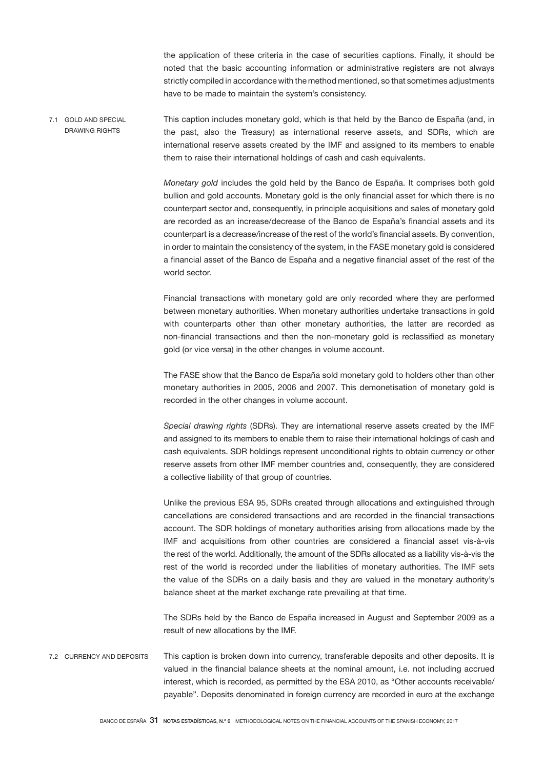the application of these criteria in the case of securities captions. Finally, it should be noted that the basic accounting information or administrative registers are not always strictly compiled in accordance with the method mentioned, so that sometimes adjustments have to be made to maintain the system's consistency.

This caption includes monetary gold, which is that held by the Banco de España (and, in the past, also the Treasury) as international reserve assets, and SDRs, which are international reserve assets created by the IMF and assigned to its members to enable them to raise their international holdings of cash and cash equivalents. 7.1 GOLD AND SPECIAL DRAWING RIGHTS

> *Monetary gold* includes the gold held by the Banco de España. It comprises both gold bullion and gold accounts. Monetary gold is the only financial asset for which there is no counterpart sector and, consequently, in principle acquisitions and sales of monetary gold are recorded as an increase/decrease of the Banco de España's financial assets and its counterpart is a decrease/increase of the rest of the world's financial assets. By convention, in order to maintain the consistency of the system, in the FASE monetary gold is considered a financial asset of the Banco de España and a negative financial asset of the rest of the world sector.

> Financial transactions with monetary gold are only recorded where they are performed between monetary authorities. When monetary authorities undertake transactions in gold with counterparts other than other monetary authorities, the latter are recorded as non-financial transactions and then the non-monetary gold is reclassified as monetary gold (or vice versa) in the other changes in volume account.

> The FASE show that the Banco de España sold monetary gold to holders other than other monetary authorities in 2005, 2006 and 2007. This demonetisation of monetary gold is recorded in the other changes in volume account.

> *Special drawing rights* (SDRs). They are international reserve assets created by the IMF and assigned to its members to enable them to raise their international holdings of cash and cash equivalents. SDR holdings represent unconditional rights to obtain currency or other reserve assets from other IMF member countries and, consequently, they are considered a collective liability of that group of countries.

> Unlike the previous ESA 95, SDRs created through allocations and extinguished through cancellations are considered transactions and are recorded in the financial transactions account. The SDR holdings of monetary authorities arising from allocations made by the IMF and acquisitions from other countries are considered a financial asset vis-à-vis the rest of the world. Additionally, the amount of the SDRs allocated as a liability vis-à-vis the rest of the world is recorded under the liabilities of monetary authorities. The IMF sets the value of the SDRs on a daily basis and they are valued in the monetary authority's balance sheet at the market exchange rate prevailing at that time.

> The SDRs held by the Banco de España increased in August and September 2009 as a result of new allocations by the IMF.

This caption is broken down into currency, transferable deposits and other deposits. It is valued in the financial balance sheets at the nominal amount, i.e. not including accrued interest, which is recorded, as permitted by the ESA 2010, as "Other accounts receivable/ payable". Deposits denominated in foreign currency are recorded in euro at the exchange 7.2 CURRENCY AND DEPOSITS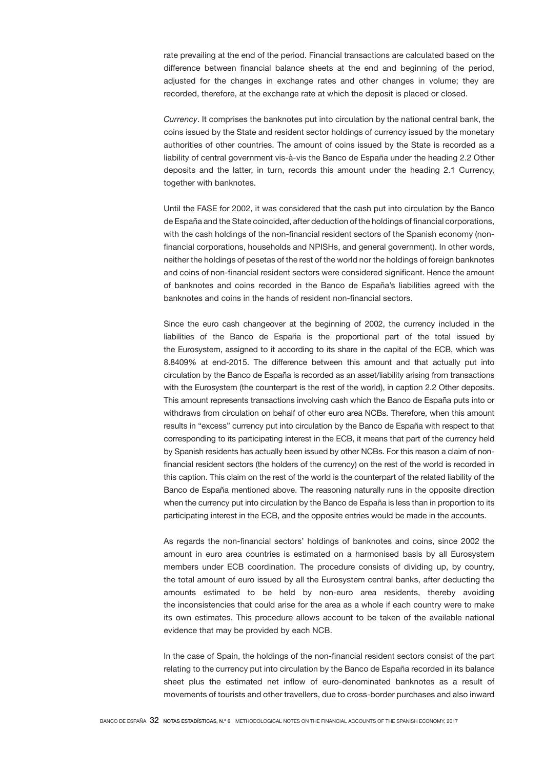rate prevailing at the end of the period. Financial transactions are calculated based on the difference between financial balance sheets at the end and beginning of the period, adjusted for the changes in exchange rates and other changes in volume; they are recorded, therefore, at the exchange rate at which the deposit is placed or closed.

*Currency*. It comprises the banknotes put into circulation by the national central bank, the coins issued by the State and resident sector holdings of currency issued by the monetary authorities of other countries. The amount of coins issued by the State is recorded as a liability of central government vis-à-vis the Banco de España under the heading 2.2 Other deposits and the latter, in turn, records this amount under the heading 2.1 Currency, together with banknotes.

Until the FASE for 2002, it was considered that the cash put into circulation by the Banco de España and the State coincided, after deduction of the holdings of financial corporations, with the cash holdings of the non-financial resident sectors of the Spanish economy (nonfinancial corporations, households and NPISHs, and general government). In other words, neither the holdings of pesetas of the rest of the world nor the holdings of foreign banknotes and coins of non-financial resident sectors were considered significant. Hence the amount of banknotes and coins recorded in the Banco de España's liabilities agreed with the banknotes and coins in the hands of resident non-financial sectors.

Since the euro cash changeover at the beginning of 2002, the currency included in the liabilities of the Banco de España is the proportional part of the total issued by the Eurosystem, assigned to it according to its share in the capital of the ECB, which was 8.8409% at end-2015. The difference between this amount and that actually put into circulation by the Banco de España is recorded as an asset/liability arising from transactions with the Eurosystem (the counterpart is the rest of the world), in caption 2.2 Other deposits. This amount represents transactions involving cash which the Banco de España puts into or withdraws from circulation on behalf of other euro area NCBs. Therefore, when this amount results in "excess" currency put into circulation by the Banco de España with respect to that corresponding to its participating interest in the ECB, it means that part of the currency held by Spanish residents has actually been issued by other NCBs. For this reason a claim of nonfinancial resident sectors (the holders of the currency) on the rest of the world is recorded in this caption. This claim on the rest of the world is the counterpart of the related liability of the Banco de España mentioned above. The reasoning naturally runs in the opposite direction when the currency put into circulation by the Banco de España is less than in proportion to its participating interest in the ECB, and the opposite entries would be made in the accounts.

As regards the non-financial sectors' holdings of banknotes and coins, since 2002 the amount in euro area countries is estimated on a harmonised basis by all Eurosystem members under ECB coordination. The procedure consists of dividing up, by country, the total amount of euro issued by all the Eurosystem central banks, after deducting the amounts estimated to be held by non-euro area residents, thereby avoiding the inconsistencies that could arise for the area as a whole if each country were to make its own estimates. This procedure allows account to be taken of the available national evidence that may be provided by each NCB.

In the case of Spain, the holdings of the non-financial resident sectors consist of the part relating to the currency put into circulation by the Banco de España recorded in its balance sheet plus the estimated net inflow of euro-denominated banknotes as a result of movements of tourists and other travellers, due to cross-border purchases and also inward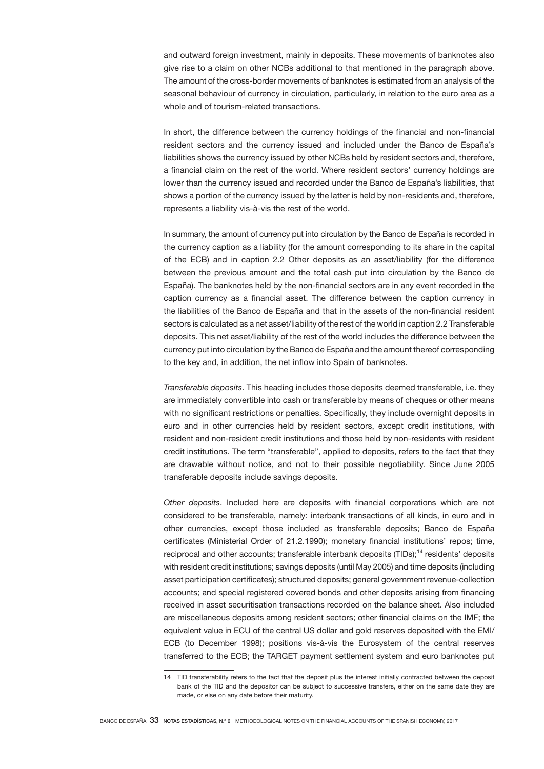and outward foreign investment, mainly in deposits. These movements of banknotes also give rise to a claim on other NCBs additional to that mentioned in the paragraph above. The amount of the cross-border movements of banknotes is estimated from an analysis of the seasonal behaviour of currency in circulation, particularly, in relation to the euro area as a whole and of tourism-related transactions.

In short, the difference between the currency holdings of the financial and non-financial resident sectors and the currency issued and included under the Banco de España's liabilities shows the currency issued by other NCBs held by resident sectors and, therefore, a financial claim on the rest of the world. Where resident sectors' currency holdings are lower than the currency issued and recorded under the Banco de España's liabilities, that shows a portion of the currency issued by the latter is held by non-residents and, therefore, represents a liability vis-à-vis the rest of the world.

In summary, the amount of currency put into circulation by the Banco de España is recorded in the currency caption as a liability (for the amount corresponding to its share in the capital of the ECB) and in caption 2.2 Other deposits as an asset/liability (for the difference between the previous amount and the total cash put into circulation by the Banco de España). The banknotes held by the non-financial sectors are in any event recorded in the caption currency as a financial asset. The difference between the caption currency in the liabilities of the Banco de España and that in the assets of the non-financial resident sectors is calculated as a net asset/liability of the rest of the world in caption 2.2 Transferable deposits. This net asset/liability of the rest of the world includes the difference between the currency put into circulation by the Banco de España and the amount thereof corresponding to the key and, in addition, the net inflow into Spain of banknotes.

*Transferable deposits*. This heading includes those deposits deemed transferable, i.e. they are immediately convertible into cash or transferable by means of cheques or other means with no significant restrictions or penalties. Specifically, they include overnight deposits in euro and in other currencies held by resident sectors, except credit institutions, with resident and non-resident credit institutions and those held by non-residents with resident credit institutions. The term "transferable", applied to deposits, refers to the fact that they are drawable without notice, and not to their possible negotiability. Since June 2005 transferable deposits include savings deposits.

*Other deposits*. Included here are deposits with financial corporations which are not considered to be transferable, namely: interbank transactions of all kinds, in euro and in other currencies, except those included as transferable deposits; Banco de España certificates (Ministerial Order of 21.2.1990); monetary financial institutions' repos; time, reciprocal and other accounts; transferable interbank deposits (TIDs);14 residents' deposits with resident credit institutions; savings deposits (until May 2005) and time deposits (including asset participation certificates); structured deposits; general government revenue-collection accounts; and special registered covered bonds and other deposits arising from financing received in asset securitisation transactions recorded on the balance sheet. Also included are miscellaneous deposits among resident sectors; other financial claims on the IMF; the equivalent value in ECU of the central US dollar and gold reserves deposited with the EMI/ ECB (to December 1998); positions vis-à-vis the Eurosystem of the central reserves transferred to the ECB; the TARGET payment settlement system and euro banknotes put

<sup>14</sup> TID transferability refers to the fact that the deposit plus the interest initially contracted between the deposit bank of the TID and the depositor can be subject to successive transfers, either on the same date they are made, or else on any date before their maturity.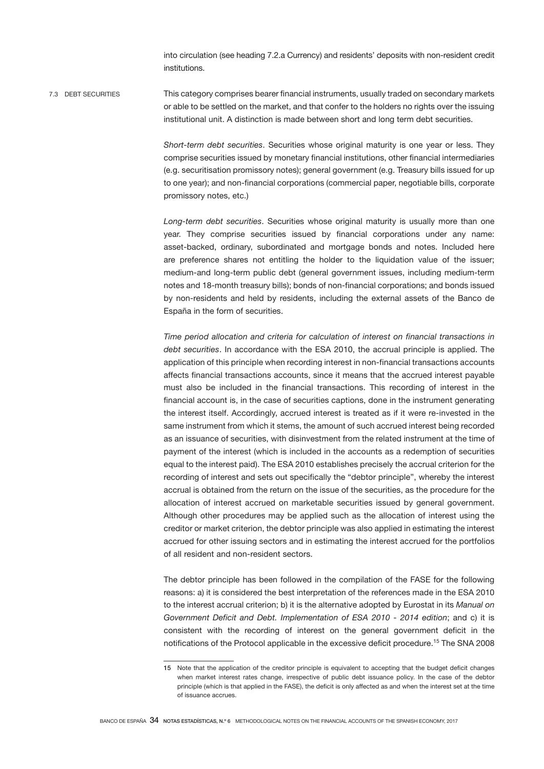into circulation (see heading 7.2.a Currency) and residents' deposits with non-resident credit institutions.

This category comprises bearer financial instruments, usually traded on secondary markets or able to be settled on the market, and that confer to the holders no rights over the issuing institutional unit. A distinction is made between short and long term debt securities. 7.3 DEBT SECURITIES

> *Short-term debt securities*. Securities whose original maturity is one year or less. They comprise securities issued by monetary financial institutions, other financial intermediaries (e.g. securitisation promissory notes); general government (e.g. Treasury bills issued for up to one year); and non-financial corporations (commercial paper, negotiable bills, corporate promissory notes, etc.)

> *Long-term debt securities*. Securities whose original maturity is usually more than one year. They comprise securities issued by financial corporations under any name: asset-backed, ordinary, subordinated and mortgage bonds and notes. Included here are preference shares not entitling the holder to the liquidation value of the issuer; medium-and long-term public debt (general government issues, including medium-term notes and 18-month treasury bills); bonds of non-financial corporations; and bonds issued by non-residents and held by residents, including the external assets of the Banco de España in the form of securities.

> *Time period allocation and criteria for calculation of interest on financial transactions in debt securities*. In accordance with the ESA 2010, the accrual principle is applied. The application of this principle when recording interest in non-financial transactions accounts affects financial transactions accounts, since it means that the accrued interest payable must also be included in the financial transactions. This recording of interest in the financial account is, in the case of securities captions, done in the instrument generating the interest itself. Accordingly, accrued interest is treated as if it were re-invested in the same instrument from which it stems, the amount of such accrued interest being recorded as an issuance of securities, with disinvestment from the related instrument at the time of payment of the interest (which is included in the accounts as a redemption of securities equal to the interest paid). The ESA 2010 establishes precisely the accrual criterion for the recording of interest and sets out specifically the "debtor principle", whereby the interest accrual is obtained from the return on the issue of the securities, as the procedure for the allocation of interest accrued on marketable securities issued by general government. Although other procedures may be applied such as the allocation of interest using the creditor or market criterion, the debtor principle was also applied in estimating the interest accrued for other issuing sectors and in estimating the interest accrued for the portfolios of all resident and non-resident sectors.

> The debtor principle has been followed in the compilation of the FASE for the following reasons: a) it is considered the best interpretation of the references made in the ESA 2010 to the interest accrual criterion; b) it is the alternative adopted by Eurostat in its *Manual on Government Deficit and Debt. Implementation of ESA 2010 - 2014 edition*; and c) it is consistent with the recording of interest on the general government deficit in the notifications of the Protocol applicable in the excessive deficit procedure.15 The SNA 2008

<sup>15</sup> Note that the application of the creditor principle is equivalent to accepting that the budget deficit changes when market interest rates change, irrespective of public debt issuance policy. In the case of the debtor principle (which is that applied in the FASE), the deficit is only affected as and when the interest set at the time of issuance accrues.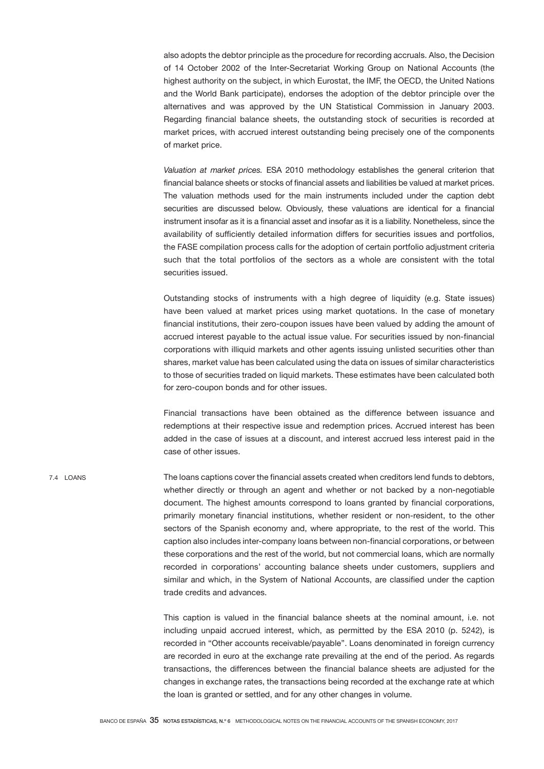also adopts the debtor principle as the procedure for recording accruals. Also, the Decision of 14 October 2002 of the Inter-Secretariat Working Group on National Accounts (the highest authority on the subject, in which Eurostat, the IMF, the OECD, the United Nations and the World Bank participate), endorses the adoption of the debtor principle over the alternatives and was approved by the UN Statistical Commission in January 2003. Regarding financial balance sheets, the outstanding stock of securities is recorded at market prices, with accrued interest outstanding being precisely one of the components of market price.

*Valuation at market prices.* ESA 2010 methodology establishes the general criterion that financial balance sheets or stocks of financial assets and liabilities be valued at market prices. The valuation methods used for the main instruments included under the caption debt securities are discussed below. Obviously, these valuations are identical for a financial instrument insofar as it is a financial asset and insofar as it is a liability. Nonetheless, since the availability of sufficiently detailed information differs for securities issues and portfolios, the FASE compilation process calls for the adoption of certain portfolio adjustment criteria such that the total portfolios of the sectors as a whole are consistent with the total securities issued.

Outstanding stocks of instruments with a high degree of liquidity (e.g. State issues) have been valued at market prices using market quotations. In the case of monetary financial institutions, their zero-coupon issues have been valued by adding the amount of accrued interest payable to the actual issue value. For securities issued by non-financial corporations with illiquid markets and other agents issuing unlisted securities other than shares, market value has been calculated using the data on issues of similar characteristics to those of securities traded on liquid markets. These estimates have been calculated both for zero-coupon bonds and for other issues.

Financial transactions have been obtained as the difference between issuance and redemptions at their respective issue and redemption prices. Accrued interest has been added in the case of issues at a discount, and interest accrued less interest paid in the case of other issues.

The loans captions cover the financial assets created when creditors lend funds to debtors, whether directly or through an agent and whether or not backed by a non-negotiable document. The highest amounts correspond to loans granted by financial corporations, primarily monetary financial institutions, whether resident or non-resident, to the other sectors of the Spanish economy and, where appropriate, to the rest of the world. This caption also includes inter-company loans between non-financial corporations, or between these corporations and the rest of the world, but not commercial loans, which are normally recorded in corporations' accounting balance sheets under customers, suppliers and similar and which, in the System of National Accounts, are classified under the caption trade credits and advances.

> This caption is valued in the financial balance sheets at the nominal amount, i.e. not including unpaid accrued interest, which, as permitted by the ESA 2010 (p. 5242), is recorded in "Other accounts receivable/payable". Loans denominated in foreign currency are recorded in euro at the exchange rate prevailing at the end of the period. As regards transactions, the differences between the financial balance sheets are adjusted for the changes in exchange rates, the transactions being recorded at the exchange rate at which the loan is granted or settled, and for any other changes in volume.

7.4 LOANS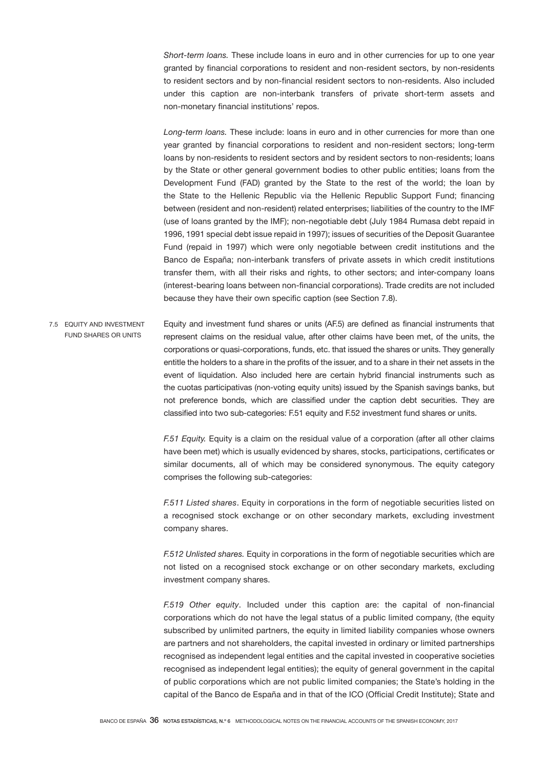*Short-term loans.* These include loans in euro and in other currencies for up to one year granted by financial corporations to resident and non-resident sectors, by non-residents to resident sectors and by non-financial resident sectors to non-residents. Also included under this caption are non-interbank transfers of private short-term assets and non-monetary financial institutions' repos.

*Long-term loans.* These include: loans in euro and in other currencies for more than one year granted by financial corporations to resident and non-resident sectors; long-term loans by non-residents to resident sectors and by resident sectors to non-residents; loans by the State or other general government bodies to other public entities; loans from the Development Fund (FAD) granted by the State to the rest of the world; the loan by the State to the Hellenic Republic via the Hellenic Republic Support Fund; financing between (resident and non-resident) related enterprises; liabilities of the country to the IMF (use of loans granted by the IMF); non-negotiable debt (July 1984 Rumasa debt repaid in 1996, 1991 special debt issue repaid in 1997); issues of securities of the Deposit Guarantee Fund (repaid in 1997) which were only negotiable between credit institutions and the Banco de España; non-interbank transfers of private assets in which credit institutions transfer them, with all their risks and rights, to other sectors; and inter-company loans (interest-bearing loans between non-financial corporations). Trade credits are not included because they have their own specific caption (see Section 7.8).

Equity and investment fund shares or units (AF.5) are defined as financial instruments that represent claims on the residual value, after other claims have been met, of the units, the corporations or quasi-corporations, funds, etc. that issued the shares or units. They generally entitle the holders to a share in the profits of the issuer, and to a share in their net assets in the event of liquidation. Also included here are certain hybrid financial instruments such as the cuotas participativas (non-voting equity units) issued by the Spanish savings banks, but not preference bonds, which are classified under the caption debt securities. They are classified into two sub-categories: F.51 equity and F.52 investment fund shares or units. 7.5 EQUITY AND INVESTMENT FUND SHARES OR UNITS

> *F.51 Equity.* Equity is a claim on the residual value of a corporation (after all other claims have been met) which is usually evidenced by shares, stocks, participations, certificates or similar documents, all of which may be considered synonymous. The equity category comprises the following sub-categories:

> *F.511 Listed shares*. Equity in corporations in the form of negotiable securities listed on a recognised stock exchange or on other secondary markets, excluding investment company shares.

> *F.512 Unlisted shares.* Equity in corporations in the form of negotiable securities which are not listed on a recognised stock exchange or on other secondary markets, excluding investment company shares.

> *F.519 Other equity*. Included under this caption are: the capital of non-financial corporations which do not have the legal status of a public limited company, (the equity subscribed by unlimited partners, the equity in limited liability companies whose owners are partners and not shareholders, the capital invested in ordinary or limited partnerships recognised as independent legal entities and the capital invested in cooperative societies recognised as independent legal entities); the equity of general government in the capital of public corporations which are not public limited companies; the State's holding in the capital of the Banco de España and in that of the ICO (Official Credit Institute); State and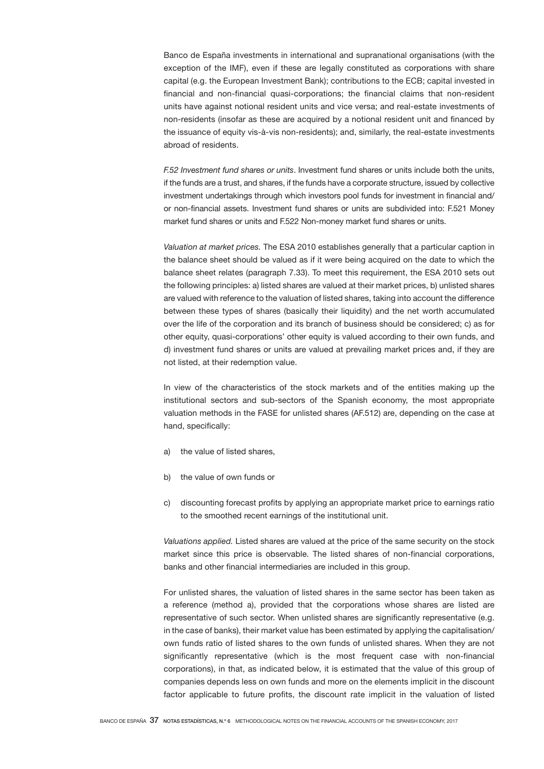Banco de España investments in international and supranational organisations (with the exception of the IMF), even if these are legally constituted as corporations with share capital (e.g. the European Investment Bank); contributions to the ECB; capital invested in financial and non-financial quasi-corporations; the financial claims that non-resident units have against notional resident units and vice versa; and real-estate investments of non-residents (insofar as these are acquired by a notional resident unit and financed by the issuance of equity vis-à-vis non-residents); and, similarly, the real-estate investments abroad of residents.

*F.52 Investment fund shares or units*. Investment fund shares or units include both the units, if the funds are a trust, and shares, if the funds have a corporate structure, issued by collective investment undertakings through which investors pool funds for investment in financial and/ or non-financial assets. Investment fund shares or units are subdivided into: F.521 Money market fund shares or units and F.522 Non-money market fund shares or units.

*Valuation at market prices.* The ESA 2010 establishes generally that a particular caption in the balance sheet should be valued as if it were being acquired on the date to which the balance sheet relates (paragraph 7.33). To meet this requirement, the ESA 2010 sets out the following principles: a) listed shares are valued at their market prices, b) unlisted shares are valued with reference to the valuation of listed shares, taking into account the difference between these types of shares (basically their liquidity) and the net worth accumulated over the life of the corporation and its branch of business should be considered; c) as for other equity, quasi-corporations' other equity is valued according to their own funds, and d) investment fund shares or units are valued at prevailing market prices and, if they are not listed, at their redemption value.

In view of the characteristics of the stock markets and of the entities making up the institutional sectors and sub-sectors of the Spanish economy, the most appropriate valuation methods in the FASE for unlisted shares (AF.512) are, depending on the case at hand, specifically:

- a) the value of listed shares,
- b) the value of own funds or
- c) discounting forecast profits by applying an appropriate market price to earnings ratio to the smoothed recent earnings of the institutional unit.

*Valuations applied.* Listed shares are valued at the price of the same security on the stock market since this price is observable. The listed shares of non-financial corporations, banks and other financial intermediaries are included in this group.

For unlisted shares, the valuation of listed shares in the same sector has been taken as a reference (method a), provided that the corporations whose shares are listed are representative of such sector. When unlisted shares are significantly representative (e.g. in the case of banks), their market value has been estimated by applying the capitalisation/ own funds ratio of listed shares to the own funds of unlisted shares. When they are not significantly representative (which is the most frequent case with non-financial corporations), in that, as indicated below, it is estimated that the value of this group of companies depends less on own funds and more on the elements implicit in the discount factor applicable to future profits, the discount rate implicit in the valuation of listed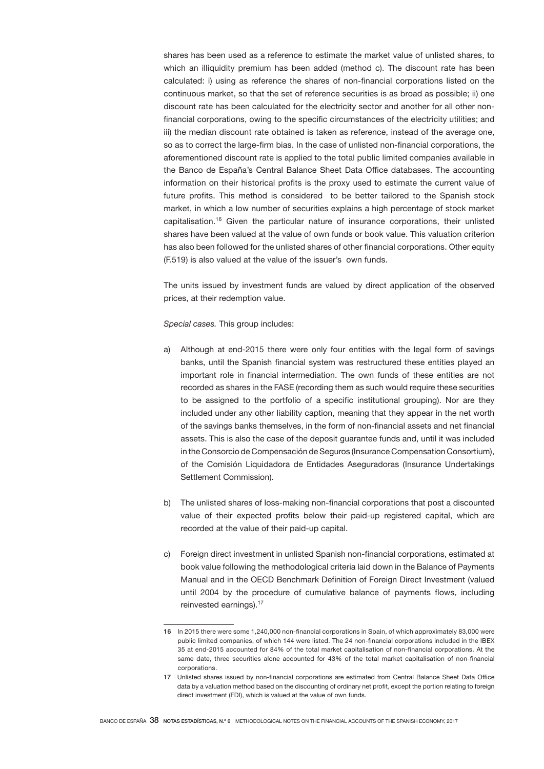shares has been used as a reference to estimate the market value of unlisted shares, to which an illiquidity premium has been added (method c). The discount rate has been calculated: i) using as reference the shares of non-financial corporations listed on the continuous market, so that the set of reference securities is as broad as possible; ii) one discount rate has been calculated for the electricity sector and another for all other nonfinancial corporations, owing to the specific circumstances of the electricity utilities; and iii) the median discount rate obtained is taken as reference, instead of the average one, so as to correct the large-firm bias. In the case of unlisted non-financial corporations, the aforementioned discount rate is applied to the total public limited companies available in the Banco de España's Central Balance Sheet Data Office databases. The accounting information on their historical profits is the proxy used to estimate the current value of future profits. This method is considered to be better tailored to the Spanish stock market, in which a low number of securities explains a high percentage of stock market capitalisation.16 Given the particular nature of insurance corporations, their unlisted shares have been valued at the value of own funds or book value. This valuation criterion has also been followed for the unlisted shares of other financial corporations. Other equity (F.519) is also valued at the value of the issuer's own funds.

The units issued by investment funds are valued by direct application of the observed prices, at their redemption value.

*Special cases.* This group includes:

- a) Although at end-2015 there were only four entities with the legal form of savings banks, until the Spanish financial system was restructured these entities played an important role in financial intermediation. The own funds of these entities are not recorded as shares in the FASE (recording them as such would require these securities to be assigned to the portfolio of a specific institutional grouping). Nor are they included under any other liability caption, meaning that they appear in the net worth of the savings banks themselves, in the form of non-financial assets and net financial assets. This is also the case of the deposit guarantee funds and, until it was included in the Consorcio de Compensación de Seguros (Insurance Compensation Consortium), of the Comisión Liquidadora de Entidades Aseguradoras (Insurance Undertakings Settlement Commission).
- b) The unlisted shares of loss-making non-financial corporations that post a discounted value of their expected profits below their paid-up registered capital, which are recorded at the value of their paid-up capital.
- c) Foreign direct investment in unlisted Spanish non-financial corporations, estimated at book value following the methodological criteria laid down in the Balance of Payments Manual and in the OECD Benchmark Definition of Foreign Direct Investment (valued until 2004 by the procedure of cumulative balance of payments flows, including reinvested earnings).<sup>17</sup>

<sup>16</sup> In 2015 there were some 1,240,000 non-financial corporations in Spain, of which approximately 83,000 were public limited companies, of which 144 were listed. The 24 non-financial corporations included in the IBEX 35 at end-2015 accounted for 84% of the total market capitalisation of non-financial corporations. At the same date, three securities alone accounted for 43% of the total market capitalisation of non-financial corporations.

<sup>17</sup> Unlisted shares issued by non-financial corporations are estimated from Central Balance Sheet Data Office data by a valuation method based on the discounting of ordinary net profit, except the portion relating to foreign direct investment (FDI), which is valued at the value of own funds.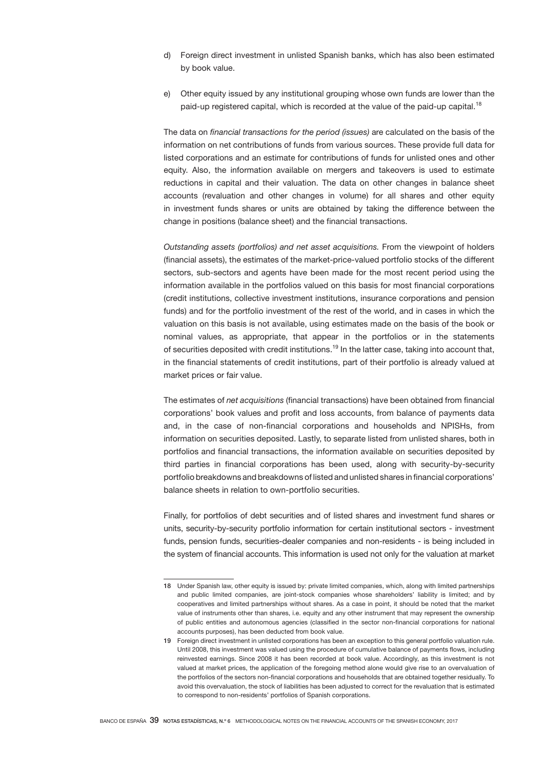- d) Foreign direct investment in unlisted Spanish banks, which has also been estimated by book value.
- e) Other equity issued by any institutional grouping whose own funds are lower than the paid-up registered capital, which is recorded at the value of the paid-up capital.<sup>18</sup>

The data on *financial transactions for the period (issues)* are calculated on the basis of the information on net contributions of funds from various sources. These provide full data for listed corporations and an estimate for contributions of funds for unlisted ones and other equity. Also, the information available on mergers and takeovers is used to estimate reductions in capital and their valuation. The data on other changes in balance sheet accounts (revaluation and other changes in volume) for all shares and other equity in investment funds shares or units are obtained by taking the difference between the change in positions (balance sheet) and the financial transactions.

*Outstanding assets (portfolios) and net asset acquisitions.* From the viewpoint of holders (financial assets), the estimates of the market-price-valued portfolio stocks of the different sectors, sub-sectors and agents have been made for the most recent period using the information available in the portfolios valued on this basis for most financial corporations (credit institutions, collective investment institutions, insurance corporations and pension funds) and for the portfolio investment of the rest of the world, and in cases in which the valuation on this basis is not available, using estimates made on the basis of the book or nominal values, as appropriate, that appear in the portfolios or in the statements of securities deposited with credit institutions.<sup>19</sup> In the latter case, taking into account that, in the financial statements of credit institutions, part of their portfolio is already valued at market prices or fair value.

The estimates of *net acquisitions* (financial transactions) have been obtained from financial corporations' book values and profit and loss accounts, from balance of payments data and, in the case of non-financial corporations and households and NPISHs, from information on securities deposited. Lastly, to separate listed from unlisted shares, both in portfolios and financial transactions, the information available on securities deposited by third parties in financial corporations has been used, along with security-by-security portfolio breakdowns and breakdowns of listed and unlisted shares in financial corporations' balance sheets in relation to own-portfolio securities.

Finally, for portfolios of debt securities and of listed shares and investment fund shares or units, security-by-security portfolio information for certain institutional sectors - investment funds, pension funds, securities-dealer companies and non-residents - is being included in the system of financial accounts. This information is used not only for the valuation at market

<sup>18</sup> Under Spanish law, other equity is issued by: private limited companies, which, along with limited partnerships and public limited companies, are joint-stock companies whose shareholders' liability is limited; and by cooperatives and limited partnerships without shares. As a case in point, it should be noted that the market value of instruments other than shares, i.e. equity and any other instrument that may represent the ownership of public entities and autonomous agencies (classified in the sector non-financial corporations for national accounts purposes), has been deducted from book value.

<sup>19</sup> Foreign direct investment in unlisted corporations has been an exception to this general portfolio valuation rule. Until 2008, this investment was valued using the procedure of cumulative balance of payments flows, including reinvested earnings. Since 2008 it has been recorded at book value. Accordingly, as this investment is not valued at market prices, the application of the foregoing method alone would give rise to an overvaluation of the portfolios of the sectors non-financial corporations and households that are obtained together residually. To avoid this overvaluation, the stock of liabilities has been adjusted to correct for the revaluation that is estimated to correspond to non-residents' portfolios of Spanish corporations.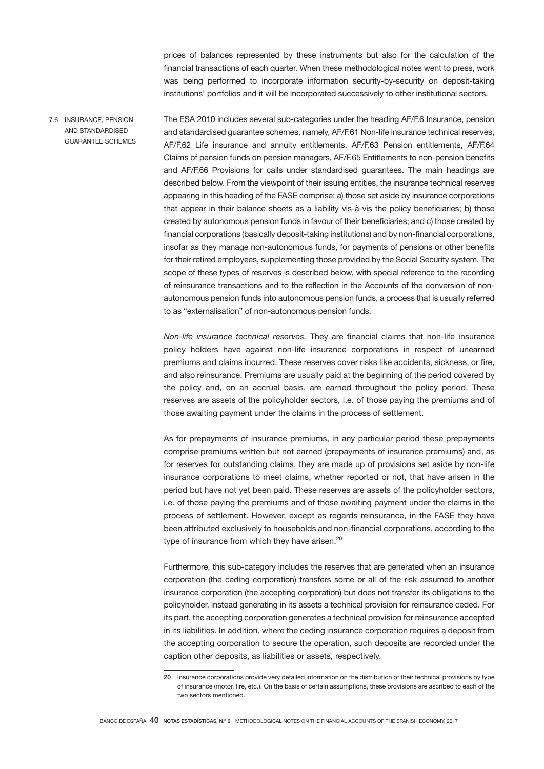prices of balances represented by these instruments but also for the calculation of the financial transactions of each quarter. When these methodological notes went to press, work was being performed to incorporate information security-by-security on deposit-taking institutions' portfolios and it will be incorporated successively to other institutional sectors.

The ESA 2010 includes several sub-categories under the heading AF/F.6 Insurance, pension and standardised guarantee schemes, namely, AF/F.61 Non-life insurance technical reserves, AF/F.62 Life insurance and annuity entitlements, AF/F.63 Pension entitlements, AF/F.64 Claims of pension funds on pension managers, AF/F.65 Entitlements to non-pension benefits and AF/F.66 Provisions for calls under standardised guarantees. The main headings are described below. From the viewpoint of their issuing entities, the insurance technical reserves appearing in this heading of the FASE comprise: a) those set aside by insurance corporations that appear in their balance sheets as a liability vis-à-vis the policy beneficiaries; b) those created by autonomous pension funds in favour of their beneficiaries; and c) those created by financial corporations (basically deposit-taking institutions) and by non-financial corporations, insofar as they manage non-autonomous funds, for payments of pensions or other benefits for their retired employees, supplementing those provided by the Social Security system. The scope of these types of reserves is described below, with special reference to the recording of reinsurance transactions and to the reflection in the Accounts of the conversion of nonautonomous pension funds into autonomous pension funds, a process that is usually referred 7.6 INSURANCE, PENSION AND STANDARDISED GUARANTEE SCHEMES

to as "externalisation" of non-autonomous pension funds.

*Non-life insurance technical reserves.* They are financial claims that non-life insurance policy holders have against non-life insurance corporations in respect of unearned premiums and claims incurred. These reserves cover risks like accidents, sickness, or fire, and also reinsurance. Premiums are usually paid at the beginning of the period covered by the policy and, on an accrual basis, are earned throughout the policy period. These reserves are assets of the policyholder sectors, i.e. of those paying the premiums and of those awaiting payment under the claims in the process of settlement.

As for prepayments of insurance premiums, in any particular period these prepayments comprise premiums written but not earned (prepayments of insurance premiums) and, as for reserves for outstanding claims, they are made up of provisions set aside by non-life insurance corporations to meet claims, whether reported or not, that have arisen in the period but have not yet been paid. These reserves are assets of the policyholder sectors, i.e. of those paying the premiums and of those awaiting payment under the claims in the process of settlement. However, except as regards reinsurance, in the FASE they have been attributed exclusively to households and non-financial corporations, according to the type of insurance from which they have arisen. $20$ 

Furthermore, this sub-category includes the reserves that are generated when an insurance corporation (the ceding corporation) transfers some or all of the risk assumed to another insurance corporation (the accepting corporation) but does not transfer its obligations to the policyholder, instead generating in its assets a technical provision for reinsurance ceded. For its part, the accepting corporation generates a technical provision for reinsurance accepted in its liabilities. In addition, where the ceding insurance corporation requires a deposit from the accepting corporation to secure the operation, such deposits are recorded under the caption other deposits, as liabilities or assets, respectively.

<sup>20</sup> Insurance corporations provide very detailed information on the distribution of their technical provisions by type of insurance (motor, fire, etc.). On the basis of certain assumptions, these provisions are ascribed to each of the two sectors mentioned.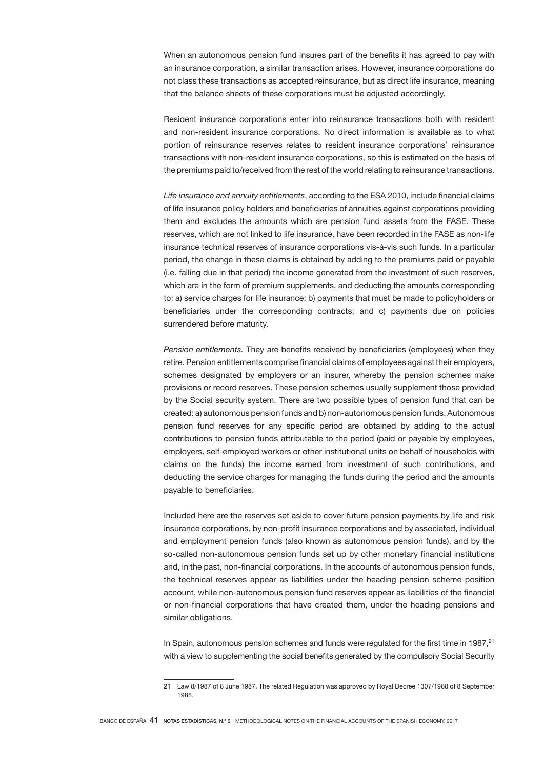When an autonomous pension fund insures part of the benefits it has agreed to pay with an insurance corporation, a similar transaction arises. However, insurance corporations do not class these transactions as accepted reinsurance, but as direct life insurance, meaning that the balance sheets of these corporations must be adjusted accordingly.

Resident insurance corporations enter into reinsurance transactions both with resident and non-resident insurance corporations. No direct information is available as to what portion of reinsurance reserves relates to resident insurance corporations' reinsurance transactions with non-resident insurance corporations, so this is estimated on the basis of the premiums paid to/received from the rest of the world relating to reinsurance transactions.

*Life insurance and annuity entitlements*, according to the ESA 2010, include financial claims of life insurance policy holders and beneficiaries of annuities against corporations providing them and excludes the amounts which are pension fund assets from the FASE. These reserves, which are not linked to life insurance, have been recorded in the FASE as non-life insurance technical reserves of insurance corporations vis-à-vis such funds. In a particular period, the change in these claims is obtained by adding to the premiums paid or payable (i.e. falling due in that period) the income generated from the investment of such reserves, which are in the form of premium supplements, and deducting the amounts corresponding to: a) service charges for life insurance; b) payments that must be made to policyholders or beneficiaries under the corresponding contracts; and c) payments due on policies surrendered before maturity.

*Pension entitlements.* They are benefits received by beneficiaries (employees) when they retire. Pension entitlements comprise financial claims of employees against their employers, schemes designated by employers or an insurer, whereby the pension schemes make provisions or record reserves. These pension schemes usually supplement those provided by the Social security system. There are two possible types of pension fund that can be created: a) autonomous pension funds and b) non-autonomous pension funds. Autonomous pension fund reserves for any specific period are obtained by adding to the actual contributions to pension funds attributable to the period (paid or payable by employees, employers, self-employed workers or other institutional units on behalf of households with claims on the funds) the income earned from investment of such contributions, and deducting the service charges for managing the funds during the period and the amounts payable to beneficiaries.

Included here are the reserves set aside to cover future pension payments by life and risk insurance corporations, by non-profit insurance corporations and by associated, individual and employment pension funds (also known as autonomous pension funds), and by the so-called non-autonomous pension funds set up by other monetary financial institutions and, in the past, non-financial corporations. In the accounts of autonomous pension funds, the technical reserves appear as liabilities under the heading pension scheme position account, while non-autonomous pension fund reserves appear as liabilities of the financial or non-financial corporations that have created them, under the heading pensions and similar obligations.

In Spain, autonomous pension schemes and funds were regulated for the first time in 1987.<sup>21</sup> with a view to supplementing the social benefits generated by the compulsory Social Security

<sup>21</sup> Law 8/1987 of 8 June 1987. The related Regulation was approved by Royal Decree 1307/1988 of 8 September 1988.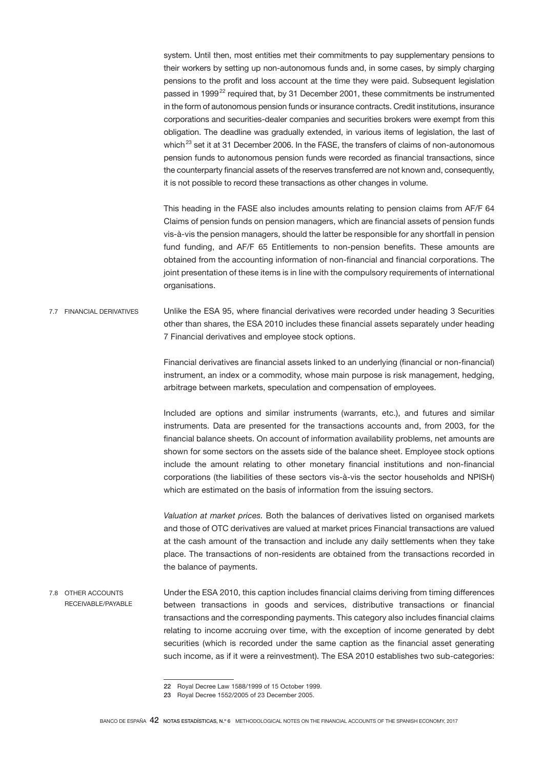system. Until then, most entities met their commitments to pay supplementary pensions to their workers by setting up non-autonomous funds and, in some cases, by simply charging pensions to the profit and loss account at the time they were paid. Subsequent legislation passed in 1999<sup>22</sup> required that, by 31 December 2001, these commitments be instrumented in the form of autonomous pension funds or insurance contracts. Credit institutions, insurance corporations and securities-dealer companies and securities brokers were exempt from this obligation. The deadline was gradually extended, in various items of legislation, the last of which<sup>23</sup> set it at 31 December 2006. In the FASE, the transfers of claims of non-autonomous pension funds to autonomous pension funds were recorded as financial transactions, since the counterparty financial assets of the reserves transferred are not known and, consequently, it is not possible to record these transactions as other changes in volume.

This heading in the FASE also includes amounts relating to pension claims from AF/F 64 Claims of pension funds on pension managers, which are financial assets of pension funds vis-à-vis the pension managers, should the latter be responsible for any shortfall in pension fund funding, and AF/F 65 Entitlements to non-pension benefits. These amounts are obtained from the accounting information of non-financial and financial corporations. The joint presentation of these items is in line with the compulsory requirements of international organisations.

Unlike the ESA 95, where financial derivatives were recorded under heading 3 Securities other than shares, the ESA 2010 includes these financial assets separately under heading 7 Financial derivatives and employee stock options. 7.7 FINANCIAL DERIVATIVES

> Financial derivatives are financial assets linked to an underlying (financial or non-financial) instrument, an index or a commodity, whose main purpose is risk management, hedging, arbitrage between markets, speculation and compensation of employees.

> Included are options and similar instruments (warrants, etc.), and futures and similar instruments. Data are presented for the transactions accounts and, from 2003, for the financial balance sheets. On account of information availability problems, net amounts are shown for some sectors on the assets side of the balance sheet. Employee stock options include the amount relating to other monetary financial institutions and non-financial corporations (the liabilities of these sectors vis-à-vis the sector households and NPISH) which are estimated on the basis of information from the issuing sectors.

> *Valuation at market prices.* Both the balances of derivatives listed on organised markets and those of OTC derivatives are valued at market prices Financial transactions are valued at the cash amount of the transaction and include any daily settlements when they take place. The transactions of non-residents are obtained from the transactions recorded in the balance of payments.

Under the ESA 2010, this caption includes financial claims deriving from timing differences between transactions in goods and services, distributive transactions or financial transactions and the corresponding payments. This category also includes financial claims relating to income accruing over time, with the exception of income generated by debt securities (which is recorded under the same caption as the financial asset generating such income, as if it were a reinvestment). The ESA 2010 establishes two sub-categories: 7.8 OTHER ACCOUNTS RECEIVABLE/PAYABLE

<sup>22</sup> Royal Decree Law 1588/1999 of 15 October 1999.

<sup>23</sup> Royal Decree 1552/2005 of 23 December 2005.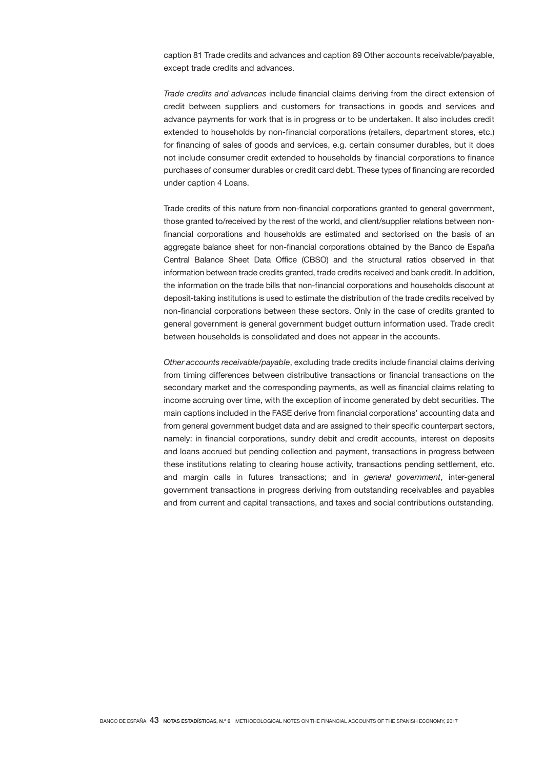caption 81 Trade credits and advances and caption 89 Other accounts receivable/payable, except trade credits and advances.

*Trade credits and advances* include financial claims deriving from the direct extension of credit between suppliers and customers for transactions in goods and services and advance payments for work that is in progress or to be undertaken. It also includes credit extended to households by non-financial corporations (retailers, department stores, etc.) for financing of sales of goods and services, e.g. certain consumer durables, but it does not include consumer credit extended to households by financial corporations to finance purchases of consumer durables or credit card debt. These types of financing are recorded under caption 4 Loans.

Trade credits of this nature from non-financial corporations granted to general government, those granted to/received by the rest of the world, and client/supplier relations between nonfinancial corporations and households are estimated and sectorised on the basis of an aggregate balance sheet for non-financial corporations obtained by the Banco de España Central Balance Sheet Data Office (CBSO) and the structural ratios observed in that information between trade credits granted, trade credits received and bank credit. In addition, the information on the trade bills that non-financial corporations and households discount at deposit-taking institutions is used to estimate the distribution of the trade credits received by non-financial corporations between these sectors. Only in the case of credits granted to general government is general government budget outturn information used. Trade credit between households is consolidated and does not appear in the accounts.

*Other accounts receivable/payable*, excluding trade credits include financial claims deriving from timing differences between distributive transactions or financial transactions on the secondary market and the corresponding payments, as well as financial claims relating to income accruing over time, with the exception of income generated by debt securities. The main captions included in the FASE derive from financial corporations' accounting data and from general government budget data and are assigned to their specific counterpart sectors, namely: in financial corporations, sundry debit and credit accounts, interest on deposits and loans accrued but pending collection and payment, transactions in progress between these institutions relating to clearing house activity, transactions pending settlement, etc. and margin calls in futures transactions; and in *general government*, inter-general government transactions in progress deriving from outstanding receivables and payables and from current and capital transactions, and taxes and social contributions outstanding.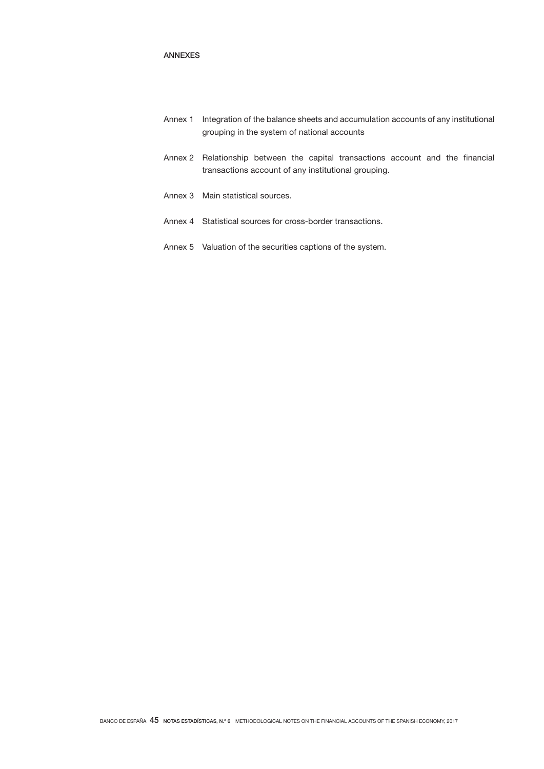# ANNEXES

- Annex 1 Integration of the balance sheets and accumulation accounts of any institutional grouping in the system of national accounts
- Annex 2 Relationship between the capital transactions account and the financial transactions account of any institutional grouping.
- Annex 3 Main statistical sources.
- Annex 4 Statistical sources for cross-border transactions.
- Annex 5 Valuation of the securities captions of the system.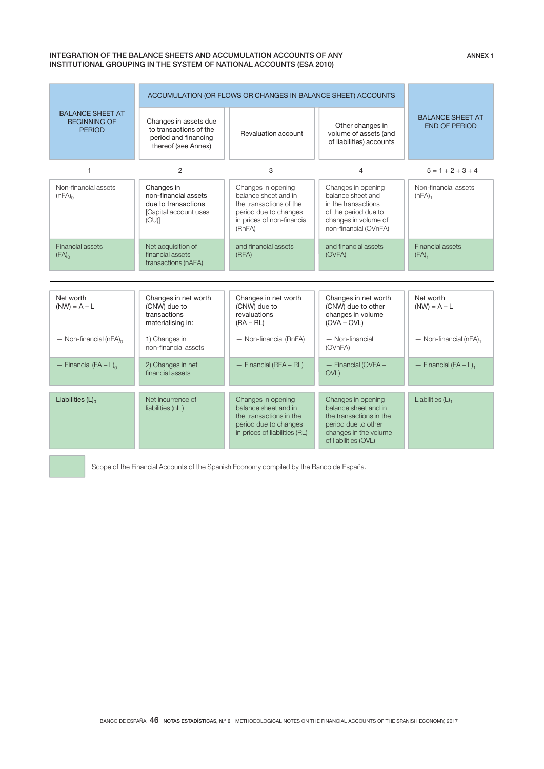### INTEGRATION OF THE BALANCE SHEETS AND ACCUMULATION ACCOUNTS OF ANY INSTITUTIONAL GROUPING IN THE SYSTEM OF NATIONAL ACCOUNTS (ESA 2010)

|                                                                 | ACCUMULATION (OR FLOWS OR CHANGES IN BALANCE SHEET) ACCOUNTS                                   |                                                                                                                                        |                                                                                                                                               |                                                 |
|-----------------------------------------------------------------|------------------------------------------------------------------------------------------------|----------------------------------------------------------------------------------------------------------------------------------------|-----------------------------------------------------------------------------------------------------------------------------------------------|-------------------------------------------------|
| <b>BALANCE SHEET AT</b><br><b>BEGINNING OF</b><br><b>PERIOD</b> | Changes in assets due<br>to transactions of the<br>period and financing<br>thereof (see Annex) | Revaluation account                                                                                                                    | Other changes in<br>volume of assets (and<br>of liabilities) accounts                                                                         | <b>BALANCE SHEET AT</b><br><b>END OF PERIOD</b> |
| $\mathbf{1}$                                                    | $\overline{2}$                                                                                 | 3                                                                                                                                      | $\overline{4}$                                                                                                                                | $5 = 1 + 2 + 3 + 4$                             |
| Non-financial assets<br>$(nFA)_0$                               | Changes in<br>non-financial assets<br>due to transactions<br>[Capital account uses<br>(CU)     | Changes in opening<br>balance sheet and in<br>the transactions of the<br>period due to changes<br>in prices of non-financial<br>(RnFA) | Changes in opening<br>balance sheet and<br>in the transactions<br>of the period due to<br>changes in volume of<br>non-financial (OVnFA)       | Non-financial assets<br>(nFA) <sub>1</sub>      |
| <b>Financial assets</b><br>$(FA)_{0}$                           | Net acquisition of<br>financial assets<br>transactions (nAFA)                                  | and financial assets<br>(RFA)                                                                                                          | and financial assets<br>(OVFA)                                                                                                                | <b>Financial assets</b><br>(FA) <sub>1</sub>    |
|                                                                 |                                                                                                |                                                                                                                                        |                                                                                                                                               |                                                 |
| Net worth<br>$(NW) = A - L$                                     | Changes in net worth<br>(CNW) due to<br>transactions<br>materialising in:                      | Changes in net worth<br>(CNW) due to<br>revaluations<br>$(RA - RL)$                                                                    | Changes in net worth<br>(CNW) due to other<br>changes in volume<br>$(OVA - OVL)$                                                              | Net worth<br>$(NW) = A - L$                     |
| $-$ Non-financial (nFA) <sub>0</sub>                            | 1) Changes in<br>non-financial assets                                                          | - Non-financial (RnFA)                                                                                                                 | - Non-financial<br>(OVnFA)                                                                                                                    | $-$ Non-financial (nFA) <sub>1</sub>            |
| - Financial (FA - $L$ ) <sub>0</sub>                            | 2) Changes in net<br>financial assets                                                          | - Financial (RFA - RL)                                                                                                                 | - Financial (OVFA -<br><b>OVL</b>                                                                                                             | - Financial $(FA - L)_{1}$                      |
| Liabilities $(L)$ <sub>0</sub>                                  | Net incurrence of<br>liabilities (nlL)                                                         | Changes in opening<br>balance sheet and in<br>the transactions in the<br>period due to changes<br>in prices of liabilities (RL)        | Changes in opening<br>balance sheet and in<br>the transactions in the<br>period due to other<br>changes in the volume<br>of liabilities (OVL) | Liabilities $(L)$ ,                             |

Scope of the Financial Accounts of the Spanish Economy compiled by the Banco de España.

ANNEX 1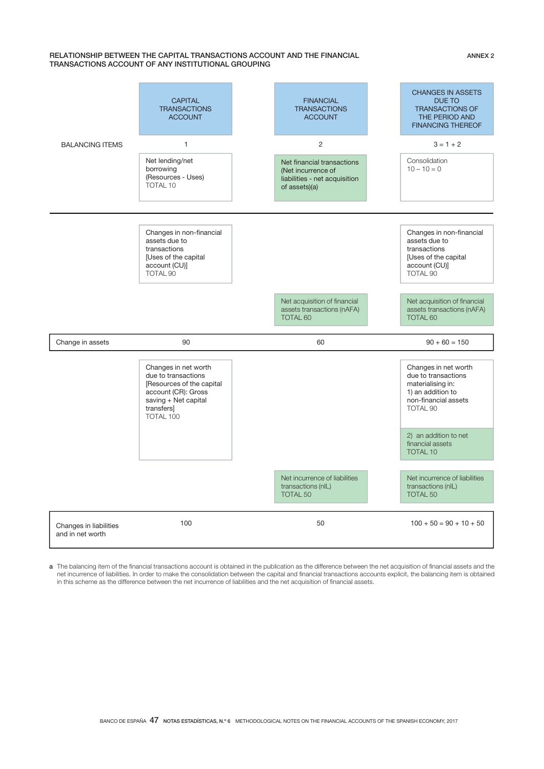### RELATIONSHIP BETWEEN THE CAPITAL TRANSACTIONS ACCOUNT AND THE FINANCIAL TRANSACTIONS ACCOUNT OF ANY INSTITUTIONAL GROUPING

#### BALANCING ITEMS **CAPITAL** TRANSACTIONS ACCOUNT FINANCIAL TRANSACTIONS ACCOUNT CHANGES IN ASSETS DUE TO TRANSACTIONS OF THE PERIOD AND FINANCING THEREOF 1  $2$   $3 = 1 + 2$ Net lending/net borrowing (Resources - Uses) TOTAL 10 Net financial transactions (Net incurrence of liabilities - net acquisition  $of$  assets)(a) Consolidation  $10 - 10 = 0$ Changes in non-financial assets due to transactions [Uses of the capital] account (CU)] TOTAL 90 Changes in non-financial assets due to transactions [Uses of the capital] account (CU)] TOTAL 90 Net acquisition of financial assets transactions (nAFA) TOTAL 60 Net acquisition of financial assets transactions (nAFA) TOTAL 60 Change in assets  $90$  90  $\pm 60$   $150$ Changes in net worth due to transactions [Resources of the capital account (CR): Gross saving  $+$  Net capital transfers TOTAL 100 Changes in net worth due to transactions materialising in: 1) an addition to non-financial assets TOTAL 90 2) an addition to net financial assets TOTAL 10 Net incurrence of liabilities transactions (nIL) TOTAL 50 Net incurrence of liabilities transactions (nIL) TOTAL 50 Changes in liabilities and in net worth 100 100 50 50 100 + 50 = 90 + 10 + 50

a The balancing item of the financial transactions account is obtained in the publication as the difference between the net acquisition of financial assets and the net incurrence of liabilities. In order to make the consolidation between the capital and financial transactions accounts explicit, the balancing item is obtained in this scheme as the difference between the net incurrence of liabilities and the net acquisition of financial assets.

ANNEX 2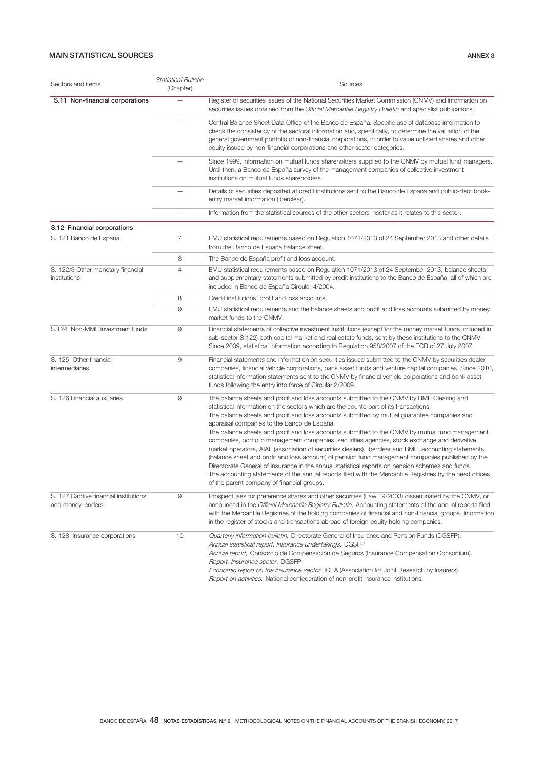# MAIN STATISTICAL SOURCES ANNEX 3

| Sectors and items                                          | <b>Statistical Bulletin</b><br>(Chapter) | Sources                                                                                                                                                                                                                                                                                                                                                                                                                                                                                                                                                                                                                                                                                                                                                                                                                                                                                                                                                                                                         |
|------------------------------------------------------------|------------------------------------------|-----------------------------------------------------------------------------------------------------------------------------------------------------------------------------------------------------------------------------------------------------------------------------------------------------------------------------------------------------------------------------------------------------------------------------------------------------------------------------------------------------------------------------------------------------------------------------------------------------------------------------------------------------------------------------------------------------------------------------------------------------------------------------------------------------------------------------------------------------------------------------------------------------------------------------------------------------------------------------------------------------------------|
| S.11 Non-financial corporations                            |                                          | Register of securities issues of the National Securities Market Commission (CNMV) and information on<br>securities issues obtained from the Official Mercantile Registry Bulletin and specialist publications.                                                                                                                                                                                                                                                                                                                                                                                                                                                                                                                                                                                                                                                                                                                                                                                                  |
|                                                            |                                          | Central Balance Sheet Data Office of the Banco de España. Specific use of database information to<br>check the consistency of the sectoral information and, specifically, to determine the valuation of the<br>general government portfolio of non-financial corporations, in order to value unlisted shares and other<br>equity issued by non-financial corporations and other sector categories.                                                                                                                                                                                                                                                                                                                                                                                                                                                                                                                                                                                                              |
|                                                            |                                          | Since 1999, information on mutual funds shareholders supplied to the CNMV by mutual fund managers.<br>Until then, a Banco de España survey of the management companies of collective investment<br>institutions on mutual funds shareholders.                                                                                                                                                                                                                                                                                                                                                                                                                                                                                                                                                                                                                                                                                                                                                                   |
|                                                            |                                          | Details of securities deposited at credit institutions sent to the Banco de España and public-debt book-<br>entry market information (Iberclear).                                                                                                                                                                                                                                                                                                                                                                                                                                                                                                                                                                                                                                                                                                                                                                                                                                                               |
|                                                            |                                          | Information from the statistical sources of the other sectors insofar as it relates to this sector.                                                                                                                                                                                                                                                                                                                                                                                                                                                                                                                                                                                                                                                                                                                                                                                                                                                                                                             |
| S.12 Financial corporations                                |                                          |                                                                                                                                                                                                                                                                                                                                                                                                                                                                                                                                                                                                                                                                                                                                                                                                                                                                                                                                                                                                                 |
| S. 121 Banco de España                                     | 7                                        | EMU statistical requirements based on Regulation 1071/2013 of 24 September 2013 and other details<br>from the Banco de España balance sheet.                                                                                                                                                                                                                                                                                                                                                                                                                                                                                                                                                                                                                                                                                                                                                                                                                                                                    |
|                                                            | 8                                        | The Banco de España profit and loss account.                                                                                                                                                                                                                                                                                                                                                                                                                                                                                                                                                                                                                                                                                                                                                                                                                                                                                                                                                                    |
| S. 122/3 Other monetary financial<br>institutions          | 4                                        | EMU statistical requirements based on Regulation 1071/2013 of 24 September 2013, balance sheets<br>and supplementary statements submitted by credit institutions to the Banco de España, all of which are<br>included in Banco de España Circular 4/2004.                                                                                                                                                                                                                                                                                                                                                                                                                                                                                                                                                                                                                                                                                                                                                       |
|                                                            | 8                                        | Credit institutions' profit and loss accounts.                                                                                                                                                                                                                                                                                                                                                                                                                                                                                                                                                                                                                                                                                                                                                                                                                                                                                                                                                                  |
|                                                            | 9                                        | EMU statistical requirements and the balance sheets and profit and loss accounts submitted by money<br>market funds to the CNMV.                                                                                                                                                                                                                                                                                                                                                                                                                                                                                                                                                                                                                                                                                                                                                                                                                                                                                |
| S.124 Non-MMF investment funds                             | 9                                        | Financial statements of collective investment institutions (except for the money market funds included in<br>sub-sector S.122) both capital market and real estate funds, sent by these institutions to the CNMV.<br>Since 2009, statistical information according to Regulation 958/2007 of the ECB of 27 July 2007.                                                                                                                                                                                                                                                                                                                                                                                                                                                                                                                                                                                                                                                                                           |
| S. 125 Other financial<br>intermediaries                   | 9                                        | Financial statements and information on securities issued submitted to the CNMV by securities dealer<br>companies, financial vehicle corporations, bank asset funds and venture capital companies. Since 2010,<br>statistical information statements sent to the CNMV by financial vehicle corporations and bank asset<br>funds following the entry into force of Circular 2/2009.                                                                                                                                                                                                                                                                                                                                                                                                                                                                                                                                                                                                                              |
| S. 126 Financial auxiliaries                               | 9                                        | The balance sheets and profit and loss accounts submitted to the CNMV by BME Clearing and<br>statistical information on the sectors which are the counterpart of its transactions.<br>The balance sheets and profit and loss accounts submitted by mutual guarantee companies and<br>appraisal companies to the Banco de España.<br>The balance sheets and profit and loss accounts submitted to the CNMV by mutual fund management<br>companies, portfolio management companies, securities agencies, stock exchange and derivative<br>market operators, AIAF (association of securities dealers), Iberclear and BME, accounting statements<br>(balance sheet and profit and loss account) of pension fund management companies published by the<br>Directorate General of Insurance in the annual statistical reports on pension schemes and funds.<br>The accounting statements of the annual reports filed with the Mercantile Registries by the head offices<br>of the parent company of financial groups. |
| S. 127 Captive financial institutions<br>and money lenders | 9                                        | Prospectuses for preference shares and other securities (Law 19/2003) disseminated by the CNMV, or<br>announced in the <i>Official Mercantile Registry Bulletin</i> . Accounting statements of the annual reports filed<br>with the Mercantile Registries of the holding companies of financial and non-financial groups. Information<br>in the register of stocks and transactions abroad of foreign-equity holding companies.                                                                                                                                                                                                                                                                                                                                                                                                                                                                                                                                                                                 |
| S. 128 Insurance corporations                              | 10                                       | Quarterly information bulletin, Directorate General of Insurance and Pension Funds (DGSFP).<br>Annual statistical report. Insurance undertakings, DGSFP<br>Annual report, Consorcio de Compensación de Seguros (Insurance Compensation Consortium).<br>Report. Insurance sector. DGSFP<br><i>Economic report on the insurance sector.</i> ICEA (Association for Joint Research by Insurers).<br><i>Report on activities.</i> National confederation of non-profit insurance institutions.                                                                                                                                                                                                                                                                                                                                                                                                                                                                                                                       |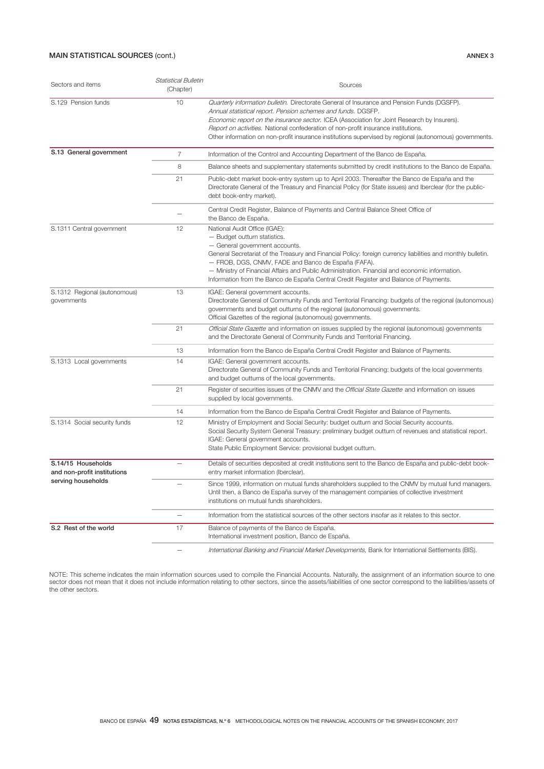# MAIN STATISTICAL SOURCES (cont.) ANNEX 3

| Sectors and items                                                       | Statistical Bulletin<br>(Chapter) | Sources                                                                                                                                                                                                                                                                                                                                                                                                                                                           |
|-------------------------------------------------------------------------|-----------------------------------|-------------------------------------------------------------------------------------------------------------------------------------------------------------------------------------------------------------------------------------------------------------------------------------------------------------------------------------------------------------------------------------------------------------------------------------------------------------------|
| S.129 Pension funds                                                     | 10                                | Quarterly information bulletin. Directorate General of Insurance and Pension Funds (DGSFP).<br>Annual statistical report. Pension schemes and funds. DGSFP.<br>Economic report on the insurance sector. ICEA (Association for Joint Research by Insurers).<br>Report on activities. National confederation of non-profit insurance institutions.<br>Other information on non-profit insurance institutions supervised by regional (autonomous) governments.       |
| S.13 General government                                                 | $\overline{7}$                    | Information of the Control and Accounting Department of the Banco de España.                                                                                                                                                                                                                                                                                                                                                                                      |
|                                                                         | 8                                 | Balance sheets and supplementary statements submitted by credit institutions to the Banco de España.                                                                                                                                                                                                                                                                                                                                                              |
|                                                                         | 21                                | Public-debt market book-entry system up to April 2003. Thereafter the Banco de España and the<br>Directorate General of the Treasury and Financial Policy (for State issues) and Iberclear (for the public-<br>debt book-entry market).                                                                                                                                                                                                                           |
|                                                                         |                                   | Central Credit Register, Balance of Payments and Central Balance Sheet Office of<br>the Banco de España.                                                                                                                                                                                                                                                                                                                                                          |
| S.1311 Central government                                               | 12                                | National Audit Office (IGAE):<br>- Budget outturn statistics.<br>- General government accounts.<br>General Secretariat of the Treasury and Financial Policy: foreign currency liabilities and monthly bulletin.<br>- FROB, DGS, CNMV, FADE and Banco de España (FAFA).<br>- Ministry of Financial Affairs and Public Administration. Financial and economic information.<br>Information from the Banco de España Central Credit Register and Balance of Payments. |
| S.1312 Regional (autonomous)<br>governments                             | 13                                | IGAE: General government accounts.<br>Directorate General of Community Funds and Territorial Financing: budgets of the regional (autonomous)<br>governments and budget outturns of the regional (autonomous) governments.<br>Official Gazettes of the regional (autonomous) governments.                                                                                                                                                                          |
|                                                                         | 21                                | Official State Gazette and information on issues supplied by the regional (autonomous) governments<br>and the Directorate General of Community Funds and Territorial Financing.                                                                                                                                                                                                                                                                                   |
|                                                                         | 13                                | Information from the Banco de España Central Credit Register and Balance of Payments.                                                                                                                                                                                                                                                                                                                                                                             |
| S.1313 Local governments                                                | 14                                | IGAE: General government accounts.<br>Directorate General of Community Funds and Territorial Financing: budgets of the local governments<br>and budget outturns of the local governments.                                                                                                                                                                                                                                                                         |
|                                                                         | 21                                | Register of securities issues of the CNMV and the Official State Gazette and information on issues<br>supplied by local governments.                                                                                                                                                                                                                                                                                                                              |
|                                                                         | 14                                | Information from the Banco de España Central Credit Register and Balance of Payments.                                                                                                                                                                                                                                                                                                                                                                             |
| S.1314 Social security funds                                            | 12                                | Ministry of Employment and Social Security: budget outturn and Social Security accounts.<br>Social Security System General Treasury: preliminary budget outturn of revenues and statistical report.<br>IGAE: General government accounts.<br>State Public Employment Service: provisional budget outturn.                                                                                                                                                         |
| S.14/15 Households<br>and non-profit institutions<br>serving households | $\overline{\phantom{m}}$          | Details of securities deposited at credit institutions sent to the Banco de España and public-debt book-<br>entry market information (Iberclear).                                                                                                                                                                                                                                                                                                                 |
|                                                                         |                                   | Since 1999, information on mutual funds shareholders supplied to the CNMV by mutual fund managers.<br>Until then, a Banco de España survey of the management companies of collective investment<br>institutions on mutual funds shareholders.                                                                                                                                                                                                                     |
|                                                                         |                                   | Information from the statistical sources of the other sectors insofar as it relates to this sector.                                                                                                                                                                                                                                                                                                                                                               |
| S.2 Rest of the world                                                   | 17                                | Balance of payments of the Banco de España.<br>International investment position, Banco de España.                                                                                                                                                                                                                                                                                                                                                                |
|                                                                         |                                   | International Banking and Financial Market Developments, Bank for International Settlements (BIS).                                                                                                                                                                                                                                                                                                                                                                |

NOTE: This scheme indicates the main information sources used to compile the Financial Accounts. Naturally, the assignment of an information source to one sector does not mean that it does not include information relating to other sectors, since the assets/liabilities of one sector correspond to the liabilities/assets of the other sectors.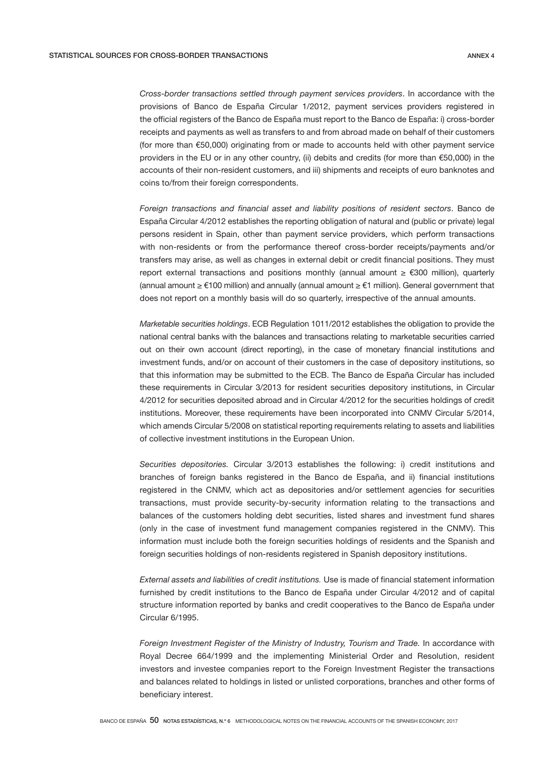*Cross-border transactions settled through payment services providers*. In accordance with the provisions of Banco de España Circular 1/2012, payment services providers registered in the official registers of the Banco de España must report to the Banco de España: i) cross-border receipts and payments as well as transfers to and from abroad made on behalf of their customers (for more than €50,000) originating from or made to accounts held with other payment service providers in the EU or in any other country, (ii) debits and credits (for more than €50,000) in the accounts of their non-resident customers, and iii) shipments and receipts of euro banknotes and coins to/from their foreign correspondents.

*Foreign transactions and financial asset and liability positions of resident sectors*. Banco de España Circular 4/2012 establishes the reporting obligation of natural and (public or private) legal persons resident in Spain, other than payment service providers, which perform transactions with non-residents or from the performance thereof cross-border receipts/payments and/or transfers may arise, as well as changes in external debit or credit financial positions. They must report external transactions and positions monthly (annual amount ≥ €300 million), quarterly (annual amount ≥ €100 million) and annually (annual amount ≥ €1 million). General government that does not report on a monthly basis will do so quarterly, irrespective of the annual amounts.

*Marketable securities holdings*. ECB Regulation 1011/2012 establishes the obligation to provide the national central banks with the balances and transactions relating to marketable securities carried out on their own account (direct reporting), in the case of monetary financial institutions and investment funds, and/or on account of their customers in the case of depository institutions, so that this information may be submitted to the ECB. The Banco de España Circular has included these requirements in Circular 3/2013 for resident securities depository institutions, in Circular 4/2012 for securities deposited abroad and in Circular 4/2012 for the securities holdings of credit institutions. Moreover, these requirements have been incorporated into CNMV Circular 5/2014, which amends Circular 5/2008 on statistical reporting requirements relating to assets and liabilities of collective investment institutions in the European Union.

*Securities depositories.* Circular 3/2013 establishes the following: i) credit institutions and branches of foreign banks registered in the Banco de España, and ii) financial institutions registered in the CNMV, which act as depositories and/or settlement agencies for securities transactions, must provide security-by-security information relating to the transactions and balances of the customers holding debt securities, listed shares and investment fund shares (only in the case of investment fund management companies registered in the CNMV). This information must include both the foreign securities holdings of residents and the Spanish and foreign securities holdings of non-residents registered in Spanish depository institutions.

*External assets and liabilities of credit institutions.* Use is made of financial statement information furnished by credit institutions to the Banco de España under Circular 4/2012 and of capital structure information reported by banks and credit cooperatives to the Banco de España under Circular 6/1995.

*Foreign Investment Register of the Ministry of Industry, Tourism and Trade.* In accordance with Royal Decree 664/1999 and the implementing Ministerial Order and Resolution, resident investors and investee companies report to the Foreign Investment Register the transactions and balances related to holdings in listed or unlisted corporations, branches and other forms of beneficiary interest.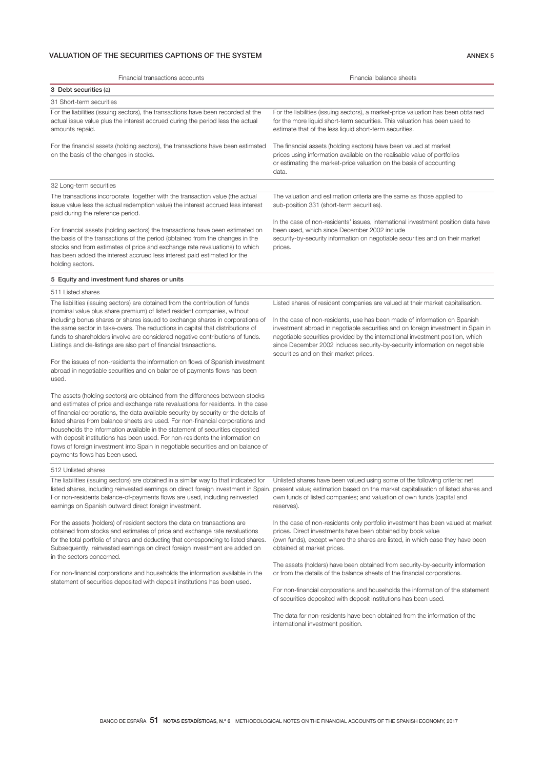# VALUATION OF THE SECURITIES CAPTIONS OF THE SYSTEM **ANNEX 5** ANNEX 5

| Financial transactions accounts                                                                                                                                                                                                                                                                                                                                                                                                                                                                                                                                                                                                     | Financial balance sheets                                                                                                                                                                                                                                                                                                                                                                                                                                   |
|-------------------------------------------------------------------------------------------------------------------------------------------------------------------------------------------------------------------------------------------------------------------------------------------------------------------------------------------------------------------------------------------------------------------------------------------------------------------------------------------------------------------------------------------------------------------------------------------------------------------------------------|------------------------------------------------------------------------------------------------------------------------------------------------------------------------------------------------------------------------------------------------------------------------------------------------------------------------------------------------------------------------------------------------------------------------------------------------------------|
| 3 Debt securities (a)<br>31 Short-term securities                                                                                                                                                                                                                                                                                                                                                                                                                                                                                                                                                                                   |                                                                                                                                                                                                                                                                                                                                                                                                                                                            |
| For the liabilities (issuing sectors), the transactions have been recorded at the<br>actual issue value plus the interest accrued during the period less the actual<br>amounts repaid.                                                                                                                                                                                                                                                                                                                                                                                                                                              | For the liabilities (issuing sectors), a market-price valuation has been obtained<br>for the more liquid short-term securities. This valuation has been used to<br>estimate that of the less liquid short-term securities.                                                                                                                                                                                                                                 |
| For the financial assets (holding sectors), the transactions have been estimated<br>on the basis of the changes in stocks.                                                                                                                                                                                                                                                                                                                                                                                                                                                                                                          | The financial assets (holding sectors) have been valued at market<br>prices using information available on the realisable value of portfolios<br>or estimating the market-price valuation on the basis of accounting<br>data.                                                                                                                                                                                                                              |
| 32 Long-term securities                                                                                                                                                                                                                                                                                                                                                                                                                                                                                                                                                                                                             |                                                                                                                                                                                                                                                                                                                                                                                                                                                            |
| The transactions incorporate, together with the transaction value (the actual<br>issue value less the actual redemption value) the interest accrued less interest<br>paid during the reference period.                                                                                                                                                                                                                                                                                                                                                                                                                              | The valuation and estimation criteria are the same as those applied to<br>sub-position 331 (short-term securities).                                                                                                                                                                                                                                                                                                                                        |
| For financial assets (holding sectors) the transactions have been estimated on<br>the basis of the transactions of the period (obtained from the changes in the<br>stocks and from estimates of price and exchange rate revaluations) to which<br>has been added the interest accrued less interest paid estimated for the<br>holding sectors.                                                                                                                                                                                                                                                                                      | In the case of non-residents' issues, international investment position data have<br>been used, which since December 2002 include<br>security-by-security information on negotiable securities and on their market<br>prices.                                                                                                                                                                                                                              |
| 5 Equity and investment fund shares or units                                                                                                                                                                                                                                                                                                                                                                                                                                                                                                                                                                                        |                                                                                                                                                                                                                                                                                                                                                                                                                                                            |
| 511 Listed shares                                                                                                                                                                                                                                                                                                                                                                                                                                                                                                                                                                                                                   |                                                                                                                                                                                                                                                                                                                                                                                                                                                            |
| The liabilities (issuing sectors) are obtained from the contribution of funds<br>(nominal value plus share premium) of listed resident companies, without<br>including bonus shares or shares issued to exchange shares in corporations of<br>the same sector in take-overs. The reductions in capital that distributions of<br>funds to shareholders involve are considered negative contributions of funds.<br>Listings and de-listings are also part of financial transactions.                                                                                                                                                  | Listed shares of resident companies are valued at their market capitalisation.<br>In the case of non-residents, use has been made of information on Spanish<br>investment abroad in negotiable securities and on foreign investment in Spain in<br>negotiable securities provided by the international investment position, which<br>since December 2002 includes security-by-security information on negotiable<br>securities and on their market prices. |
| For the issues of non-residents the information on flows of Spanish investment<br>abroad in negotiable securities and on balance of payments flows has been<br>used.                                                                                                                                                                                                                                                                                                                                                                                                                                                                |                                                                                                                                                                                                                                                                                                                                                                                                                                                            |
| The assets (holding sectors) are obtained from the differences between stocks<br>and estimates of price and exchange rate revaluations for residents. In the case<br>of financial corporations, the data available security by security or the details of<br>listed shares from balance sheets are used. For non-financial corporations and<br>households the information available in the statement of securities deposited<br>with deposit institutions has been used. For non-residents the information on<br>flows of foreign investment into Spain in negotiable securities and on balance of<br>payments flows has been used. |                                                                                                                                                                                                                                                                                                                                                                                                                                                            |
| 512 Unlisted shares                                                                                                                                                                                                                                                                                                                                                                                                                                                                                                                                                                                                                 |                                                                                                                                                                                                                                                                                                                                                                                                                                                            |
| The liabilities (issuing sectors) are obtained in a similar way to that indicated for<br>For non-residents balance-of-payments flows are used, including reinvested<br>earnings on Spanish outward direct foreign investment.                                                                                                                                                                                                                                                                                                                                                                                                       | Unlisted shares have been valued using some of the following criteria: net<br>listed shares, including reinvested earnings on direct foreign investment in Spain. present value; estimation based on the market capitalisation of listed shares and<br>own funds of listed companies; and valuation of own funds (capital and<br>reserves).                                                                                                                |
| For the assets (holders) of resident sectors the data on transactions are<br>obtained from stocks and estimates of price and exchange rate revaluations<br>for the total portfolio of shares and deducting that corresponding to listed shares.<br>Subsequently, reinvested earnings on direct foreign investment are added on<br>in the sectors concerned.                                                                                                                                                                                                                                                                         | In the case of non-residents only portfolio investment has been valued at market<br>prices. Direct investments have been obtained by book value<br>(own funds), except where the shares are listed, in which case they have been<br>obtained at market prices.                                                                                                                                                                                             |
| For non-financial corporations and households the information available in the<br>statement of securities deposited with deposit institutions has been used.                                                                                                                                                                                                                                                                                                                                                                                                                                                                        | The assets (holders) have been obtained from security-by-security information<br>or from the details of the balance sheets of the financial corporations.<br>For non-financial corporations and households the information of the statement                                                                                                                                                                                                                |
|                                                                                                                                                                                                                                                                                                                                                                                                                                                                                                                                                                                                                                     | of securities deposited with deposit institutions has been used.                                                                                                                                                                                                                                                                                                                                                                                           |
|                                                                                                                                                                                                                                                                                                                                                                                                                                                                                                                                                                                                                                     | The data for non-residents have been obtained from the information of the<br>international investment position.                                                                                                                                                                                                                                                                                                                                            |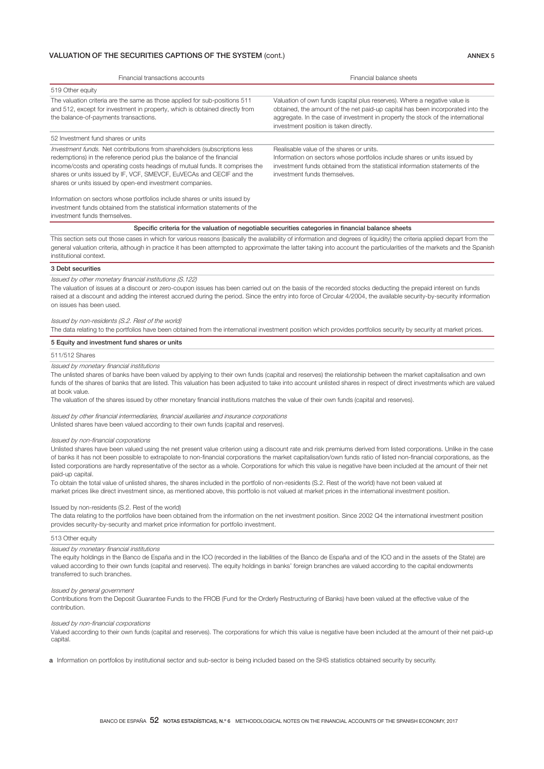### VALUATION OF THE SECURITIES CAPTIONS OF THE SYSTEM (cont.) ANNEX 5

Financial transactions accounts Financial balance sheets 519 Other equity The valuation criteria are the same as those applied for sub-positions 511 and 512, except for investment in property, which is obtained directly from the balance-of-payments transactions. Valuation of own funds (capital plus reserves). Where a negative value is obtained, the amount of the net paid-up capital has been incorporated into the aggregate. In the case of investment in property the stock of the international investment position is taken directly. 52 Investment fund shares or units Investment funds. Net contributions from shareholders (subscriptions less redemotions) in the reference period plus the balance of the financial income/costs and operating costs headings of mutual funds. It comprises the shares or units issued by IF, VCF, SMEVCF, EuVECAs and CECIF and the shares or units issued by open-end investment companies. Information on sectors whose portfolios include shares or units issued by Realisable value of the shares or units. Information on sectors whose portfolios include shares or units issued by investment funds obtained from the statistical information statements of the investment funds themselves.

investment funds obtained from the statistical information statements of the investment funds themselves.

Specific criteria for the valuation of negotiable securities categories in financial balance sheets

This section sets out those cases in which for various reasons (basically the availability of information and degrees of liquidity) the criteria applied depart from the general valuation criteria, although in practice it has been attempted to approximate the latter taking into account the particularities of the markets and the Spanish institutional context.

#### 3 Debt securities

Issued by other monetary financial institutions (S.122)

The valuation of issues at a discount or zero-coupon issues has been carried out on the basis of the recorded stocks deducting the prepaid interest on funds raised at a discount and adding the interest accrued during the period. Since the entry into force of Circular 4/2004, the available security-by-security information on issues has been used.

#### Issued by non-residents (S.2. Rest of the world)

The data relating to the portfolios have been obtained from the international investment position which provides portfolios security by security at market prices.

#### 5 Equity and investment fund shares or units

#### 511/512 Shares

Issued by monetary financial institutions

The unlisted shares of banks have been valued by applying to their own funds (capital and reserves) the relationship between the market capitalisation and own funds of the shares of banks that are listed. This valuation has been adjusted to take into account unlisted shares in respect of direct investments which are valued at book value.

The valuation of the shares issued by other monetary financial institutions matches the value of their own funds (capital and reserves).

(Issued by other financial intermediaries, financial auxiliaries and insurance corporations Unlisted shares have been valued according to their own funds (capital and reserves).

#### Issued by non-financial corporations

Unlisted shares have been valued using the net present value criterion using a discount rate and risk premiums derived from listed corporations. Unlike in the case of banks it has not been possible to extrapolate to non-financial corporations the market capitalisation/own funds ratio of listed non-financial corporations, as the listed corporations are hardly representative of the sector as a whole. Corporations for which this value is negative have been included at the amount of their net paid-up capital.

To obtain the total value of unlisted shares, the shares included in the portfolio of non-residents (S.2. Rest of the world) have not been valued at market prices like direct investment since, as mentioned above, this portfolio is not valued at market prices in the international investment position.

#### Issued by non-residents (S.2. Rest of the world)

The data relating to the portfolios have been obtained from the information on the net investment position. Since 2002 Q4 the international investment position provides security-by-security and market price information for portfolio investment.

#### 513 Other equity

#### Issued by monetary financial institutions

The equity holdings in the Banco de España and in the ICO (recorded in the liabilities of the Banco de España and of the ICO and in the assets of the State) are valued according to their own funds (capital and reserves). The equity holdings in banks' foreign branches are valued according to the capital endowments transferred to such branches.

#### Issued by general government

Contributions from the Deposit Guarantee Funds to the FROB (Fund for the Orderly Restructuring of Banks) have been valued at the effective value of the contribution.

#### Issued by non-financial corporations

Valued according to their own funds (capital and reserves). The corporations for which this value is negative have been included at the amount of their net paid-up capital.

a Information on portfolios by institutional sector and sub-sector is being included based on the SHS statistics obtained security by security.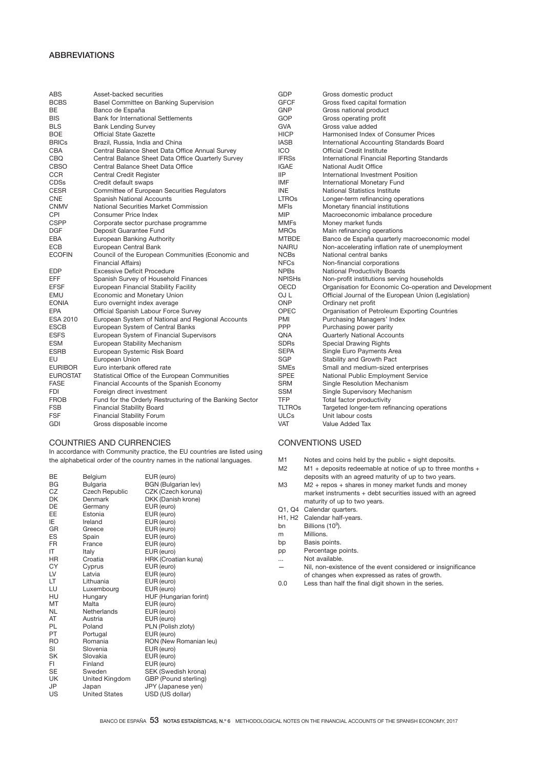# ABBREVIATIONS

| <b>ABS</b>      | Asset-backed securities                                  | GDP           | Gross domestic product                                 |
|-----------------|----------------------------------------------------------|---------------|--------------------------------------------------------|
| <b>BCBS</b>     | Basel Committee on Banking Supervision                   | <b>GFCF</b>   | Gross fixed capital formation                          |
| BE              | Banco de España                                          | <b>GNP</b>    | Gross national product                                 |
| <b>BIS</b>      | <b>Bank for International Settlements</b>                | GOP           | Gross operating profit                                 |
| <b>BLS</b>      | <b>Bank Lending Survey</b>                               | <b>GVA</b>    | Gross value added                                      |
| <b>BOE</b>      | <b>Official State Gazette</b>                            | <b>HICP</b>   | Harmonised Index of Consumer Prices                    |
| <b>BRICs</b>    | Brazil, Russia, India and China                          | <b>IASB</b>   | International Accounting Standards Board               |
| CBA             | Central Balance Sheet Data Office Annual Survey          | ICO           | <b>Official Credit Institute</b>                       |
| CBQ             | Central Balance Sheet Data Office Quarterly Survey       | <b>IFRSs</b>  | International Financial Reporting Standards            |
| <b>CBSO</b>     | Central Balance Sheet Data Office                        | <b>IGAE</b>   | National Audit Office                                  |
| <b>CCR</b>      | Central Credit Register                                  | <b>IIP</b>    | International Investment Position                      |
| <b>CDSs</b>     | Credit default swaps                                     | <b>IMF</b>    | International Monetary Fund                            |
| <b>CESR</b>     | Committee of European Securities Regulators              | <b>INE</b>    | <b>National Statistics Institute</b>                   |
| <b>CNE</b>      | Spanish National Accounts                                | <b>LTROs</b>  | Longer-term refinancing operations                     |
| <b>CNMV</b>     | National Securities Market Commission                    | <b>MFIs</b>   | Monetary financial institutions                        |
| CPI             | Consumer Price Index                                     | <b>MIP</b>    | Macroeconomic imbalance procedure                      |
| <b>CSPP</b>     | Corporate sector purchase programme                      | <b>MMFs</b>   | Money market funds                                     |
| <b>DGF</b>      | Deposit Guarantee Fund                                   | <b>MROs</b>   | Main refinancing operations                            |
| <b>EBA</b>      | European Banking Authority                               | <b>MTBDE</b>  | Banco de España quarterly macroeconomic model          |
| <b>ECB</b>      | European Central Bank                                    | <b>NAIRU</b>  | Non-accelerating inflation rate of unemployment        |
| <b>ECOFIN</b>   | Council of the European Communities (Economic and        | <b>NCBs</b>   | National central banks                                 |
|                 | <b>Financial Affairs)</b>                                | <b>NFCs</b>   | Non-financial corporations                             |
| <b>EDP</b>      | Excessive Deficit Procedure                              | <b>NPBs</b>   | <b>National Productivity Boards</b>                    |
| <b>EFF</b>      | Spanish Survey of Household Finances                     | <b>NPISHs</b> | Non-profit institutions serving households             |
| <b>EFSF</b>     | European Financial Stability Facility                    | <b>OECD</b>   | Organisation for Economic Co-operation and Development |
| EMU             | Economic and Monetary Union                              | OJ L          | Official Journal of the European Union (Legislation)   |
| <b>EONIA</b>    | Euro overnight index average                             | <b>ONP</b>    | Ordinary net profit                                    |
| EPA             | Official Spanish Labour Force Survey                     | OPEC          | Organisation of Petroleum Exporting Countries          |
| <b>ESA 2010</b> | European System of National and Regional Accounts        | PMI           | Purchasing Managers' Index                             |
| <b>ESCB</b>     | European System of Central Banks                         | PPP           | Purchasing power parity                                |
| <b>ESFS</b>     | European System of Financial Supervisors                 | QNA           | Quarterly National Accounts                            |
| <b>ESM</b>      | European Stability Mechanism                             | <b>SDRs</b>   | <b>Special Drawing Rights</b>                          |
| <b>ESRB</b>     | European Systemic Risk Board                             | <b>SEPA</b>   | Single Euro Payments Area                              |
| EU              | European Union                                           | <b>SGP</b>    | Stability and Growth Pact                              |
| <b>EURIBOR</b>  | Euro interbank offered rate                              | <b>SMEs</b>   | Small and medium-sized enterprises                     |
| <b>EUROSTAT</b> | Statistical Office of the European Communities           | <b>SPEE</b>   | National Public Employment Service                     |
| <b>FASE</b>     | Financial Accounts of the Spanish Economy                | <b>SRM</b>    | Single Resolution Mechanism                            |
| <b>FDI</b>      | Foreign direct investment                                | <b>SSM</b>    | Single Supervisory Mechanism                           |
| <b>FROB</b>     | Fund for the Orderly Restructuring of the Banking Sector | <b>TFP</b>    | Total factor productivity                              |
| <b>FSB</b>      | <b>Financial Stability Board</b>                         | <b>TLTROs</b> | Targeted longer-tem refinancing operations             |
| <b>FSF</b>      | <b>Financial Stability Forum</b>                         | <b>ULCs</b>   | Unit labour costs                                      |
| GDI             | Gross disposable income                                  | <b>VAT</b>    | Value Added Tax                                        |

# COUNTRIES AND CURRENCIES

In accordance with Community practice, the EU countries are listed using the alphabetical order of the country names in the national languages.

| <b>BGN</b> (Bulgarian lev)<br>CZK (Czech koruna)<br>DKK (Danish krone) |
|------------------------------------------------------------------------|
|                                                                        |
| HRK (Croatian kuna)                                                    |
|                                                                        |
|                                                                        |
|                                                                        |
|                                                                        |
| HUF (Hungarian forint)                                                 |
|                                                                        |
|                                                                        |
|                                                                        |
| PLN (Polish zloty)                                                     |
|                                                                        |
| RON (New Romanian leu)                                                 |
|                                                                        |
|                                                                        |
|                                                                        |
| SEK (Swedish krona)                                                    |
| GBP (Pound sterling)                                                   |
| JPY (Japanese yen)                                                     |
| USD (US dollar)                                                        |
|                                                                        |

# CONVENTIONS USED

- M1 Notes and coins held by the public + sight deposits.<br>M2  $M1 +$  deposits redeemable at notice of up to three m
- M1 + deposits redeemable at notice of up to three months + deposits with an agreed maturity of up to two years.
- M3 M2 + repos + shares in money market funds and money market instruments + debt securities issued with an agreed maturity of up to two years.
- Q1, Q4 Calendar quarters.
- H1, H2 Calendar half-years.<br>bn Billions (10<sup>9</sup>).
- bn Billions (10<sup>9</sup>).
- m Millions.
- bp Basis points.
- pp Percentage points.
- ... Not available.<br>
Nil non-existe
- Nil, non-existence of the event considered or insignificance of changes when expressed as rates of growth.
- 0.0 Less than half the final digit shown in the series.